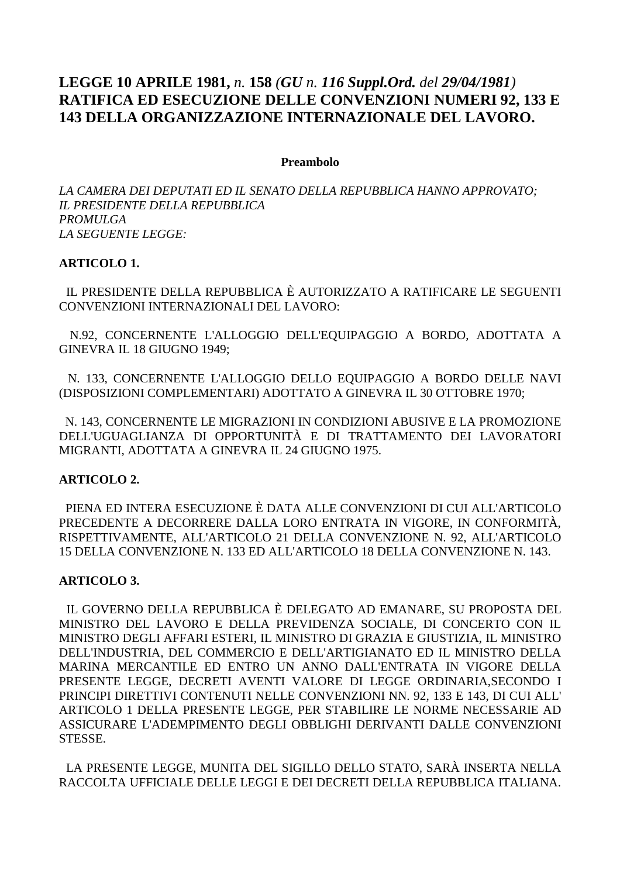# **LEGGE 10 APRILE 1981,** *n.* **158** *(GU n. 116 Suppl.Ord. del 29/04/1981)* **RATIFICA ED ESECUZIONE DELLE CONVENZIONI NUMERI 92, 133 E 143 DELLA ORGANIZZAZIONE INTERNAZIONALE DEL LAVORO.**

#### **Preambolo**

*LA CAMERA DEI DEPUTATI ED IL SENATO DELLA REPUBBLICA HANNO APPROVATO; IL PRESIDENTE DELLA REPUBBLICA PROMULGA LA SEGUENTE LEGGE:* 

#### **ARTICOLO 1.**

 IL PRESIDENTE DELLA REPUBBLICA È AUTORIZZATO A RATIFICARE LE SEGUENTI CONVENZIONI INTERNAZIONALI DEL LAVORO:

 N.92, CONCERNENTE L'ALLOGGIO DELL'EQUIPAGGIO A BORDO, ADOTTATA A GINEVRA IL 18 GIUGNO 1949;

 N. 133, CONCERNENTE L'ALLOGGIO DELLO EQUIPAGGIO A BORDO DELLE NAVI (DISPOSIZIONI COMPLEMENTARI) ADOTTATO A GINEVRA IL 30 OTTOBRE 1970;

 N. 143, CONCERNENTE LE MIGRAZIONI IN CONDIZIONI ABUSIVE E LA PROMOZIONE DELL'UGUAGLIANZA DI OPPORTUNITÀ E DI TRATTAMENTO DEI LAVORATORI MIGRANTI, ADOTTATA A GINEVRA IL 24 GIUGNO 1975.

#### **ARTICOLO 2.**

 PIENA ED INTERA ESECUZIONE È DATA ALLE CONVENZIONI DI CUI ALL'ARTICOLO PRECEDENTE A DECORRERE DALLA LORO ENTRATA IN VIGORE, IN CONFORMITÀ, RISPETTIVAMENTE, ALL'ARTICOLO 21 DELLA CONVENZIONE N. 92, ALL'ARTICOLO 15 DELLA CONVENZIONE N. 133 ED ALL'ARTICOLO 18 DELLA CONVENZIONE N. 143.

#### **ARTICOLO 3.**

 IL GOVERNO DELLA REPUBBLICA È DELEGATO AD EMANARE, SU PROPOSTA DEL MINISTRO DEL LAVORO E DELLA PREVIDENZA SOCIALE, DI CONCERTO CON IL MINISTRO DEGLI AFFARI ESTERI, IL MINISTRO DI GRAZIA E GIUSTIZIA, IL MINISTRO DELL'INDUSTRIA, DEL COMMERCIO E DELL'ARTIGIANATO ED IL MINISTRO DELLA MARINA MERCANTILE ED ENTRO UN ANNO DALL'ENTRATA IN VIGORE DELLA PRESENTE LEGGE, DECRETI AVENTI VALORE DI LEGGE ORDINARIA,SECONDO I PRINCIPI DIRETTIVI CONTENUTI NELLE CONVENZIONI NN. 92, 133 E 143, DI CUI ALL' ARTICOLO 1 DELLA PRESENTE LEGGE, PER STABILIRE LE NORME NECESSARIE AD ASSICURARE L'ADEMPIMENTO DEGLI OBBLIGHI DERIVANTI DALLE CONVENZIONI STESSE.

 LA PRESENTE LEGGE, MUNITA DEL SIGILLO DELLO STATO, SARÀ INSERTA NELLA RACCOLTA UFFICIALE DELLE LEGGI E DEI DECRETI DELLA REPUBBLICA ITALIANA.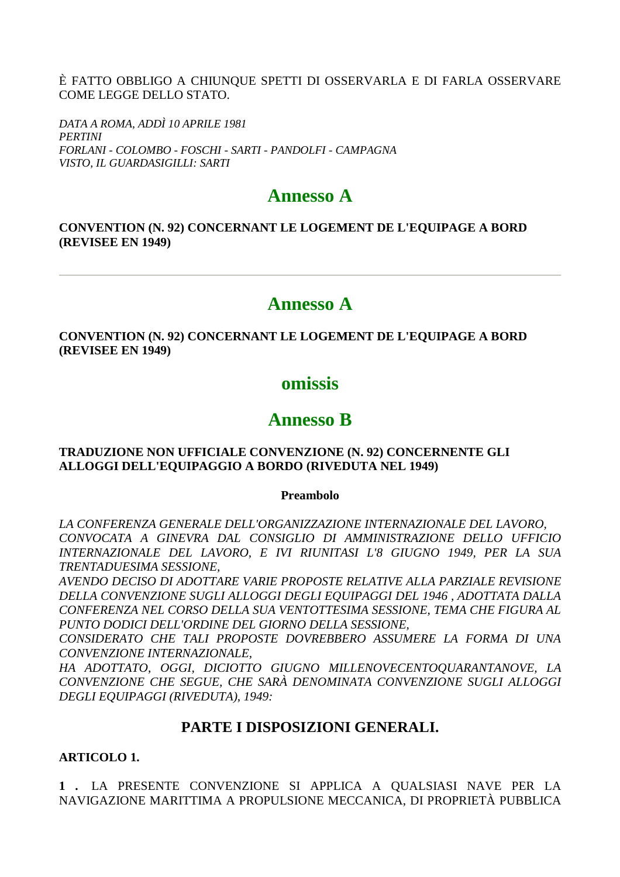È FATTO OBBLIGO A CHIUNQUE SPETTI DI OSSERVARLA E DI FARLA OSSERVARE COME LEGGE DELLO STATO.

DATA A ROMA, ADDÌ 10 APRILE 1981 **PERTINI** FORLANI - COLOMBO - FOSCHI - SARTI - PANDOLFI - CAMPAGNA VISTO, IL GUARDASIGILLI: SARTI

# **Annesso A**

### **CONVENTION (N. 92) CONCERNANT LE LOGEMENT DE L'EQUIPAGE A BORD (REVISEE EN 1949)**

# Annesso A

### **CONVENTION (N. 92) CONCERNANT LE LOGEMENT DE L'EOUIPAGE A BORD (REVISEE EN 1949)**

# omissis

# **Annesso R**

#### **TRADUZIONE NON UFFICIALE CONVENZIONE (N. 92) CONCERNENTE GLI** ALLOGGI DELL'EQUIPAGGIO A BORDO (RIVEDUTA NEL 1949)

# **Preambolo**

LA CONFERENZA GENERALE DELL'ORGANIZZAZIONE INTERNAZIONALE DEL LAVORO, CONVOCATA A GINEVRA DAL CONSIGLIO DI AMMINISTRAZIONE DELLO UFFICIO INTERNAZIONALE DEL LAVORO, E IVI RIUNITASI L'8 GIUGNO 1949, PER LA SUA **TRENTADUESIMA SESSIONE.** 

AVENDO DECISO DI ADOTTARE VARIE PROPOSTE RELATIVE ALLA PARZIALE REVISIONE DELLA CONVENZIONE SUGLI ALLOGGI DEGLI EOUIPAGGI DEL 1946, ADOTTATA DALLA CONFERENZA NEL CORSO DELLA SUA VENTOTTESIMA SESSIONE. TEMA CHE FIGURA AL PUNTO DODICI DELL'ORDINE DEL GIORNO DELLA SESSIONE.

CONSIDERATO CHE TALI PROPOSTE DOVREBBERO ASSUMERE LA FORMA DI UNA CONVENZIONE INTERNAZIONALE,

HA ADOTTATO, OGGI, DICIOTTO GIUGNO MILLENOVECENTOOUARANTANOVE, LA CONVENZIONE CHE SEGUE, CHE SARÀ DENOMINATA CONVENZIONE SUGLI ALLOGGI DEGLI EQUIPAGGI (RIVEDUTA), 1949:

# PARTE I DISPOSIZIONI GENERALI.

# **ARTICOLO 1.**

1. LA PRESENTE CONVENZIONE SI APPLICA A QUALSIASI NAVE PER LA NAVIGAZIONE MARITTIMA A PROPULSIONE MECCANICA, DI PROPRIETÀ PUBBLICA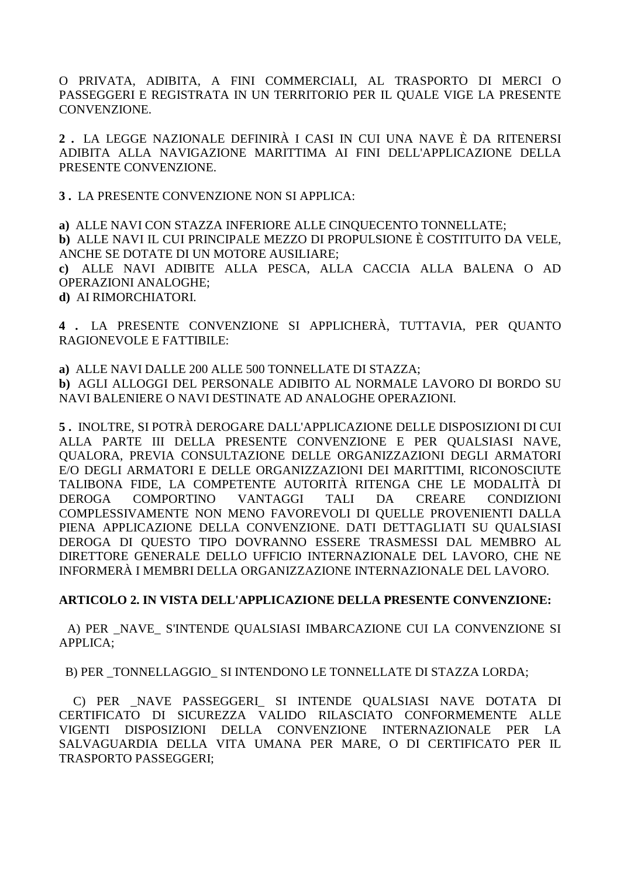O PRIVATA, ADIBITA, A FINI COMMERCIALI, AL TRASPORTO DI MERCI O PASSEGGERI E REGISTRATA IN UN TERRITORIO PER IL QUALE VIGE LA PRESENTE CONVENZIONE.

2. LA LEGGE NAZIONALE DEFINIRÀ I CASI IN CUI UNA NAVE È DA RITENERSI ADIBITA ALLA NAVIGAZIONE MARITTIMA AI FINI DELL'APPLICAZIONE DELLA PRESENTE CONVENZIONE.

3. LA PRESENTE CONVENZIONE NON SI APPLICA:

a) ALLE NAVI CON STAZZA INFERIORE ALLE CINOUECENTO TONNELLATE: b) ALLE NAVI IL CUI PRINCIPALE MEZZO DI PROPULSIONE È COSTITUITO DA VELE. ANCHE SE DOTATE DI UN MOTORE AUSILIARE:

c) ALLE NAVI ADIBITE ALLA PESCA, ALLA CACCIA ALLA BALENA O AD **OPERAZIONI ANALOGHE:** 

d) AI RIMORCHIATORI.

4. LA PRESENTE CONVENZIONE SI APPLICHERÀ, TUTTAVIA, PER QUANTO RAGIONEVOLE E FATTIBILE:

a) ALLE NAVI DALLE 200 ALLE 500 TONNELLATE DI STAZZA;

b) AGLI ALLOGGI DEL PERSONALE ADIBITO AL NORMALE LAVORO DI BORDO SU NAVI BALENIERE O NAVI DESTINATE AD ANALOGHE OPERAZIONI.

5. INOLTRE, SI POTRÀ DEROGARE DALL'APPLICAZIONE DELLE DISPOSIZIONI DI CUI ALLA PARTE III DELLA PRESENTE CONVENZIONE E PER OUALSIASI NAVE. OUALORA, PREVIA CONSULTAZIONE DELLE ORGANIZZAZIONI DEGLI ARMATORI E/O DEGLI ARMATORI E DELLE ORGANIZZAZIONI DEI MARITTIMI. RICONOSCIUTE TALIBONA FIDE, LA COMPETENTE AUTORITÀ RITENGA CHE LE MODALITÀ DI **DEROGA COMPORTINO** VANTAGGI **TALI** DA **CREARE CONDIZIONI** COMPLESSIVAMENTE NON MENO FAVOREVOLI DI QUELLE PROVENIENTI DALLA PIENA APPLICAZIONE DELLA CONVENZIONE. DATI DETTAGLIATI SU OUALSIASI DEROGA DI OUESTO TIPO DOVRANNO ESSERE TRASMESSI DAL MEMBRO AL DIRETTORE GENERALE DELLO UFFICIO INTERNAZIONALE DEL LAVORO, CHE NE INFORMERÀ I MEMBRI DELLA ORGANIZZAZIONE INTERNAZIONALE DEL LAVORO.

# ARTICOLO 2. IN VISTA DELL'APPLICAZIONE DELLA PRESENTE CONVENZIONE:

A) PER NAVE S'INTENDE QUALSIASI IMBARCAZIONE CUI LA CONVENZIONE SI APPLICA;

B) PER TONNELLAGGIO SI INTENDONO LE TONNELLATE DI STAZZA LORDA;

C) PER NAVE PASSEGGERI SI INTENDE OUALSIASI NAVE DOTATA DI CERTIFICATO DI SICUREZZA VALIDO RILASCIATO CONFORMEMENTE ALLE VIGENTI DISPOSIZIONI DELLA CONVENZIONE INTERNAZIONALE PER LA SALVAGUARDIA DELLA VITA UMANA PER MARE, O DI CERTIFICATO PER IL TRASPORTO PASSEGGERI;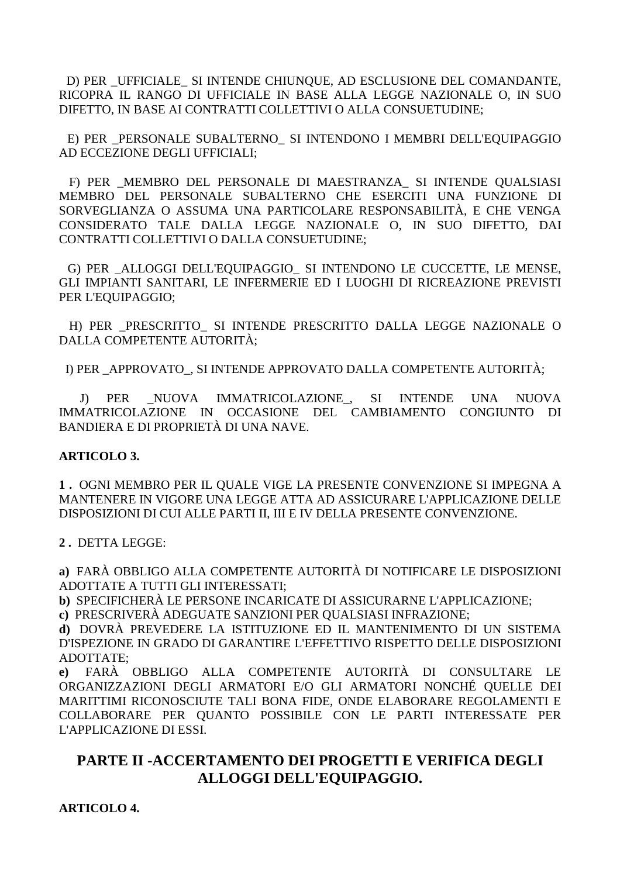D) PER UFFICIALE SI INTENDE CHIUNQUE, AD ESCLUSIONE DEL COMANDANTE, RICOPRA IL RANGO DI UFFICIALE IN BASE ALLA LEGGE NAZIONALE O, IN SUO DIFETTO, IN BASE AI CONTRATTI COLLETTIVI O ALLA CONSUETUDINE;

E) PER PERSONALE SUBALTERNO\_ SI INTENDONO I MEMBRI DELL'EQUIPAGGIO AD ECCEZIONE DEGLI UFFICIALI;

 F) PER \_MEMBRO DEL PERSONALE DI MAESTRANZA\_ SI INTENDE QUALSIASI MEMBRO DEL PERSONALE SUBALTERNO CHE ESERCITI UNA FUNZIONE DI SORVEGLIANZA O ASSUMA UNA PARTICOLARE RESPONSABILITÀ, E CHE VENGA CONSIDERATO TALE DALLA LEGGE NAZIONALE O, IN SUO DIFETTO, DAI CONTRATTI COLLETTIVI O DALLA CONSUETUDINE;

 G) PER \_ALLOGGI DELL'EQUIPAGGIO\_ SI INTENDONO LE CUCCETTE, LE MENSE, GLI IMPIANTI SANITARI, LE INFERMERIE ED I LUOGHI DI RICREAZIONE PREVISTI PER L'EQUIPAGGIO;

H) PER PRESCRITTO SI INTENDE PRESCRITTO DALLA LEGGE NAZIONALE O DALLA COMPETENTE AUTORITÀ;

I) PER \_APPROVATO\_, SI INTENDE APPROVATO DALLA COMPETENTE AUTORITÀ;

J) PER NUOVA IMMATRICOLAZIONE, SI INTENDE UNA NUOVA IMMATRICOLAZIONE IN OCCASIONE DEL CAMBIAMENTO CONGIUNTO DI BANDIERA E DI PROPRIETÀ DI UNA NAVE.

#### **ARTICOLO 3.**

**1 .** OGNI MEMBRO PER IL QUALE VIGE LA PRESENTE CONVENZIONE SI IMPEGNA A MANTENERE IN VIGORE UNA LEGGE ATTA AD ASSICURARE L'APPLICAZIONE DELLE DISPOSIZIONI DI CUI ALLE PARTI II, III E IV DELLA PRESENTE CONVENZIONE.

**2 .** DETTA LEGGE:

**a)** FARÀ OBBLIGO ALLA COMPETENTE AUTORITÀ DI NOTIFICARE LE DISPOSIZIONI ADOTTATE A TUTTI GLI INTERESSATI;

**b)** SPECIFICHERÀ LE PERSONE INCARICATE DI ASSICURARNE L'APPLICAZIONE;

**c)** PRESCRIVERÀ ADEGUATE SANZIONI PER QUALSIASI INFRAZIONE;

**d)** DOVRÀ PREVEDERE LA ISTITUZIONE ED IL MANTENIMENTO DI UN SISTEMA D'ISPEZIONE IN GRADO DI GARANTIRE L'EFFETTIVO RISPETTO DELLE DISPOSIZIONI ADOTTATE;

**e)** FARÀ OBBLIGO ALLA COMPETENTE AUTORITÀ DI CONSULTARE LE ORGANIZZAZIONI DEGLI ARMATORI E/O GLI ARMATORI NONCHÉ QUELLE DEI MARITTIMI RICONOSCIUTE TALI BONA FIDE, ONDE ELABORARE REGOLAMENTI E COLLABORARE PER QUANTO POSSIBILE CON LE PARTI INTERESSATE PER L'APPLICAZIONE DI ESSI.

# **PARTE II -ACCERTAMENTO DEI PROGETTI E VERIFICA DEGLI ALLOGGI DELL'EQUIPAGGIO.**

**ARTICOLO 4.**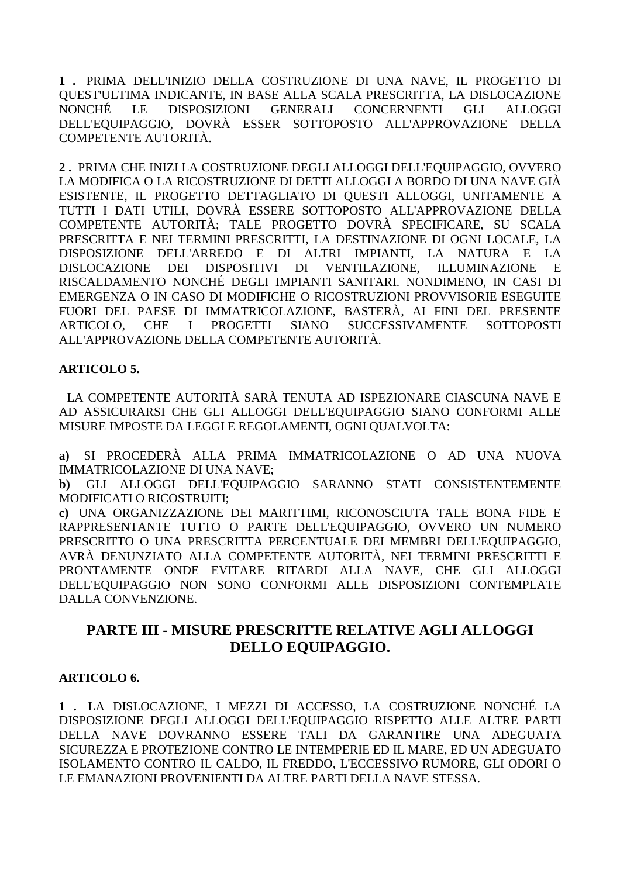**1 .** PRIMA DELL'INIZIO DELLA COSTRUZIONE DI UNA NAVE, IL PROGETTO DI QUEST'ULTIMA INDICANTE, IN BASE ALLA SCALA PRESCRITTA, LA DISLOCAZIONE NONCHÉ LE DISPOSIZIONI GENERALI CONCERNENTI GLI ALLOGGI DELL'EQUIPAGGIO, DOVRÀ ESSER SOTTOPOSTO ALL'APPROVAZIONE DELLA COMPETENTE AUTORITÀ.

**2 .** PRIMA CHE INIZI LA COSTRUZIONE DEGLI ALLOGGI DELL'EQUIPAGGIO, OVVERO LA MODIFICA O LA RICOSTRUZIONE DI DETTI ALLOGGI A BORDO DI UNA NAVE GIÀ ESISTENTE, IL PROGETTO DETTAGLIATO DI QUESTI ALLOGGI, UNITAMENTE A TUTTI I DATI UTILI, DOVRÀ ESSERE SOTTOPOSTO ALL'APPROVAZIONE DELLA COMPETENTE AUTORITÀ; TALE PROGETTO DOVRÀ SPECIFICARE, SU SCALA PRESCRITTA E NEI TERMINI PRESCRITTI, LA DESTINAZIONE DI OGNI LOCALE, LA DISPOSIZIONE DELL'ARREDO E DI ALTRI IMPIANTI, LA NATURA E LA DISLOCAZIONE DEI DISPOSITIVI DI VENTILAZIONE, ILLUMINAZIONE E RISCALDAMENTO NONCHÉ DEGLI IMPIANTI SANITARI. NONDIMENO, IN CASI DI EMERGENZA O IN CASO DI MODIFICHE O RICOSTRUZIONI PROVVISORIE ESEGUITE FUORI DEL PAESE DI IMMATRICOLAZIONE, BASTERÀ, AI FINI DEL PRESENTE ARTICOLO, CHE I PROGETTI SIANO SUCCESSIVAMENTE SOTTOPOSTI ALL'APPROVAZIONE DELLA COMPETENTE AUTORITÀ.

# **ARTICOLO 5.**

 LA COMPETENTE AUTORITÀ SARÀ TENUTA AD ISPEZIONARE CIASCUNA NAVE E AD ASSICURARSI CHE GLI ALLOGGI DELL'EQUIPAGGIO SIANO CONFORMI ALLE MISURE IMPOSTE DA LEGGI E REGOLAMENTI, OGNI QUALVOLTA:

**a)** SI PROCEDERÀ ALLA PRIMA IMMATRICOLAZIONE O AD UNA NUOVA IMMATRICOLAZIONE DI UNA NAVE;

**b)** GLI ALLOGGI DELL'EQUIPAGGIO SARANNO STATI CONSISTENTEMENTE MODIFICATI O RICOSTRUITI;

**c)** UNA ORGANIZZAZIONE DEI MARITTIMI, RICONOSCIUTA TALE BONA FIDE E RAPPRESENTANTE TUTTO O PARTE DELL'EQUIPAGGIO, OVVERO UN NUMERO PRESCRITTO O UNA PRESCRITTA PERCENTUALE DEI MEMBRI DELL'EQUIPAGGIO, AVRÀ DENUNZIATO ALLA COMPETENTE AUTORITÀ, NEI TERMINI PRESCRITTI E PRONTAMENTE ONDE EVITARE RITARDI ALLA NAVE, CHE GLI ALLOGGI DELL'EQUIPAGGIO NON SONO CONFORMI ALLE DISPOSIZIONI CONTEMPLATE DALLA CONVENZIONE.

# **PARTE III - MISURE PRESCRITTE RELATIVE AGLI ALLOGGI DELLO EQUIPAGGIO.**

# **ARTICOLO 6.**

**1 .** LA DISLOCAZIONE, I MEZZI DI ACCESSO, LA COSTRUZIONE NONCHÉ LA DISPOSIZIONE DEGLI ALLOGGI DELL'EQUIPAGGIO RISPETTO ALLE ALTRE PARTI DELLA NAVE DOVRANNO ESSERE TALI DA GARANTIRE UNA ADEGUATA SICUREZZA E PROTEZIONE CONTRO LE INTEMPERIE ED IL MARE, ED UN ADEGUATO ISOLAMENTO CONTRO IL CALDO, IL FREDDO, L'ECCESSIVO RUMORE, GLI ODORI O LE EMANAZIONI PROVENIENTI DA ALTRE PARTI DELLA NAVE STESSA.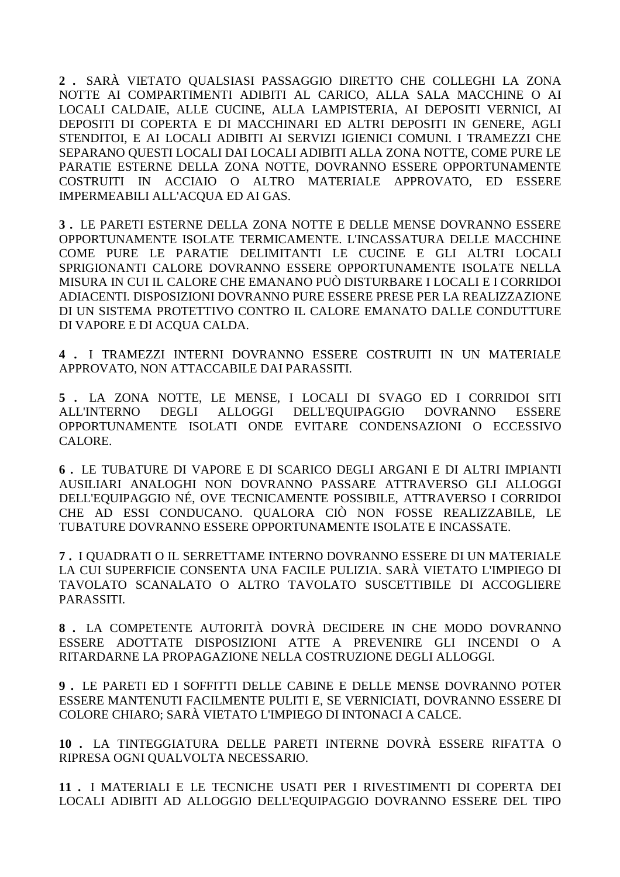**2 .** SARÀ VIETATO QUALSIASI PASSAGGIO DIRETTO CHE COLLEGHI LA ZONA NOTTE AI COMPARTIMENTI ADIBITI AL CARICO, ALLA SALA MACCHINE O AI LOCALI CALDAIE, ALLE CUCINE, ALLA LAMPISTERIA, AI DEPOSITI VERNICI, AI DEPOSITI DI COPERTA E DI MACCHINARI ED ALTRI DEPOSITI IN GENERE, AGLI STENDITOI, E AI LOCALI ADIBITI AI SERVIZI IGIENICI COMUNI. I TRAMEZZI CHE SEPARANO QUESTI LOCALI DAI LOCALI ADIBITI ALLA ZONA NOTTE, COME PURE LE PARATIE ESTERNE DELLA ZONA NOTTE, DOVRANNO ESSERE OPPORTUNAMENTE COSTRUITI IN ACCIAIO O ALTRO MATERIALE APPROVATO, ED ESSERE IMPERMEABILI ALL'ACQUA ED AI GAS.

**3 .** LE PARETI ESTERNE DELLA ZONA NOTTE E DELLE MENSE DOVRANNO ESSERE OPPORTUNAMENTE ISOLATE TERMICAMENTE. L'INCASSATURA DELLE MACCHINE COME PURE LE PARATIE DELIMITANTI LE CUCINE E GLI ALTRI LOCALI SPRIGIONANTI CALORE DOVRANNO ESSERE OPPORTUNAMENTE ISOLATE NELLA MISURA IN CUI IL CALORE CHE EMANANO PUÒ DISTURBARE I LOCALI E I CORRIDOI ADIACENTI. DISPOSIZIONI DOVRANNO PURE ESSERE PRESE PER LA REALIZZAZIONE DI UN SISTEMA PROTETTIVO CONTRO IL CALORE EMANATO DALLE CONDUTTURE DI VAPORE E DI ACQUA CALDA.

**4 .** I TRAMEZZI INTERNI DOVRANNO ESSERE COSTRUITI IN UN MATERIALE APPROVATO, NON ATTACCABILE DAI PARASSITI.

**5 .** LA ZONA NOTTE, LE MENSE, I LOCALI DI SVAGO ED I CORRIDOI SITI ALL'INTERNO DEGLI ALLOGGI DELL'EQUIPAGGIO DOVRANNO ESSERE OPPORTUNAMENTE ISOLATI ONDE EVITARE CONDENSAZIONI O ECCESSIVO CALORE.

**6 .** LE TUBATURE DI VAPORE E DI SCARICO DEGLI ARGANI E DI ALTRI IMPIANTI AUSILIARI ANALOGHI NON DOVRANNO PASSARE ATTRAVERSO GLI ALLOGGI DELL'EQUIPAGGIO NÉ, OVE TECNICAMENTE POSSIBILE, ATTRAVERSO I CORRIDOI CHE AD ESSI CONDUCANO. QUALORA CIÒ NON FOSSE REALIZZABILE, LE TUBATURE DOVRANNO ESSERE OPPORTUNAMENTE ISOLATE E INCASSATE.

**7 .** I QUADRATI O IL SERRETTAME INTERNO DOVRANNO ESSERE DI UN MATERIALE LA CUI SUPERFICIE CONSENTA UNA FACILE PULIZIA. SARÀ VIETATO L'IMPIEGO DI TAVOLATO SCANALATO O ALTRO TAVOLATO SUSCETTIBILE DI ACCOGLIERE PARASSITI.

**8 .** LA COMPETENTE AUTORITÀ DOVRÀ DECIDERE IN CHE MODO DOVRANNO ESSERE ADOTTATE DISPOSIZIONI ATTE A PREVENIRE GLI INCENDI O A RITARDARNE LA PROPAGAZIONE NELLA COSTRUZIONE DEGLI ALLOGGI.

**9 .** LE PARETI ED I SOFFITTI DELLE CABINE E DELLE MENSE DOVRANNO POTER ESSERE MANTENUTI FACILMENTE PULITI E, SE VERNICIATI, DOVRANNO ESSERE DI COLORE CHIARO; SARÀ VIETATO L'IMPIEGO DI INTONACI A CALCE.

**10 .** LA TINTEGGIATURA DELLE PARETI INTERNE DOVRÀ ESSERE RIFATTA O RIPRESA OGNI QUALVOLTA NECESSARIO.

**11 .** I MATERIALI E LE TECNICHE USATI PER I RIVESTIMENTI DI COPERTA DEI LOCALI ADIBITI AD ALLOGGIO DELL'EQUIPAGGIO DOVRANNO ESSERE DEL TIPO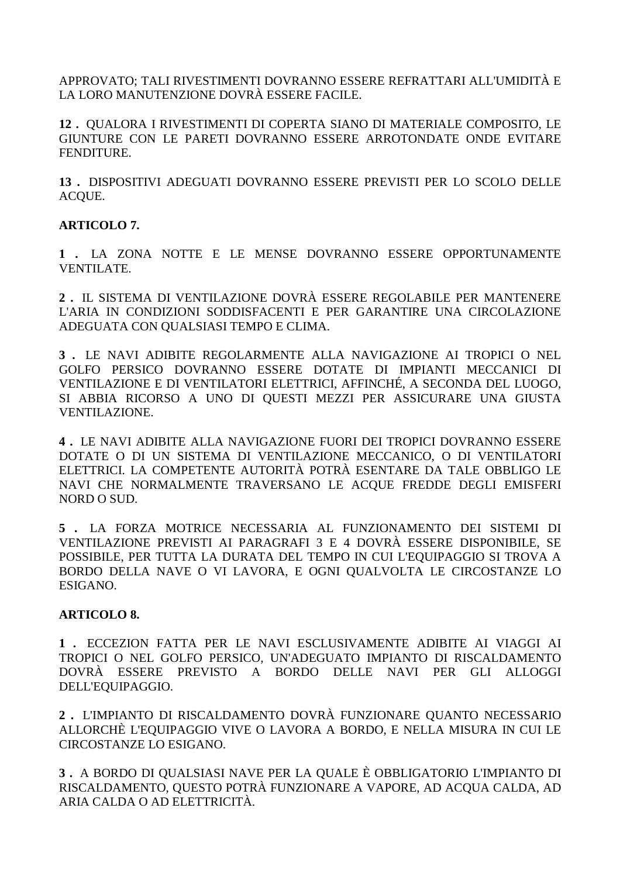APPROVATO; TALI RIVESTIMENTI DOVRANNO ESSERE REFRATTARI ALL'UMIDITÀ E LA LORO MANUTENZIONE DOVRÀ ESSERE FACILE.

**12 .** QUALORA I RIVESTIMENTI DI COPERTA SIANO DI MATERIALE COMPOSITO, LE GIUNTURE CON LE PARETI DOVRANNO ESSERE ARROTONDATE ONDE EVITARE FENDITURE.

**13 .** DISPOSITIVI ADEGUATI DOVRANNO ESSERE PREVISTI PER LO SCOLO DELLE ACQUE.

# **ARTICOLO 7.**

**1 .** LA ZONA NOTTE E LE MENSE DOVRANNO ESSERE OPPORTUNAMENTE VENTILATE.

**2 .** IL SISTEMA DI VENTILAZIONE DOVRÀ ESSERE REGOLABILE PER MANTENERE L'ARIA IN CONDIZIONI SODDISFACENTI E PER GARANTIRE UNA CIRCOLAZIONE ADEGUATA CON QUALSIASI TEMPO E CLIMA.

**3 .** LE NAVI ADIBITE REGOLARMENTE ALLA NAVIGAZIONE AI TROPICI O NEL GOLFO PERSICO DOVRANNO ESSERE DOTATE DI IMPIANTI MECCANICI DI VENTILAZIONE E DI VENTILATORI ELETTRICI, AFFINCHÉ, A SECONDA DEL LUOGO, SI ABBIA RICORSO A UNO DI QUESTI MEZZI PER ASSICURARE UNA GIUSTA VENTILAZIONE.

**4 .** LE NAVI ADIBITE ALLA NAVIGAZIONE FUORI DEI TROPICI DOVRANNO ESSERE DOTATE O DI UN SISTEMA DI VENTILAZIONE MECCANICO, O DI VENTILATORI ELETTRICI. LA COMPETENTE AUTORITÀ POTRÀ ESENTARE DA TALE OBBLIGO LE NAVI CHE NORMALMENTE TRAVERSANO LE ACQUE FREDDE DEGLI EMISFERI NORD O SUD.

**5 .** LA FORZA MOTRICE NECESSARIA AL FUNZIONAMENTO DEI SISTEMI DI VENTILAZIONE PREVISTI AI PARAGRAFI 3 E 4 DOVRÀ ESSERE DISPONIBILE, SE POSSIBILE, PER TUTTA LA DURATA DEL TEMPO IN CUI L'EQUIPAGGIO SI TROVA A BORDO DELLA NAVE O VI LAVORA, E OGNI QUALVOLTA LE CIRCOSTANZE LO ESIGANO.

#### **ARTICOLO 8.**

**1 .** ECCEZION FATTA PER LE NAVI ESCLUSIVAMENTE ADIBITE AI VIAGGI AI TROPICI O NEL GOLFO PERSICO, UN'ADEGUATO IMPIANTO DI RISCALDAMENTO DOVRÀ ESSERE PREVISTO A BORDO DELLE NAVI PER GLI ALLOGGI DELL'EQUIPAGGIO.

**2 .** L'IMPIANTO DI RISCALDAMENTO DOVRÀ FUNZIONARE QUANTO NECESSARIO ALLORCHÈ L'EQUIPAGGIO VIVE O LAVORA A BORDO, E NELLA MISURA IN CUI LE CIRCOSTANZE LO ESIGANO.

**3 .** A BORDO DI QUALSIASI NAVE PER LA QUALE È OBBLIGATORIO L'IMPIANTO DI RISCALDAMENTO, QUESTO POTRÀ FUNZIONARE A VAPORE, AD ACQUA CALDA, AD ARIA CALDA O AD ELETTRICITÀ.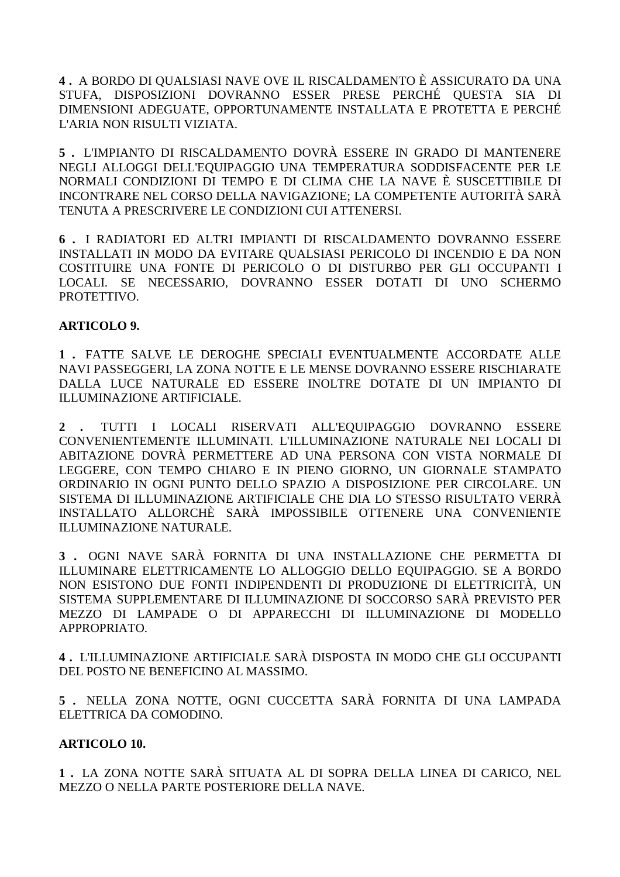**4 .** A BORDO DI QUALSIASI NAVE OVE IL RISCALDAMENTO È ASSICURATO DA UNA STUFA, DISPOSIZIONI DOVRANNO ESSER PRESE PERCHÉ QUESTA SIA DI DIMENSIONI ADEGUATE, OPPORTUNAMENTE INSTALLATA E PROTETTA E PERCHÉ L'ARIA NON RISULTI VIZIATA.

**5 .** L'IMPIANTO DI RISCALDAMENTO DOVRÀ ESSERE IN GRADO DI MANTENERE NEGLI ALLOGGI DELL'EQUIPAGGIO UNA TEMPERATURA SODDISFACENTE PER LE NORMALI CONDIZIONI DI TEMPO E DI CLIMA CHE LA NAVE È SUSCETTIBILE DI INCONTRARE NEL CORSO DELLA NAVIGAZIONE; LA COMPETENTE AUTORITÀ SARÀ TENUTA A PRESCRIVERE LE CONDIZIONI CUI ATTENERSI.

**6 .** I RADIATORI ED ALTRI IMPIANTI DI RISCALDAMENTO DOVRANNO ESSERE INSTALLATI IN MODO DA EVITARE QUALSIASI PERICOLO DI INCENDIO E DA NON COSTITUIRE UNA FONTE DI PERICOLO O DI DISTURBO PER GLI OCCUPANTI I LOCALI. SE NECESSARIO, DOVRANNO ESSER DOTATI DI UNO SCHERMO PROTETTIVO.

# **ARTICOLO 9.**

**1 .** FATTE SALVE LE DEROGHE SPECIALI EVENTUALMENTE ACCORDATE ALLE NAVI PASSEGGERI, LA ZONA NOTTE E LE MENSE DOVRANNO ESSERE RISCHIARATE DALLA LUCE NATURALE ED ESSERE INOLTRE DOTATE DI UN IMPIANTO DI ILLUMINAZIONE ARTIFICIALE.

**2 .** TUTTI I LOCALI RISERVATI ALL'EQUIPAGGIO DOVRANNO ESSERE CONVENIENTEMENTE ILLUMINATI. L'ILLUMINAZIONE NATURALE NEI LOCALI DI ABITAZIONE DOVRÀ PERMETTERE AD UNA PERSONA CON VISTA NORMALE DI LEGGERE, CON TEMPO CHIARO E IN PIENO GIORNO, UN GIORNALE STAMPATO ORDINARIO IN OGNI PUNTO DELLO SPAZIO A DISPOSIZIONE PER CIRCOLARE. UN SISTEMA DI ILLUMINAZIONE ARTIFICIALE CHE DIA LO STESSO RISULTATO VERRÀ INSTALLATO ALLORCHÈ SARÀ IMPOSSIBILE OTTENERE UNA CONVENIENTE ILLUMINAZIONE NATURALE.

**3 .** OGNI NAVE SARÀ FORNITA DI UNA INSTALLAZIONE CHE PERMETTA DI ILLUMINARE ELETTRICAMENTE LO ALLOGGIO DELLO EQUIPAGGIO. SE A BORDO NON ESISTONO DUE FONTI INDIPENDENTI DI PRODUZIONE DI ELETTRICITÀ, UN SISTEMA SUPPLEMENTARE DI ILLUMINAZIONE DI SOCCORSO SARÀ PREVISTO PER MEZZO DI LAMPADE O DI APPARECCHI DI ILLUMINAZIONE DI MODELLO APPROPRIATO.

**4 .** L'ILLUMINAZIONE ARTIFICIALE SARÀ DISPOSTA IN MODO CHE GLI OCCUPANTI DEL POSTO NE BENEFICINO AL MASSIMO.

**5 .** NELLA ZONA NOTTE, OGNI CUCCETTA SARÀ FORNITA DI UNA LAMPADA ELETTRICA DA COMODINO.

# **ARTICOLO 10.**

**1 .** LA ZONA NOTTE SARÀ SITUATA AL DI SOPRA DELLA LINEA DI CARICO, NEL MEZZO O NELLA PARTE POSTERIORE DELLA NAVE.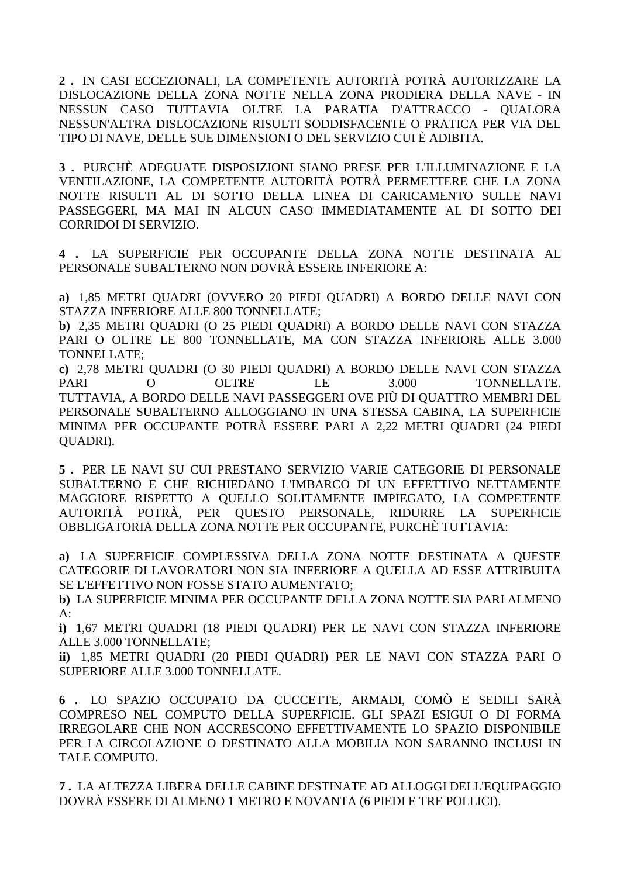2. IN CASI ECCEZIONALI, LA COMPETENTE AUTORITÀ POTRÀ AUTORIZZARE LA DISLOCAZIONE DELLA ZONA NOTTE NELLA ZONA PRODIERA DELLA NAVE - IN NESSUN CASO TUTTAVIA OLTRE LA PARATIA D'ATTRACCO - QUALORA NESSUN'ALTRA DISLOCAZIONE RISULTI SODDISFACENTE O PRATICA PER VIA DEL TIPO DI NAVE. DELLE SUE DIMENSIONI O DEL SERVIZIO CUI È ADIBITA.

3. PURCHÈ ADEGUATE DISPOSIZIONI SIANO PRESE PER L'ILLUMINAZIONE E LA VENTILAZIONE, LA COMPETENTE AUTORITÀ POTRÀ PERMETTERE CHE LA ZONA NOTTE RISULTI AL DI SOTTO DELLA LINEA DI CARICAMENTO SULLE NAVI PASSEGGERI, MA MAI IN ALCUN CASO IMMEDIATAMENTE AL DI SOTTO DEI CORRIDOI DI SERVIZIO.

4 . LA SUPERFICIE PER OCCUPANTE DELLA ZONA NOTTE DESTINATA AL PERSONALE SUBALTERNO NON DOVRÀ ESSERE INFERIORE A:

a) 1,85 METRI QUADRI (OVVERO 20 PIEDI QUADRI) A BORDO DELLE NAVI CON STAZZA INFERIORE ALLE 800 TONNELLATE;

b) 2,35 METRI QUADRI (O 25 PIEDI QUADRI) A BORDO DELLE NAVI CON STAZZA PARI O OLTRE LE 800 TONNELLATE, MA CON STAZZA INFERIORE ALLE 3.000 TONNELLATE:

c) 2,78 METRI QUADRI (O 30 PIEDI QUADRI) A BORDO DELLE NAVI CON STAZZA **PARI**  $\Omega$ **OLTRE**  $LE$ 3.000 TONNELLATE. TUTTAVIA, A BORDO DELLE NAVI PASSEGGERI OVE PIÙ DI QUATTRO MEMBRI DEL PERSONALE SUBALTERNO ALLOGGIANO IN UNA STESSA CABINA, LA SUPERFICIE MINIMA PER OCCUPANTE POTRÀ ESSERE PARI A 2,22 METRI QUADRI (24 PIEDI **OUADRI**).

5. PER LE NAVI SU CUI PRESTANO SERVIZIO VARIE CATEGORIE DI PERSONALE SUBALTERNO E CHE RICHIEDANO L'IMBARCO DI UN EFFETTIVO NETTAMENTE MAGGIORE RISPETTO A QUELLO SOLITAMENTE IMPIEGATO, LA COMPETENTE AUTORITÀ POTRÀ, PER OUESTO PERSONALE, RIDURRE LA SUPERFICIE OBBLIGATORIA DELLA ZONA NOTTE PER OCCUPANTE, PURCHÈ TUTTAVIA:

a) LA SUPERFICIE COMPLESSIVA DELLA ZONA NOTTE DESTINATA A OUESTE CATEGORIE DI LAVORATORI NON SIA INFERIORE A QUELLA AD ESSE ATTRIBUITA SE L'EFFETTIVO NON FOSSE STATO AUMENTATO;

**b**) LA SUPERFICIE MINIMA PER OCCUPANTE DELLA ZONA NOTTE SIA PARI ALMENO  $A$ :

i) 1,67 METRI QUADRI (18 PIEDI QUADRI) PER LE NAVI CON STAZZA INFERIORE ALLE 3.000 TONNELLATE;

ii) 1,85 METRI OUADRI (20 PIEDI OUADRI) PER LE NAVI CON STAZZA PARI O SUPERIORE ALLE 3.000 TONNELLATE.

6. LO SPAZIO OCCUPATO DA CUCCETTE, ARMADI, COMÒ E SEDILI SARÀ COMPRESO NEL COMPUTO DELLA SUPERFICIE. GLI SPAZI ESIGUI O DI FORMA IRREGOLARE CHE NON ACCRESCONO EFFETTIVAMENTE LO SPAZIO DISPONIBILE PER LA CIRCOLAZIONE O DESTINATO ALLA MOBILIA NON SARANNO INCLUSI IN TALE COMPUTO.

7. LA ALTEZZA LIBERA DELLE CABINE DESTINATE AD ALLOGGI DELL'EQUIPAGGIO DOVRÀ ESSERE DI ALMENO 1 METRO E NOVANTA (6 PIEDI E TRE POLLICI).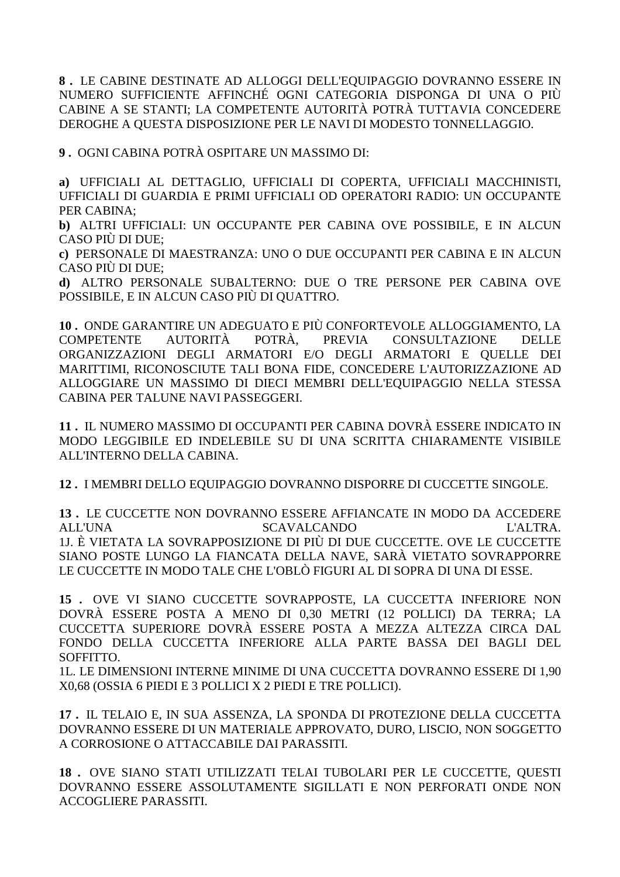**8 .** LE CABINE DESTINATE AD ALLOGGI DELL'EQUIPAGGIO DOVRANNO ESSERE IN NUMERO SUFFICIENTE AFFINCHÉ OGNI CATEGORIA DISPONGA DI UNA O PIÙ CABINE A SE STANTI; LA COMPETENTE AUTORITÀ POTRÀ TUTTAVIA CONCEDERE DEROGHE A QUESTA DISPOSIZIONE PER LE NAVI DI MODESTO TONNELLAGGIO.

**9 .** OGNI CABINA POTRÀ OSPITARE UN MASSIMO DI:

**a)** UFFICIALI AL DETTAGLIO, UFFICIALI DI COPERTA, UFFICIALI MACCHINISTI, UFFICIALI DI GUARDIA E PRIMI UFFICIALI OD OPERATORI RADIO: UN OCCUPANTE PER CABINA;

**b)** ALTRI UFFICIALI: UN OCCUPANTE PER CABINA OVE POSSIBILE, E IN ALCUN CASO PIÙ DI DUE;

**c)** PERSONALE DI MAESTRANZA: UNO O DUE OCCUPANTI PER CABINA E IN ALCUN CASO PIÙ DI DUE;

**d)** ALTRO PERSONALE SUBALTERNO: DUE O TRE PERSONE PER CABINA OVE POSSIBILE, E IN ALCUN CASO PIÙ DI QUATTRO.

**10 .** ONDE GARANTIRE UN ADEGUATO E PIÙ CONFORTEVOLE ALLOGGIAMENTO, LA COMPETENTE AUTORITÀ POTRÀ, PREVIA CONSULTAZIONE DELLE ORGANIZZAZIONI DEGLI ARMATORI E/O DEGLI ARMATORI E QUELLE DEI MARITTIMI, RICONOSCIUTE TALI BONA FIDE, CONCEDERE L'AUTORIZZAZIONE AD ALLOGGIARE UN MASSIMO DI DIECI MEMBRI DELL'EQUIPAGGIO NELLA STESSA CABINA PER TALUNE NAVI PASSEGGERI.

**11 .** IL NUMERO MASSIMO DI OCCUPANTI PER CABINA DOVRÀ ESSERE INDICATO IN MODO LEGGIBILE ED INDELEBILE SU DI UNA SCRITTA CHIARAMENTE VISIBILE ALL'INTERNO DELLA CABINA.

**12 .** I MEMBRI DELLO EQUIPAGGIO DOVRANNO DISPORRE DI CUCCETTE SINGOLE.

**13 .** LE CUCCETTE NON DOVRANNO ESSERE AFFIANCATE IN MODO DA ACCEDERE ALL'UNA SCAVALCANDO L'ALTRA. 1J. È VIETATA LA SOVRAPPOSIZIONE DI PIÙ DI DUE CUCCETTE. OVE LE CUCCETTE SIANO POSTE LUNGO LA FIANCATA DELLA NAVE, SARÀ VIETATO SOVRAPPORRE LE CUCCETTE IN MODO TALE CHE L'OBLÒ FIGURI AL DI SOPRA DI UNA DI ESSE.

**15 .** OVE VI SIANO CUCCETTE SOVRAPPOSTE, LA CUCCETTA INFERIORE NON DOVRÀ ESSERE POSTA A MENO DI 0,30 METRI (12 POLLICI) DA TERRA; LA CUCCETTA SUPERIORE DOVRÀ ESSERE POSTA A MEZZA ALTEZZA CIRCA DAL FONDO DELLA CUCCETTA INFERIORE ALLA PARTE BASSA DEI BAGLI DEL SOFFITTO.

1L. LE DIMENSIONI INTERNE MINIME DI UNA CUCCETTA DOVRANNO ESSERE DI 1,90 X0,68 (OSSIA 6 PIEDI E 3 POLLICI X 2 PIEDI E TRE POLLICI).

**17 .** IL TELAIO E, IN SUA ASSENZA, LA SPONDA DI PROTEZIONE DELLA CUCCETTA DOVRANNO ESSERE DI UN MATERIALE APPROVATO, DURO, LISCIO, NON SOGGETTO A CORROSIONE O ATTACCABILE DAI PARASSITI.

**18 .** OVE SIANO STATI UTILIZZATI TELAI TUBOLARI PER LE CUCCETTE, QUESTI DOVRANNO ESSERE ASSOLUTAMENTE SIGILLATI E NON PERFORATI ONDE NON ACCOGLIERE PARASSITI.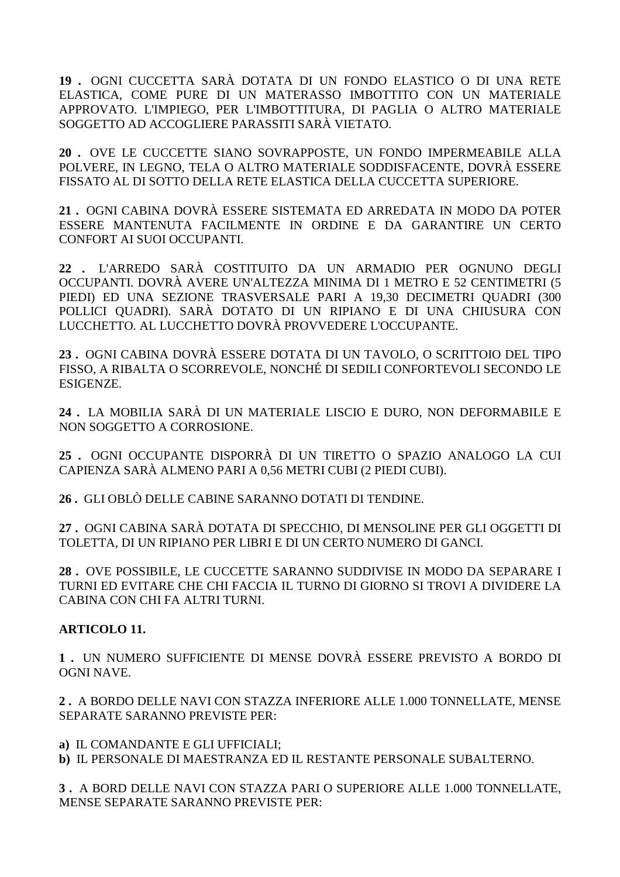**19 .** OGNI CUCCETTA SARÀ DOTATA DI UN FONDO ELASTICO O DI UNA RETE ELASTICA, COME PURE DI UN MATERASSO IMBOTTITO CON UN MATERIALE APPROVATO. L'IMPIEGO, PER L'IMBOTTITURA, DI PAGLIA O ALTRO MATERIALE SOGGETTO AD ACCOGLIERE PARASSITI SARÀ VIETATO.

**20 .** OVE LE CUCCETTE SIANO SOVRAPPOSTE, UN FONDO IMPERMEABILE ALLA POLVERE, IN LEGNO, TELA O ALTRO MATERIALE SODDISFACENTE, DOVRÀ ESSERE FISSATO AL DI SOTTO DELLA RETE ELASTICA DELLA CUCCETTA SUPERIORE.

**21 .** OGNI CABINA DOVRÀ ESSERE SISTEMATA ED ARREDATA IN MODO DA POTER ESSERE MANTENUTA FACILMENTE IN ORDINE E DA GARANTIRE UN CERTO CONFORT AI SUOI OCCUPANTI.

**22 .** L'ARREDO SARÀ COSTITUITO DA UN ARMADIO PER OGNUNO DEGLI OCCUPANTI. DOVRÀ AVERE UN'ALTEZZA MINIMA DI 1 METRO E 52 CENTIMETRI (5 PIEDI) ED UNA SEZIONE TRASVERSALE PARI A 19,30 DECIMETRI QUADRI (300 POLLICI QUADRI). SARÀ DOTATO DI UN RIPIANO E DI UNA CHIUSURA CON LUCCHETTO. AL LUCCHETTO DOVRÀ PROVVEDERE L'OCCUPANTE.

**23 .** OGNI CABINA DOVRÀ ESSERE DOTATA DI UN TAVOLO, O SCRITTOIO DEL TIPO FISSO, A RIBALTA O SCORREVOLE, NONCHÉ DI SEDILI CONFORTEVOLI SECONDO LE **ESIGENZE** 

**24 .** LA MOBILIA SARÀ DI UN MATERIALE LISCIO E DURO, NON DEFORMABILE E NON SOGGETTO A CORROSIONE.

**25 .** OGNI OCCUPANTE DISPORRÀ DI UN TIRETTO O SPAZIO ANALOGO LA CUI CAPIENZA SARÀ ALMENO PARI A 0,56 METRI CUBI (2 PIEDI CUBI).

**26 .** GLI OBLÒ DELLE CABINE SARANNO DOTATI DI TENDINE.

**27 .** OGNI CABINA SARÀ DOTATA DI SPECCHIO, DI MENSOLINE PER GLI OGGETTI DI TOLETTA, DI UN RIPIANO PER LIBRI E DI UN CERTO NUMERO DI GANCI.

**28 .** OVE POSSIBILE, LE CUCCETTE SARANNO SUDDIVISE IN MODO DA SEPARARE I TURNI ED EVITARE CHE CHI FACCIA IL TURNO DI GIORNO SI TROVI A DIVIDERE LA CABINA CON CHI FA ALTRI TURNI.

# **ARTICOLO 11.**

**1 .** UN NUMERO SUFFICIENTE DI MENSE DOVRÀ ESSERE PREVISTO A BORDO DI OGNI NAVE.

**2 .** A BORDO DELLE NAVI CON STAZZA INFERIORE ALLE 1.000 TONNELLATE, MENSE SEPARATE SARANNO PREVISTE PER:

**a)** IL COMANDANTE E GLI UFFICIALI; **b)** IL PERSONALE DI MAESTRANZA ED IL RESTANTE PERSONALE SUBALTERNO.

**3 .** A BORD DELLE NAVI CON STAZZA PARI O SUPERIORE ALLE 1.000 TONNELLATE, MENSE SEPARATE SARANNO PREVISTE PER: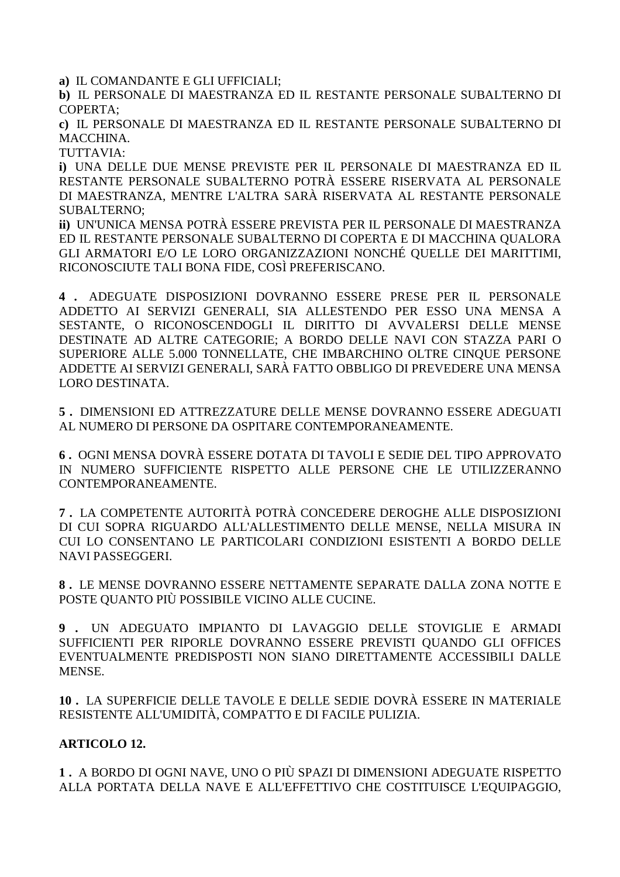**a)** IL COMANDANTE E GLI UFFICIALI;

**b)** IL PERSONALE DI MAESTRANZA ED IL RESTANTE PERSONALE SUBALTERNO DI COPERTA;

**c)** IL PERSONALE DI MAESTRANZA ED IL RESTANTE PERSONALE SUBALTERNO DI MACCHINA.

TUTTAVIA:

**i)** UNA DELLE DUE MENSE PREVISTE PER IL PERSONALE DI MAESTRANZA ED IL RESTANTE PERSONALE SUBALTERNO POTRÀ ESSERE RISERVATA AL PERSONALE DI MAESTRANZA, MENTRE L'ALTRA SARÀ RISERVATA AL RESTANTE PERSONALE SUBALTERNO;

**ii)** UN'UNICA MENSA POTRÀ ESSERE PREVISTA PER IL PERSONALE DI MAESTRANZA ED IL RESTANTE PERSONALE SUBALTERNO DI COPERTA E DI MACCHINA QUALORA GLI ARMATORI E/O LE LORO ORGANIZZAZIONI NONCHÉ QUELLE DEI MARITTIMI, RICONOSCIUTE TALI BONA FIDE, COSÌ PREFERISCANO.

**4 .** ADEGUATE DISPOSIZIONI DOVRANNO ESSERE PRESE PER IL PERSONALE ADDETTO AI SERVIZI GENERALI, SIA ALLESTENDO PER ESSO UNA MENSA A SESTANTE, O RICONOSCENDOGLI IL DIRITTO DI AVVALERSI DELLE MENSE DESTINATE AD ALTRE CATEGORIE; A BORDO DELLE NAVI CON STAZZA PARI O SUPERIORE ALLE 5.000 TONNELLATE, CHE IMBARCHINO OLTRE CINQUE PERSONE ADDETTE AI SERVIZI GENERALI, SARÀ FATTO OBBLIGO DI PREVEDERE UNA MENSA LORO DESTINATA.

**5 .** DIMENSIONI ED ATTREZZATURE DELLE MENSE DOVRANNO ESSERE ADEGUATI AL NUMERO DI PERSONE DA OSPITARE CONTEMPORANEAMENTE.

**6 .** OGNI MENSA DOVRÀ ESSERE DOTATA DI TAVOLI E SEDIE DEL TIPO APPROVATO IN NUMERO SUFFICIENTE RISPETTO ALLE PERSONE CHE LE UTILIZZERANNO CONTEMPORANEAMENTE.

**7 .** LA COMPETENTE AUTORITÀ POTRÀ CONCEDERE DEROGHE ALLE DISPOSIZIONI DI CUI SOPRA RIGUARDO ALL'ALLESTIMENTO DELLE MENSE, NELLA MISURA IN CUI LO CONSENTANO LE PARTICOLARI CONDIZIONI ESISTENTI A BORDO DELLE NAVI PASSEGGERI.

**8 .** LE MENSE DOVRANNO ESSERE NETTAMENTE SEPARATE DALLA ZONA NOTTE E POSTE QUANTO PIÙ POSSIBILE VICINO ALLE CUCINE.

**9 .** UN ADEGUATO IMPIANTO DI LAVAGGIO DELLE STOVIGLIE E ARMADI SUFFICIENTI PER RIPORLE DOVRANNO ESSERE PREVISTI QUANDO GLI OFFICES EVENTUALMENTE PREDISPOSTI NON SIANO DIRETTAMENTE ACCESSIBILI DALLE MENSE.

**10 .** LA SUPERFICIE DELLE TAVOLE E DELLE SEDIE DOVRÀ ESSERE IN MATERIALE RESISTENTE ALL'UMIDITÀ, COMPATTO E DI FACILE PULIZIA.

# **ARTICOLO 12.**

**1 .** A BORDO DI OGNI NAVE, UNO O PIÙ SPAZI DI DIMENSIONI ADEGUATE RISPETTO ALLA PORTATA DELLA NAVE E ALL'EFFETTIVO CHE COSTITUISCE L'EQUIPAGGIO,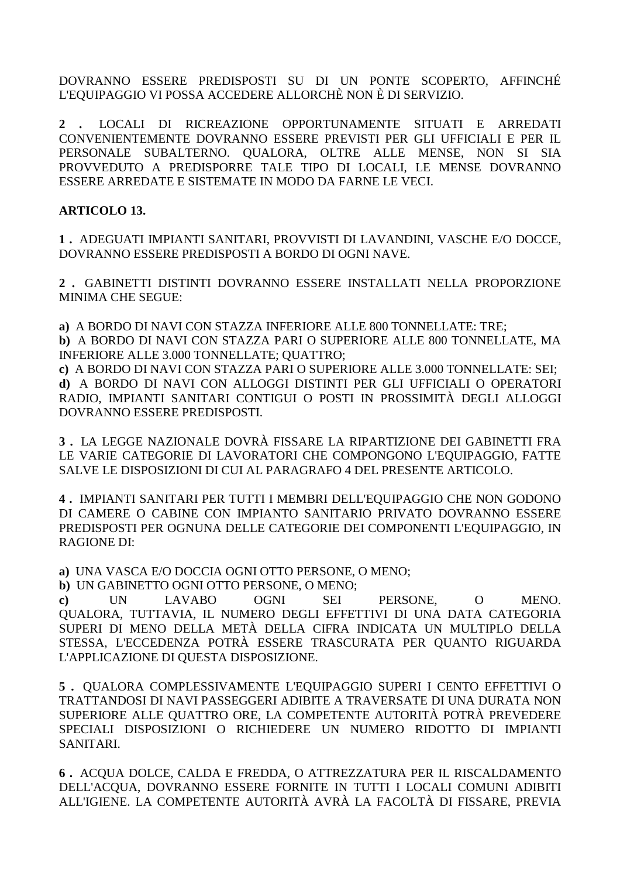DOVRANNO ESSERE PREDISPOSTI SU DI UN PONTE SCOPERTO, AFFINCHÉ L'EQUIPAGGIO VI POSSA ACCEDERE ALLORCHÈ NON È DI SERVIZIO.

LOCALI DI RICREAZIONE OPPORTUNAMENTE SITUATI E ARREDATI  $2 \cdot$ CONVENIENTEMENTE DOVRANNO ESSERE PREVISTI PER GLI UFFICIALI E PER IL PERSONALE SUBALTERNO. QUALORA, OLTRE ALLE MENSE, NON SI SIA PROVVEDUTO A PREDISPORRE TALE TIPO DI LOCALI, LE MENSE DOVRANNO ESSERE ARREDATE E SISTEMATE IN MODO DA FARNE LE VECI.

# **ARTICOLO 13.**

1. ADEGUATI IMPIANTI SANITARI, PROVVISTI DI LAVANDINI, VASCHE E/O DOCCE, DOVRANNO ESSERE PREDISPOSTI A BORDO DI OGNI NAVE.

2. GABINETTI DISTINTI DOVRANNO ESSERE INSTALLATI NELLA PROPORZIONE MINIMA CHE SEGUE:

a) A BORDO DI NAVI CON STAZZA INFERIORE ALLE 800 TONNELLATE: TRE;

b) A BORDO DI NAVI CON STAZZA PARI O SUPERIORE ALLE 800 TONNELLATE, MA INFERIORE ALLE 3.000 TONNELLATE; QUATTRO;

c) A BORDO DI NAVI CON STAZZA PARI O SUPERIORE ALLE 3.000 TONNELLATE: SEI; d) A BORDO DI NAVI CON ALLOGGI DISTINTI PER GLI UFFICIALI O OPERATORI RADIO, IMPIANTI SANITARI CONTIGUI O POSTI IN PROSSIMITÀ DEGLI ALLOGGI DOVRANNO ESSERE PREDISPOSTI.

3. LA LEGGE NAZIONALE DOVRÀ FISSARE LA RIPARTIZIONE DEI GABINETTI FRA LE VARIE CATEGORIE DI LAVORATORI CHE COMPONGONO L'EQUIPAGGIO, FATTE SALVE LE DISPOSIZIONI DI CUI AL PARAGRAFO 4 DEL PRESENTE ARTICOLO.

4. IMPIANTI SANITARI PER TUTTI I MEMBRI DELL'EQUIPAGGIO CHE NON GODONO DI CAMERE O CABINE CON IMPIANTO SANITARIO PRIVATO DOVRANNO ESSERE PREDISPOSTI PER OGNUNA DELLE CATEGORIE DEI COMPONENTI L'EQUIPAGGIO, IN **RAGIONE DI:** 

a) UNA VASCA E/O DOCCIA OGNI OTTO PERSONE, O MENO;

b) UN GABINETTO OGNI OTTO PERSONE, O MENO;

**UN LAVABO OGNI SEI** PERSONE.  $\Omega$ MENO.  $\mathbf{c}$ QUALORA, TUTTAVIA, IL NUMERO DEGLI EFFETTIVI DI UNA DATA CATEGORIA SUPERI DI MENO DELLA METÀ DELLA CIFRA INDICATA UN MULTIPLO DELLA STESSA, L'ECCEDENZA POTRÀ ESSERE TRASCURATA PER QUANTO RIGUARDA L'APPLICAZIONE DI QUESTA DISPOSIZIONE.

5. OUALORA COMPLESSIVAMENTE L'EOUIPAGGIO SUPERI I CENTO EFFETTIVI O TRATTANDOSI DI NAVI PASSEGGERI ADIBITE A TRAVERSATE DI UNA DURATA NON SUPERIORE ALLE QUATTRO ORE, LA COMPETENTE AUTORITÀ POTRÀ PREVEDERE SPECIALI DISPOSIZIONI O RICHIEDERE UN NUMERO RIDOTTO DI IMPIANTI SANITARI.

6. ACOUA DOLCE, CALDA E FREDDA, O ATTREZZATURA PER IL RISCALDAMENTO DELL'ACOUA, DOVRANNO ESSERE FORNITE IN TUTTI I LOCALI COMUNI ADIBITI ALL'IGIENE. LA COMPETENTE AUTORITÀ AVRÀ LA FACOLTÀ DI FISSARE, PREVIA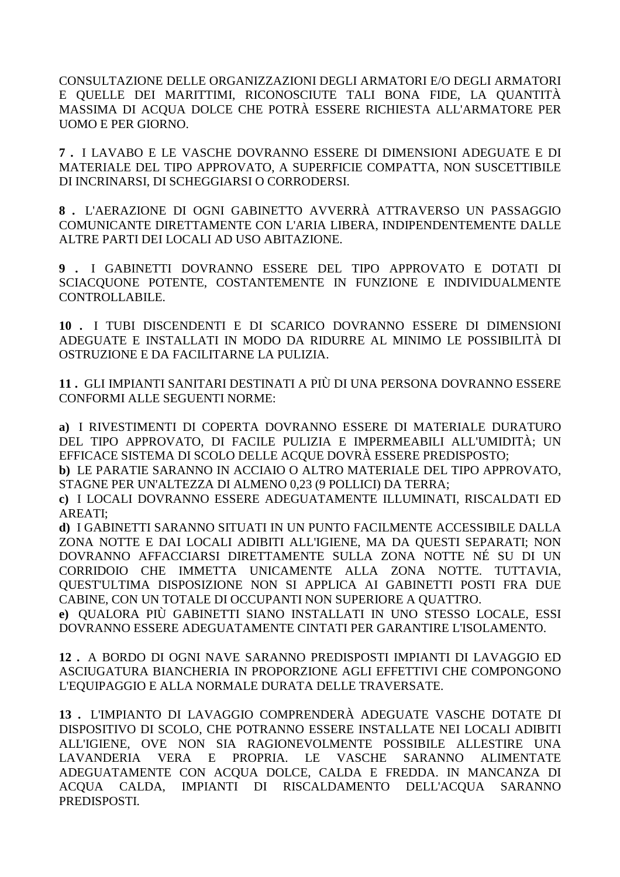CONSULTAZIONE DELLE ORGANIZZAZIONI DEGLI ARMATORI E/O DEGLI ARMATORI E QUELLE DEI MARITTIMI, RICONOSCIUTE TALI BONA FIDE, LA QUANTITÀ MASSIMA DI ACQUA DOLCE CHE POTRÀ ESSERE RICHIESTA ALL'ARMATORE PER UOMO E PER GIORNO.

**7 .** I LAVABO E LE VASCHE DOVRANNO ESSERE DI DIMENSIONI ADEGUATE E DI MATERIALE DEL TIPO APPROVATO, A SUPERFICIE COMPATTA, NON SUSCETTIBILE DI INCRINARSI, DI SCHEGGIARSI O CORRODERSI.

**8 .** L'AERAZIONE DI OGNI GABINETTO AVVERRÀ ATTRAVERSO UN PASSAGGIO COMUNICANTE DIRETTAMENTE CON L'ARIA LIBERA, INDIPENDENTEMENTE DALLE ALTRE PARTI DEI LOCALI AD USO ABITAZIONE.

**9 .** I GABINETTI DOVRANNO ESSERE DEL TIPO APPROVATO E DOTATI DI SCIACQUONE POTENTE, COSTANTEMENTE IN FUNZIONE E INDIVIDUALMENTE CONTROLLABILE.

**10 .** I TUBI DISCENDENTI E DI SCARICO DOVRANNO ESSERE DI DIMENSIONI ADEGUATE E INSTALLATI IN MODO DA RIDURRE AL MINIMO LE POSSIBILITÀ DI OSTRUZIONE E DA FACILITARNE LA PULIZIA.

**11 .** GLI IMPIANTI SANITARI DESTINATI A PIÙ DI UNA PERSONA DOVRANNO ESSERE CONFORMI ALLE SEGUENTI NORME:

**a)** I RIVESTIMENTI DI COPERTA DOVRANNO ESSERE DI MATERIALE DURATURO DEL TIPO APPROVATO, DI FACILE PULIZIA E IMPERMEABILI ALL'UMIDITÀ; UN EFFICACE SISTEMA DI SCOLO DELLE ACQUE DOVRÀ ESSERE PREDISPOSTO;

**b)** LE PARATIE SARANNO IN ACCIAIO O ALTRO MATERIALE DEL TIPO APPROVATO, STAGNE PER UN'ALTEZZA DI ALMENO 0,23 (9 POLLICI) DA TERRA;

**c)** I LOCALI DOVRANNO ESSERE ADEGUATAMENTE ILLUMINATI, RISCALDATI ED AREATI;

**d)** I GABINETTI SARANNO SITUATI IN UN PUNTO FACILMENTE ACCESSIBILE DALLA ZONA NOTTE E DAI LOCALI ADIBITI ALL'IGIENE, MA DA QUESTI SEPARATI; NON DOVRANNO AFFACCIARSI DIRETTAMENTE SULLA ZONA NOTTE NÉ SU DI UN CORRIDOIO CHE IMMETTA UNICAMENTE ALLA ZONA NOTTE. TUTTAVIA, QUEST'ULTIMA DISPOSIZIONE NON SI APPLICA AI GABINETTI POSTI FRA DUE CABINE, CON UN TOTALE DI OCCUPANTI NON SUPERIORE A QUATTRO.

**e)** QUALORA PIÙ GABINETTI SIANO INSTALLATI IN UNO STESSO LOCALE, ESSI DOVRANNO ESSERE ADEGUATAMENTE CINTATI PER GARANTIRE L'ISOLAMENTO.

**12 .** A BORDO DI OGNI NAVE SARANNO PREDISPOSTI IMPIANTI DI LAVAGGIO ED ASCIUGATURA BIANCHERIA IN PROPORZIONE AGLI EFFETTIVI CHE COMPONGONO L'EQUIPAGGIO E ALLA NORMALE DURATA DELLE TRAVERSATE.

**13 .** L'IMPIANTO DI LAVAGGIO COMPRENDERÀ ADEGUATE VASCHE DOTATE DI DISPOSITIVO DI SCOLO, CHE POTRANNO ESSERE INSTALLATE NEI LOCALI ADIBITI ALL'IGIENE, OVE NON SIA RAGIONEVOLMENTE POSSIBILE ALLESTIRE UNA LAVANDERIA VERA E PROPRIA. LE VASCHE SARANNO ALIMENTATE ADEGUATAMENTE CON ACQUA DOLCE, CALDA E FREDDA. IN MANCANZA DI ACQUA CALDA, IMPIANTI DI RISCALDAMENTO DELL'ACQUA SARANNO PREDISPOSTI.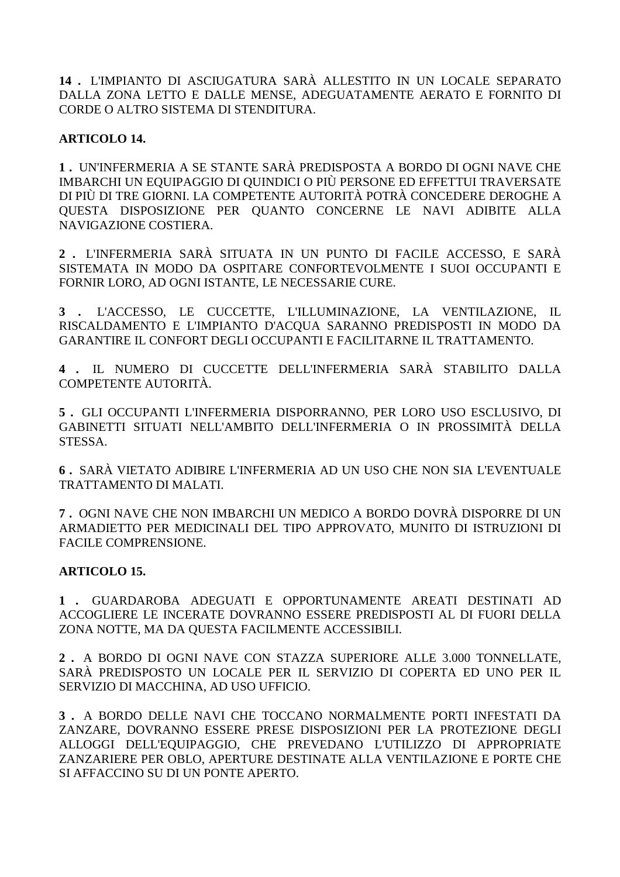**14 .** L'IMPIANTO DI ASCIUGATURA SARÀ ALLESTITO IN UN LOCALE SEPARATO DALLA ZONA LETTO E DALLE MENSE, ADEGUATAMENTE AERATO E FORNITO DI CORDE O ALTRO SISTEMA DI STENDITURA.

# **ARTICOLO 14.**

**1 .** UN'INFERMERIA A SE STANTE SARÀ PREDISPOSTA A BORDO DI OGNI NAVE CHE IMBARCHI UN EQUIPAGGIO DI QUINDICI O PIÙ PERSONE ED EFFETTUI TRAVERSATE DI PIÙ DI TRE GIORNI. LA COMPETENTE AUTORITÀ POTRÀ CONCEDERE DEROGHE A QUESTA DISPOSIZIONE PER QUANTO CONCERNE LE NAVI ADIBITE ALLA NAVIGAZIONE COSTIERA.

**2 .** L'INFERMERIA SARÀ SITUATA IN UN PUNTO DI FACILE ACCESSO, E SARÀ SISTEMATA IN MODO DA OSPITARE CONFORTEVOLMENTE I SUOI OCCUPANTI E FORNIR LORO, AD OGNI ISTANTE, LE NECESSARIE CURE.

**3 .** L'ACCESSO, LE CUCCETTE, L'ILLUMINAZIONE, LA VENTILAZIONE, IL RISCALDAMENTO E L'IMPIANTO D'ACQUA SARANNO PREDISPOSTI IN MODO DA GARANTIRE IL CONFORT DEGLI OCCUPANTI E FACILITARNE IL TRATTAMENTO.

**4 .** IL NUMERO DI CUCCETTE DELL'INFERMERIA SARÀ STABILITO DALLA COMPETENTE AUTORITÀ.

**5 .** GLI OCCUPANTI L'INFERMERIA DISPORRANNO, PER LORO USO ESCLUSIVO, DI GABINETTI SITUATI NELL'AMBITO DELL'INFERMERIA O IN PROSSIMITÀ DELLA STESSA.

**6 .** SARÀ VIETATO ADIBIRE L'INFERMERIA AD UN USO CHE NON SIA L'EVENTUALE TRATTAMENTO DI MALATI.

**7 .** OGNI NAVE CHE NON IMBARCHI UN MEDICO A BORDO DOVRÀ DISPORRE DI UN ARMADIETTO PER MEDICINALI DEL TIPO APPROVATO, MUNITO DI ISTRUZIONI DI FACILE COMPRENSIONE.

# **ARTICOLO 15.**

**1 .** GUARDAROBA ADEGUATI E OPPORTUNAMENTE AREATI DESTINATI AD ACCOGLIERE LE INCERATE DOVRANNO ESSERE PREDISPOSTI AL DI FUORI DELLA ZONA NOTTE, MA DA QUESTA FACILMENTE ACCESSIBILI.

**2 .** A BORDO DI OGNI NAVE CON STAZZA SUPERIORE ALLE 3.000 TONNELLATE, SARÀ PREDISPOSTO UN LOCALE PER IL SERVIZIO DI COPERTA ED UNO PER IL SERVIZIO DI MACCHINA, AD USO UFFICIO.

**3 .** A BORDO DELLE NAVI CHE TOCCANO NORMALMENTE PORTI INFESTATI DA ZANZARE, DOVRANNO ESSERE PRESE DISPOSIZIONI PER LA PROTEZIONE DEGLI ALLOGGI DELL'EQUIPAGGIO, CHE PREVEDANO L'UTILIZZO DI APPROPRIATE ZANZARIERE PER OBLO, APERTURE DESTINATE ALLA VENTILAZIONE E PORTE CHE SI AFFACCINO SU DI UN PONTE APERTO.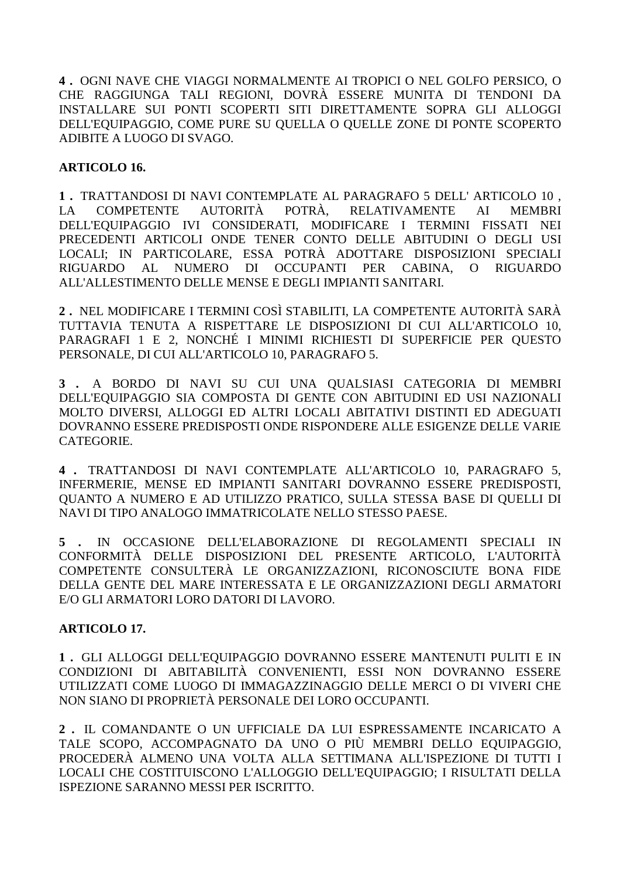**4 .** OGNI NAVE CHE VIAGGI NORMALMENTE AI TROPICI O NEL GOLFO PERSICO, O CHE RAGGIUNGA TALI REGIONI, DOVRÀ ESSERE MUNITA DI TENDONI DA INSTALLARE SUI PONTI SCOPERTI SITI DIRETTAMENTE SOPRA GLI ALLOGGI DELL'EQUIPAGGIO, COME PURE SU QUELLA O QUELLE ZONE DI PONTE SCOPERTO ADIBITE A LUOGO DI SVAGO.

### **ARTICOLO 16.**

**1 .** TRATTANDOSI DI NAVI CONTEMPLATE AL PARAGRAFO 5 DELL' ARTICOLO 10 , LA COMPETENTE AUTORITÀ POTRÀ, RELATIVAMENTE AI MEMBRI DELL'EQUIPAGGIO IVI CONSIDERATI, MODIFICARE I TERMINI FISSATI NEI PRECEDENTI ARTICOLI ONDE TENER CONTO DELLE ABITUDINI O DEGLI USI LOCALI; IN PARTICOLARE, ESSA POTRÀ ADOTTARE DISPOSIZIONI SPECIALI RIGUARDO AL NUMERO DI OCCUPANTI PER CABINA, O RIGUARDO ALL'ALLESTIMENTO DELLE MENSE E DEGLI IMPIANTI SANITARI.

**2 .** NEL MODIFICARE I TERMINI COSÌ STABILITI, LA COMPETENTE AUTORITÀ SARÀ TUTTAVIA TENUTA A RISPETTARE LE DISPOSIZIONI DI CUI ALL'ARTICOLO 10, PARAGRAFI 1 E 2, NONCHÉ I MINIMI RICHIESTI DI SUPERFICIE PER QUESTO PERSONALE, DI CUI ALL'ARTICOLO 10, PARAGRAFO 5.

**3 .** A BORDO DI NAVI SU CUI UNA QUALSIASI CATEGORIA DI MEMBRI DELL'EQUIPAGGIO SIA COMPOSTA DI GENTE CON ABITUDINI ED USI NAZIONALI MOLTO DIVERSI, ALLOGGI ED ALTRI LOCALI ABITATIVI DISTINTI ED ADEGUATI DOVRANNO ESSERE PREDISPOSTI ONDE RISPONDERE ALLE ESIGENZE DELLE VARIE CATEGORIE.

**4 .** TRATTANDOSI DI NAVI CONTEMPLATE ALL'ARTICOLO 10, PARAGRAFO 5, INFERMERIE, MENSE ED IMPIANTI SANITARI DOVRANNO ESSERE PREDISPOSTI, QUANTO A NUMERO E AD UTILIZZO PRATICO, SULLA STESSA BASE DI QUELLI DI NAVI DI TIPO ANALOGO IMMATRICOLATE NELLO STESSO PAESE.

**5 .** IN OCCASIONE DELL'ELABORAZIONE DI REGOLAMENTI SPECIALI IN CONFORMITÀ DELLE DISPOSIZIONI DEL PRESENTE ARTICOLO, L'AUTORITÀ COMPETENTE CONSULTERÀ LE ORGANIZZAZIONI, RICONOSCIUTE BONA FIDE DELLA GENTE DEL MARE INTERESSATA E LE ORGANIZZAZIONI DEGLI ARMATORI E/O GLI ARMATORI LORO DATORI DI LAVORO.

# **ARTICOLO 17.**

**1 .** GLI ALLOGGI DELL'EQUIPAGGIO DOVRANNO ESSERE MANTENUTI PULITI E IN CONDIZIONI DI ABITABILITÀ CONVENIENTI, ESSI NON DOVRANNO ESSERE UTILIZZATI COME LUOGO DI IMMAGAZZINAGGIO DELLE MERCI O DI VIVERI CHE NON SIANO DI PROPRIETÀ PERSONALE DEI LORO OCCUPANTI.

**2 .** IL COMANDANTE O UN UFFICIALE DA LUI ESPRESSAMENTE INCARICATO A TALE SCOPO, ACCOMPAGNATO DA UNO O PIÙ MEMBRI DELLO EQUIPAGGIO, PROCEDERÀ ALMENO UNA VOLTA ALLA SETTIMANA ALL'ISPEZIONE DI TUTTI I LOCALI CHE COSTITUISCONO L'ALLOGGIO DELL'EQUIPAGGIO; I RISULTATI DELLA ISPEZIONE SARANNO MESSI PER ISCRITTO.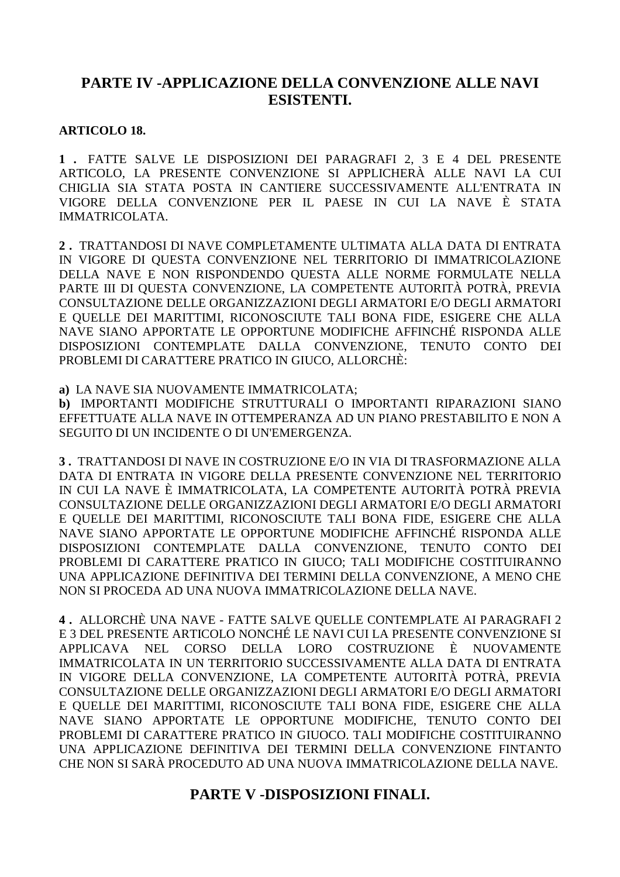# **PARTE IV -APPLICAZIONE DELLA CONVENZIONE ALLE NAVI ESISTENTI.**

# **ARTICOLO 18.**

**1 .** FATTE SALVE LE DISPOSIZIONI DEI PARAGRAFI 2, 3 E 4 DEL PRESENTE ARTICOLO, LA PRESENTE CONVENZIONE SI APPLICHERÀ ALLE NAVI LA CUI CHIGLIA SIA STATA POSTA IN CANTIERE SUCCESSIVAMENTE ALL'ENTRATA IN VIGORE DELLA CONVENZIONE PER IL PAESE IN CUI LA NAVE È STATA IMMATRICOLATA.

**2 .** TRATTANDOSI DI NAVE COMPLETAMENTE ULTIMATA ALLA DATA DI ENTRATA IN VIGORE DI QUESTA CONVENZIONE NEL TERRITORIO DI IMMATRICOLAZIONE DELLA NAVE E NON RISPONDENDO QUESTA ALLE NORME FORMULATE NELLA PARTE III DI QUESTA CONVENZIONE, LA COMPETENTE AUTORITÀ POTRÀ, PREVIA CONSULTAZIONE DELLE ORGANIZZAZIONI DEGLI ARMATORI E/O DEGLI ARMATORI E QUELLE DEI MARITTIMI, RICONOSCIUTE TALI BONA FIDE, ESIGERE CHE ALLA NAVE SIANO APPORTATE LE OPPORTUNE MODIFICHE AFFINCHÉ RISPONDA ALLE DISPOSIZIONI CONTEMPLATE DALLA CONVENZIONE, TENUTO CONTO DEI PROBLEMI DI CARATTERE PRATICO IN GIUCO, ALLORCHÈ:

**a)** LA NAVE SIA NUOVAMENTE IMMATRICOLATA;

**b)** IMPORTANTI MODIFICHE STRUTTURALI O IMPORTANTI RIPARAZIONI SIANO EFFETTUATE ALLA NAVE IN OTTEMPERANZA AD UN PIANO PRESTABILITO E NON A SEGUITO DI UN INCIDENTE O DI UN'EMERGENZA.

**3 .** TRATTANDOSI DI NAVE IN COSTRUZIONE E/O IN VIA DI TRASFORMAZIONE ALLA DATA DI ENTRATA IN VIGORE DELLA PRESENTE CONVENZIONE NEL TERRITORIO IN CUI LA NAVE È IMMATRICOLATA, LA COMPETENTE AUTORITÀ POTRÀ PREVIA CONSULTAZIONE DELLE ORGANIZZAZIONI DEGLI ARMATORI E/O DEGLI ARMATORI E QUELLE DEI MARITTIMI, RICONOSCIUTE TALI BONA FIDE, ESIGERE CHE ALLA NAVE SIANO APPORTATE LE OPPORTUNE MODIFICHE AFFINCHÉ RISPONDA ALLE DISPOSIZIONI CONTEMPLATE DALLA CONVENZIONE, TENUTO CONTO DEI PROBLEMI DI CARATTERE PRATICO IN GIUCO; TALI MODIFICHE COSTITUIRANNO UNA APPLICAZIONE DEFINITIVA DEI TERMINI DELLA CONVENZIONE, A MENO CHE NON SI PROCEDA AD UNA NUOVA IMMATRICOLAZIONE DELLA NAVE.

**4 .** ALLORCHÈ UNA NAVE - FATTE SALVE QUELLE CONTEMPLATE AI PARAGRAFI 2 E 3 DEL PRESENTE ARTICOLO NONCHÉ LE NAVI CUI LA PRESENTE CONVENZIONE SI APPLICAVA NEL CORSO DELLA LORO COSTRUZIONE È NUOVAMENTE IMMATRICOLATA IN UN TERRITORIO SUCCESSIVAMENTE ALLA DATA DI ENTRATA IN VIGORE DELLA CONVENZIONE, LA COMPETENTE AUTORITÀ POTRÀ, PREVIA CONSULTAZIONE DELLE ORGANIZZAZIONI DEGLI ARMATORI E/O DEGLI ARMATORI E QUELLE DEI MARITTIMI, RICONOSCIUTE TALI BONA FIDE, ESIGERE CHE ALLA NAVE SIANO APPORTATE LE OPPORTUNE MODIFICHE, TENUTO CONTO DEI PROBLEMI DI CARATTERE PRATICO IN GIUOCO. TALI MODIFICHE COSTITUIRANNO UNA APPLICAZIONE DEFINITIVA DEI TERMINI DELLA CONVENZIONE FINTANTO CHE NON SI SARÀ PROCEDUTO AD UNA NUOVA IMMATRICOLAZIONE DELLA NAVE.

# **PARTE V -DISPOSIZIONI FINALI.**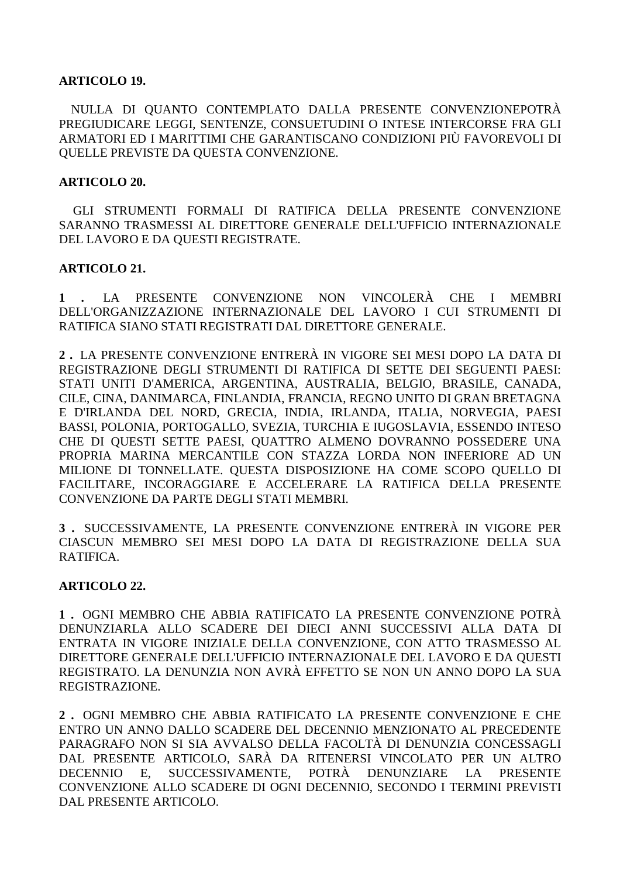#### **ARTICOLO 19.**

 NULLA DI QUANTO CONTEMPLATO DALLA PRESENTE CONVENZIONEPOTRÀ PREGIUDICARE LEGGI, SENTENZE, CONSUETUDINI O INTESE INTERCORSE FRA GLI ARMATORI ED I MARITTIMI CHE GARANTISCANO CONDIZIONI PIÙ FAVOREVOLI DI QUELLE PREVISTE DA QUESTA CONVENZIONE.

#### **ARTICOLO 20.**

 GLI STRUMENTI FORMALI DI RATIFICA DELLA PRESENTE CONVENZIONE SARANNO TRASMESSI AL DIRETTORE GENERALE DELL'UFFICIO INTERNAZIONALE DEL LAVORO E DA QUESTI REGISTRATE.

#### **ARTICOLO 21.**

**1 .** LA PRESENTE CONVENZIONE NON VINCOLERÀ CHE I MEMBRI DELL'ORGANIZZAZIONE INTERNAZIONALE DEL LAVORO I CUI STRUMENTI DI RATIFICA SIANO STATI REGISTRATI DAL DIRETTORE GENERALE.

**2 .** LA PRESENTE CONVENZIONE ENTRERÀ IN VIGORE SEI MESI DOPO LA DATA DI REGISTRAZIONE DEGLI STRUMENTI DI RATIFICA DI SETTE DEI SEGUENTI PAESI: STATI UNITI D'AMERICA, ARGENTINA, AUSTRALIA, BELGIO, BRASILE, CANADA, CILE, CINA, DANIMARCA, FINLANDIA, FRANCIA, REGNO UNITO DI GRAN BRETAGNA E D'IRLANDA DEL NORD, GRECIA, INDIA, IRLANDA, ITALIA, NORVEGIA, PAESI BASSI, POLONIA, PORTOGALLO, SVEZIA, TURCHIA E IUGOSLAVIA, ESSENDO INTESO CHE DI QUESTI SETTE PAESI, QUATTRO ALMENO DOVRANNO POSSEDERE UNA PROPRIA MARINA MERCANTILE CON STAZZA LORDA NON INFERIORE AD UN MILIONE DI TONNELLATE. QUESTA DISPOSIZIONE HA COME SCOPO QUELLO DI FACILITARE, INCORAGGIARE E ACCELERARE LA RATIFICA DELLA PRESENTE CONVENZIONE DA PARTE DEGLI STATI MEMBRI.

**3 .** SUCCESSIVAMENTE, LA PRESENTE CONVENZIONE ENTRERÀ IN VIGORE PER CIASCUN MEMBRO SEI MESI DOPO LA DATA DI REGISTRAZIONE DELLA SUA RATIFICA.

# **ARTICOLO 22.**

**1 .** OGNI MEMBRO CHE ABBIA RATIFICATO LA PRESENTE CONVENZIONE POTRÀ DENUNZIARLA ALLO SCADERE DEI DIECI ANNI SUCCESSIVI ALLA DATA DI ENTRATA IN VIGORE INIZIALE DELLA CONVENZIONE, CON ATTO TRASMESSO AL DIRETTORE GENERALE DELL'UFFICIO INTERNAZIONALE DEL LAVORO E DA QUESTI REGISTRATO. LA DENUNZIA NON AVRÀ EFFETTO SE NON UN ANNO DOPO LA SUA REGISTRAZIONE.

**2 .** OGNI MEMBRO CHE ABBIA RATIFICATO LA PRESENTE CONVENZIONE E CHE ENTRO UN ANNO DALLO SCADERE DEL DECENNIO MENZIONATO AL PRECEDENTE PARAGRAFO NON SI SIA AVVALSO DELLA FACOLTÀ DI DENUNZIA CONCESSAGLI DAL PRESENTE ARTICOLO, SARÀ DA RITENERSI VINCOLATO PER UN ALTRO DECENNIO E, SUCCESSIVAMENTE, POTRÀ DENUNZIARE LA PRESENTE CONVENZIONE ALLO SCADERE DI OGNI DECENNIO, SECONDO I TERMINI PREVISTI DAL PRESENTE ARTICOLO.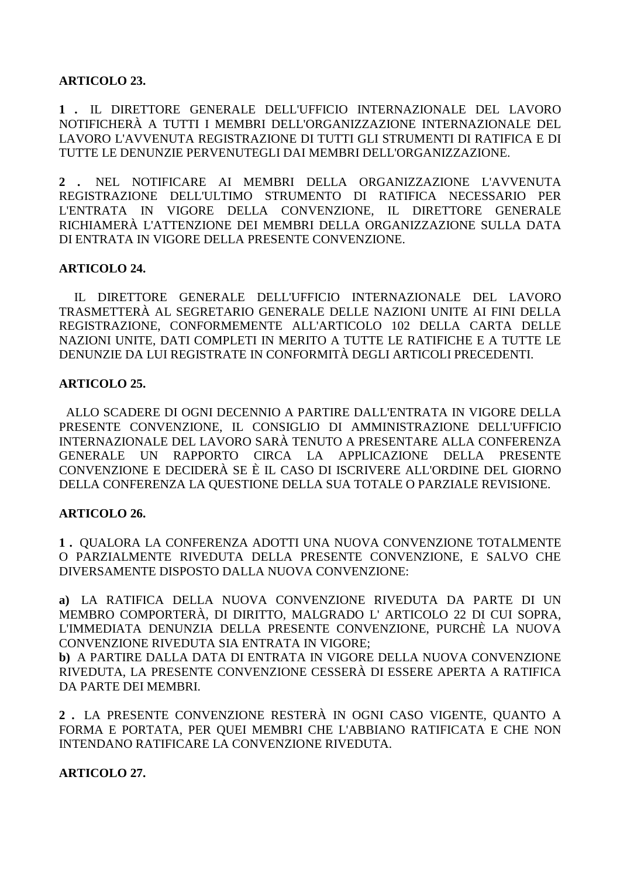# **ARTICOLO 23.**

**1 .** IL DIRETTORE GENERALE DELL'UFFICIO INTERNAZIONALE DEL LAVORO NOTIFICHERÀ A TUTTI I MEMBRI DELL'ORGANIZZAZIONE INTERNAZIONALE DEL LAVORO L'AVVENUTA REGISTRAZIONE DI TUTTI GLI STRUMENTI DI RATIFICA E DI TUTTE LE DENUNZIE PERVENUTEGLI DAI MEMBRI DELL'ORGANIZZAZIONE.

**2 .** NEL NOTIFICARE AI MEMBRI DELLA ORGANIZZAZIONE L'AVVENUTA REGISTRAZIONE DELL'ULTIMO STRUMENTO DI RATIFICA NECESSARIO PER L'ENTRATA IN VIGORE DELLA CONVENZIONE, IL DIRETTORE GENERALE RICHIAMERÀ L'ATTENZIONE DEI MEMBRI DELLA ORGANIZZAZIONE SULLA DATA DI ENTRATA IN VIGORE DELLA PRESENTE CONVENZIONE.

#### **ARTICOLO 24.**

 IL DIRETTORE GENERALE DELL'UFFICIO INTERNAZIONALE DEL LAVORO TRASMETTERÀ AL SEGRETARIO GENERALE DELLE NAZIONI UNITE AI FINI DELLA REGISTRAZIONE, CONFORMEMENTE ALL'ARTICOLO 102 DELLA CARTA DELLE NAZIONI UNITE, DATI COMPLETI IN MERITO A TUTTE LE RATIFICHE E A TUTTE LE DENUNZIE DA LUI REGISTRATE IN CONFORMITÀ DEGLI ARTICOLI PRECEDENTI.

#### **ARTICOLO 25.**

 ALLO SCADERE DI OGNI DECENNIO A PARTIRE DALL'ENTRATA IN VIGORE DELLA PRESENTE CONVENZIONE, IL CONSIGLIO DI AMMINISTRAZIONE DELL'UFFICIO INTERNAZIONALE DEL LAVORO SARÀ TENUTO A PRESENTARE ALLA CONFERENZA GENERALE UN RAPPORTO CIRCA LA APPLICAZIONE DELLA PRESENTE CONVENZIONE E DECIDERÀ SE È IL CASO DI ISCRIVERE ALL'ORDINE DEL GIORNO DELLA CONFERENZA LA QUESTIONE DELLA SUA TOTALE O PARZIALE REVISIONE.

# **ARTICOLO 26.**

**1 .** QUALORA LA CONFERENZA ADOTTI UNA NUOVA CONVENZIONE TOTALMENTE O PARZIALMENTE RIVEDUTA DELLA PRESENTE CONVENZIONE, E SALVO CHE DIVERSAMENTE DISPOSTO DALLA NUOVA CONVENZIONE:

**a)** LA RATIFICA DELLA NUOVA CONVENZIONE RIVEDUTA DA PARTE DI UN MEMBRO COMPORTERÀ, DI DIRITTO, MALGRADO L' ARTICOLO 22 DI CUI SOPRA, L'IMMEDIATA DENUNZIA DELLA PRESENTE CONVENZIONE, PURCHÈ LA NUOVA CONVENZIONE RIVEDUTA SIA ENTRATA IN VIGORE;

**b)** A PARTIRE DALLA DATA DI ENTRATA IN VIGORE DELLA NUOVA CONVENZIONE RIVEDUTA, LA PRESENTE CONVENZIONE CESSERÀ DI ESSERE APERTA A RATIFICA DA PARTE DEI MEMBRI.

**2 .** LA PRESENTE CONVENZIONE RESTERÀ IN OGNI CASO VIGENTE, QUANTO A FORMA E PORTATA, PER QUEI MEMBRI CHE L'ABBIANO RATIFICATA E CHE NON INTENDANO RATIFICARE LA CONVENZIONE RIVEDUTA.

**ARTICOLO 27.**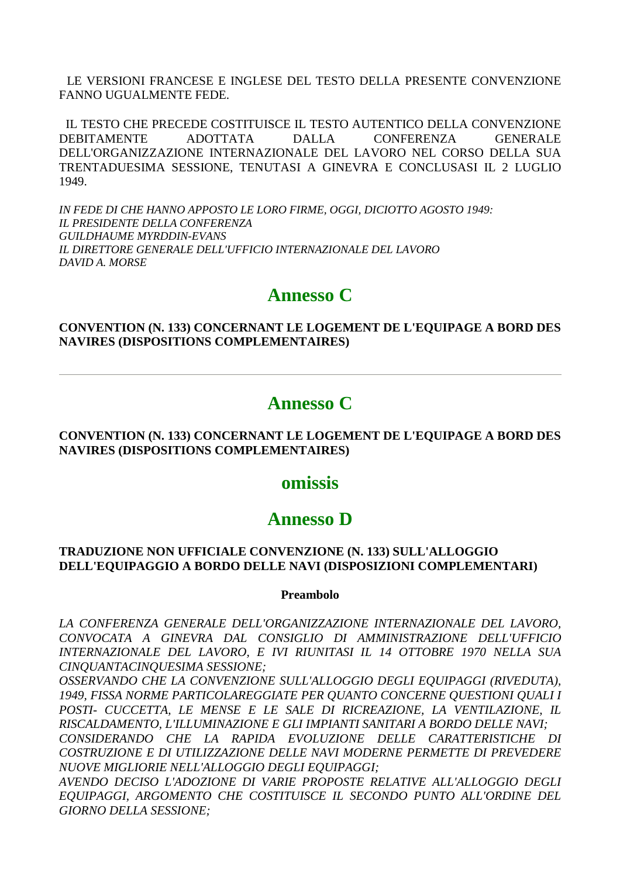LE VERSIONI FRANCESE E INGLESE DEL TESTO DELLA PRESENTE CONVENZIONE FANNO UGUALMENTE FEDE.

 IL TESTO CHE PRECEDE COSTITUISCE IL TESTO AUTENTICO DELLA CONVENZIONE DEBITAMENTE ADOTTATA DALLA CONFERENZA GENERALE DELL'ORGANIZZAZIONE INTERNAZIONALE DEL LAVORO NEL CORSO DELLA SUA TRENTADUESIMA SESSIONE, TENUTASI A GINEVRA E CONCLUSASI IL 2 LUGLIO 1949.

*IN FEDE DI CHE HANNO APPOSTO LE LORO FIRME, OGGI, DICIOTTO AGOSTO 1949: IL PRESIDENTE DELLA CONFERENZA GUILDHAUME MYRDDIN-EVANS IL DIRETTORE GENERALE DELL'UFFICIO INTERNAZIONALE DEL LAVORO DAVID A. MORSE* 

# **Annesso C**

**CONVENTION (N. 133) CONCERNANT LE LOGEMENT DE L'EQUIPAGE A BORD DES NAVIRES (DISPOSITIONS COMPLEMENTAIRES)** 

# **Annesso C**

#### **CONVENTION (N. 133) CONCERNANT LE LOGEMENT DE L'EQUIPAGE A BORD DES NAVIRES (DISPOSITIONS COMPLEMENTAIRES)**

# **omissis**

# **Annesso D**

#### **TRADUZIONE NON UFFICIALE CONVENZIONE (N. 133) SULL'ALLOGGIO DELL'EQUIPAGGIO A BORDO DELLE NAVI (DISPOSIZIONI COMPLEMENTARI)**

#### **Preambolo**

*LA CONFERENZA GENERALE DELL'ORGANIZZAZIONE INTERNAZIONALE DEL LAVORO, CONVOCATA A GINEVRA DAL CONSIGLIO DI AMMINISTRAZIONE DELL'UFFICIO INTERNAZIONALE DEL LAVORO, E IVI RIUNITASI IL 14 OTTOBRE 1970 NELLA SUA CINQUANTACINQUESIMA SESSIONE;* 

*OSSERVANDO CHE LA CONVENZIONE SULL'ALLOGGIO DEGLI EQUIPAGGI (RIVEDUTA), 1949, FISSA NORME PARTICOLAREGGIATE PER QUANTO CONCERNE QUESTIONI QUALI I POSTI- CUCCETTA, LE MENSE E LE SALE DI RICREAZIONE, LA VENTILAZIONE, IL RISCALDAMENTO, L'ILLUMINAZIONE E GLI IMPIANTI SANITARI A BORDO DELLE NAVI;* 

*CONSIDERANDO CHE LA RAPIDA EVOLUZIONE DELLE CARATTERISTICHE DI COSTRUZIONE E DI UTILIZZAZIONE DELLE NAVI MODERNE PERMETTE DI PREVEDERE NUOVE MIGLIORIE NELL'ALLOGGIO DEGLI EQUIPAGGI;* 

*AVENDO DECISO L'ADOZIONE DI VARIE PROPOSTE RELATIVE ALL'ALLOGGIO DEGLI EQUIPAGGI, ARGOMENTO CHE COSTITUISCE IL SECONDO PUNTO ALL'ORDINE DEL GIORNO DELLA SESSIONE;*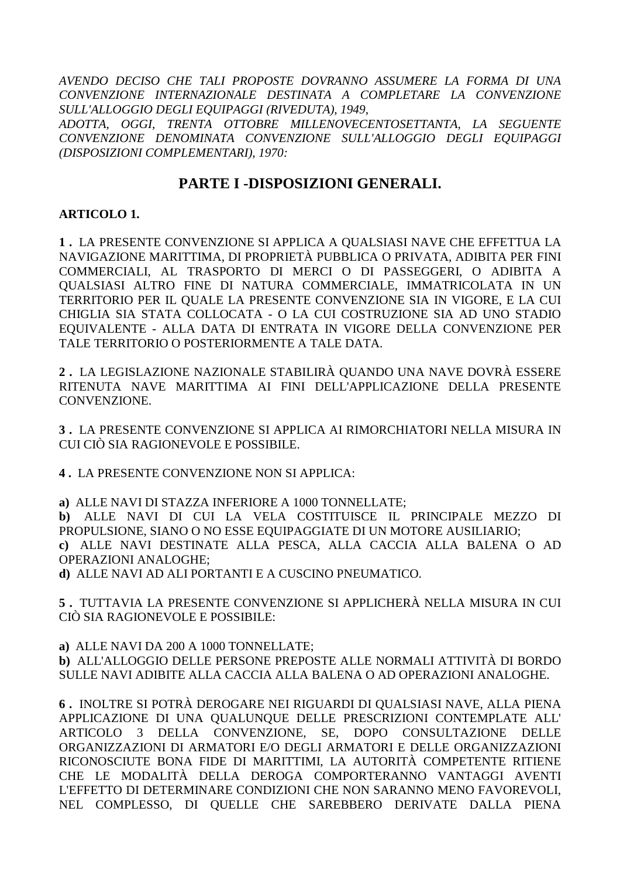*AVENDO DECISO CHE TALI PROPOSTE DOVRANNO ASSUMERE LA FORMA DI UNA CONVENZIONE INTERNAZIONALE DESTINATA A COMPLETARE LA CONVENZIONE SULL'ALLOGGIO DEGLI EQUIPAGGI (RIVEDUTA), 1949,* 

*ADOTTA, OGGI, TRENTA OTTOBRE MILLENOVECENTOSETTANTA, LA SEGUENTE CONVENZIONE DENOMINATA CONVENZIONE SULL'ALLOGGIO DEGLI EQUIPAGGI (DISPOSIZIONI COMPLEMENTARI), 1970:* 

# **PARTE I -DISPOSIZIONI GENERALI.**

# **ARTICOLO 1.**

**1 .** LA PRESENTE CONVENZIONE SI APPLICA A QUALSIASI NAVE CHE EFFETTUA LA NAVIGAZIONE MARITTIMA, DI PROPRIETÀ PUBBLICA O PRIVATA, ADIBITA PER FINI COMMERCIALI, AL TRASPORTO DI MERCI O DI PASSEGGERI, O ADIBITA A QUALSIASI ALTRO FINE DI NATURA COMMERCIALE, IMMATRICOLATA IN UN TERRITORIO PER IL QUALE LA PRESENTE CONVENZIONE SIA IN VIGORE, E LA CUI CHIGLIA SIA STATA COLLOCATA - O LA CUI COSTRUZIONE SIA AD UNO STADIO EQUIVALENTE - ALLA DATA DI ENTRATA IN VIGORE DELLA CONVENZIONE PER TALE TERRITORIO O POSTERIORMENTE A TALE DATA.

**2 .** LA LEGISLAZIONE NAZIONALE STABILIRÀ QUANDO UNA NAVE DOVRÀ ESSERE RITENUTA NAVE MARITTIMA AI FINI DELL'APPLICAZIONE DELLA PRESENTE CONVENZIONE.

**3 .** LA PRESENTE CONVENZIONE SI APPLICA AI RIMORCHIATORI NELLA MISURA IN CUI CIÒ SIA RAGIONEVOLE E POSSIBILE.

**4 .** LA PRESENTE CONVENZIONE NON SI APPLICA:

**a)** ALLE NAVI DI STAZZA INFERIORE A 1000 TONNELLATE;

**b)** ALLE NAVI DI CUI LA VELA COSTITUISCE IL PRINCIPALE MEZZO DI PROPULSIONE, SIANO O NO ESSE EQUIPAGGIATE DI UN MOTORE AUSILIARIO; **c)** ALLE NAVI DESTINATE ALLA PESCA, ALLA CACCIA ALLA BALENA O AD OPERAZIONI ANALOGHE;

**d)** ALLE NAVI AD ALI PORTANTI E A CUSCINO PNEUMATICO.

**5 .** TUTTAVIA LA PRESENTE CONVENZIONE SI APPLICHERÀ NELLA MISURA IN CUI CIÒ SIA RAGIONEVOLE E POSSIBILE:

**a)** ALLE NAVI DA 200 A 1000 TONNELLATE;

**b)** ALL'ALLOGGIO DELLE PERSONE PREPOSTE ALLE NORMALI ATTIVITÀ DI BORDO SULLE NAVI ADIBITE ALLA CACCIA ALLA BALENA O AD OPERAZIONI ANALOGHE.

**6 .** INOLTRE SI POTRÀ DEROGARE NEI RIGUARDI DI QUALSIASI NAVE, ALLA PIENA APPLICAZIONE DI UNA QUALUNQUE DELLE PRESCRIZIONI CONTEMPLATE ALL' ARTICOLO 3 DELLA CONVENZIONE, SE, DOPO CONSULTAZIONE DELLE ORGANIZZAZIONI DI ARMATORI E/O DEGLI ARMATORI E DELLE ORGANIZZAZIONI RICONOSCIUTE BONA FIDE DI MARITTIMI, LA AUTORITÀ COMPETENTE RITIENE CHE LE MODALITÀ DELLA DEROGA COMPORTERANNO VANTAGGI AVENTI L'EFFETTO DI DETERMINARE CONDIZIONI CHE NON SARANNO MENO FAVOREVOLI, NEL COMPLESSO, DI QUELLE CHE SAREBBERO DERIVATE DALLA PIENA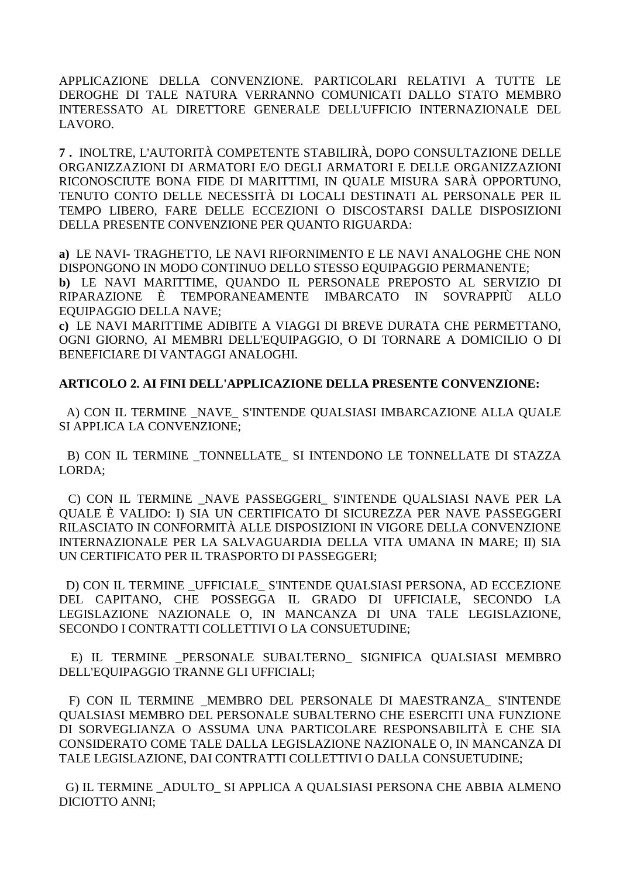APPLICAZIONE DELLA CONVENZIONE, PARTICOLARI RELATIVI A TUTTE LE DEROGHE DI TALE NATURA VERRANNO COMUNICATI DALLO STATO MEMBRO INTERESSATO AL DIRETTORE GENERALE DELL'UFFICIO INTERNAZIONALE DEL LAVORO.

7. INOLTRE, L'AUTORITÀ COMPETENTE STABILIRÀ, DOPO CONSULTAZIONE DELLE ORGANIZZAZIONI DI ARMATORI E/O DEGLI ARMATORI E DELLE ORGANIZZAZIONI RICONOSCIUTE BONA FIDE DI MARITTIMI, IN QUALE MISURA SARÀ OPPORTUNO, TENUTO CONTO DELLE NECESSITÀ DI LOCALI DESTINATI AL PERSONALE PER IL TEMPO LIBERO, FARE DELLE ECCEZIONI O DISCOSTARSI DALLE DISPOSIZIONI DELLA PRESENTE CONVENZIONE PER OUANTO RIGUARDA:

a) LE NAVI-TRAGHETTO. LE NAVI RIFORNIMENTO E LE NAVI ANALOGHE CHE NON DISPONGONO IN MODO CONTINUO DELLO STESSO EQUIPAGGIO PERMANENTE;

b) LE NAVI MARITTIME, QUANDO IL PERSONALE PREPOSTO AL SERVIZIO DI RIPARAZIONE È TEMPORANEAMENTE IMBARCATO IN SOVRAPPIÙ ALLO **EOUIPAGGIO DELLA NAVE:** 

c) LE NAVI MARITTIME ADIBITE A VIAGGI DI BREVE DURATA CHE PERMETTANO. OGNI GIORNO, AI MEMBRI DELL'EQUIPAGGIO, O DI TORNARE A DOMICILIO O DI BENEFICIARE DI VANTAGGI ANALOGHI.

# **ARTICOLO 2. AI FINI DELL'APPLICAZIONE DELLA PRESENTE CONVENZIONE:**

A) CON IL TERMINE NAVE S'INTENDE OUALSIASI IMBARCAZIONE ALLA OUALE SI APPLICA LA CONVENZIONE;

B) CON IL TERMINE TONNELLATE SI INTENDONO LE TONNELLATE DI STAZZA LORDA:

C) CON IL TERMINE NAVE PASSEGGERI S'INTENDE QUALSIASI NAVE PER LA QUALE È VALIDO: I) SIA UN CERTIFICATO DI SICUREZZA PER NAVE PASSEGGERI RILASCIATO IN CONFORMITÀ ALLE DISPOSIZIONI IN VIGORE DELLA CONVENZIONE INTERNAZIONALE PER LA SALVAGUARDIA DELLA VITA UMANA IN MARE: II) SIA UN CERTIFICATO PER IL TRASPORTO DI PASSEGGERI:

D) CON IL TERMINE \_UFFICIALE\_ S'INTENDE QUALSIASI PERSONA, AD ECCEZIONE DEL CAPITANO. CHE POSSEGGA IL GRADO DI UFFICIALE. SECONDO LA LEGISLAZIONE NAZIONALE O, IN MANCANZA DI UNA TALE LEGISLAZIONE, SECONDO I CONTRATTI COLLETTIVI O LA CONSUETUDINE;

E) IL TERMINE PERSONALE SUBALTERNO SIGNIFICA OUALSIASI MEMBRO DELL'EQUIPAGGIO TRANNE GLI UFFICIALI;

F) CON IL TERMINE MEMBRO DEL PERSONALE DI MAESTRANZA S'INTENDE QUALSIASI MEMBRO DEL PERSONALE SUBALTERNO CHE ESERCITI UNA FUNZIONE DI SORVEGLIANZA O ASSUMA UNA PARTICOLARE RESPONSABILITÀ E CHE SIA CONSIDERATO COME TALE DALLA LEGISLAZIONE NAZIONALE O, IN MANCANZA DI TALE LEGISLAZIONE, DAI CONTRATTI COLLETTIVI O DALLA CONSUETUDINE:

G) IL TERMINE ADULTO SI APPLICA A QUALSIASI PERSONA CHE ABBIA ALMENO **DICIOTTO ANNI:**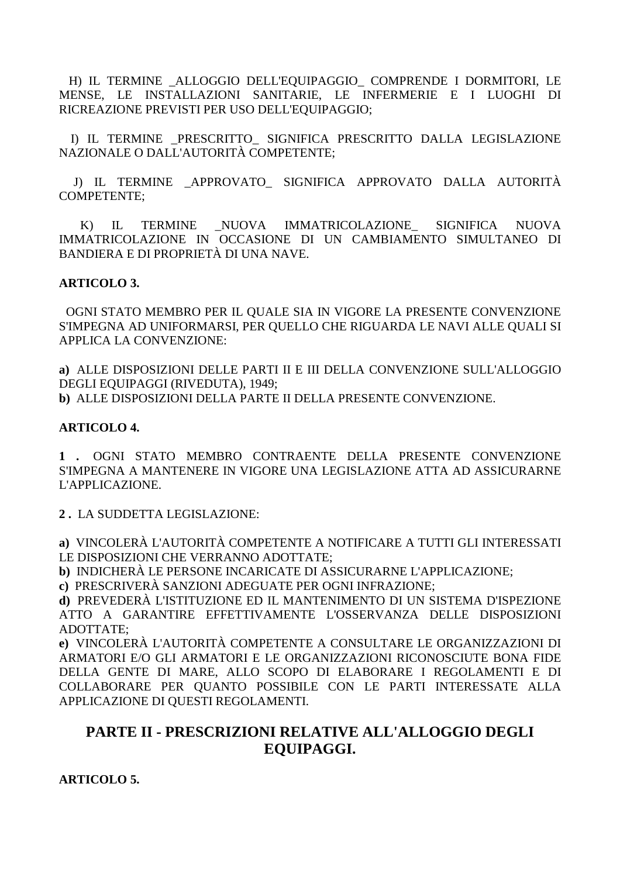H) IL TERMINE \_ALLOGGIO DELL'EQUIPAGGIO\_ COMPRENDE I DORMITORI, LE MENSE, LE INSTALLAZIONI SANITARIE, LE INFERMERIE E I LUOGHI DI RICREAZIONE PREVISTI PER USO DELL'EQUIPAGGIO;

 I) IL TERMINE \_PRESCRITTO\_ SIGNIFICA PRESCRITTO DALLA LEGISLAZIONE NAZIONALE O DALL'AUTORITÀ COMPETENTE;

 J) IL TERMINE \_APPROVATO\_ SIGNIFICA APPROVATO DALLA AUTORITÀ COMPETENTE;

 K) IL TERMINE \_NUOVA IMMATRICOLAZIONE\_ SIGNIFICA NUOVA IMMATRICOLAZIONE IN OCCASIONE DI UN CAMBIAMENTO SIMULTANEO DI BANDIERA E DI PROPRIETÀ DI UNA NAVE.

#### **ARTICOLO 3.**

 OGNI STATO MEMBRO PER IL QUALE SIA IN VIGORE LA PRESENTE CONVENZIONE S'IMPEGNA AD UNIFORMARSI, PER QUELLO CHE RIGUARDA LE NAVI ALLE QUALI SI APPLICA LA CONVENZIONE:

**a)** ALLE DISPOSIZIONI DELLE PARTI II E III DELLA CONVENZIONE SULL'ALLOGGIO DEGLI EQUIPAGGI (RIVEDUTA), 1949; **b)** ALLE DISPOSIZIONI DELLA PARTE II DELLA PRESENTE CONVENZIONE.

#### **ARTICOLO 4.**

**1 .** OGNI STATO MEMBRO CONTRAENTE DELLA PRESENTE CONVENZIONE S'IMPEGNA A MANTENERE IN VIGORE UNA LEGISLAZIONE ATTA AD ASSICURARNE L'APPLICAZIONE.

**2 .** LA SUDDETTA LEGISLAZIONE:

**a)** VINCOLERÀ L'AUTORITÀ COMPETENTE A NOTIFICARE A TUTTI GLI INTERESSATI LE DISPOSIZIONI CHE VERRANNO ADOTTATE;

**b)** INDICHERÀ LE PERSONE INCARICATE DI ASSICURARNE L'APPLICAZIONE;

**c)** PRESCRIVERÀ SANZIONI ADEGUATE PER OGNI INFRAZIONE;

**d)** PREVEDERÀ L'ISTITUZIONE ED IL MANTENIMENTO DI UN SISTEMA D'ISPEZIONE ATTO A GARANTIRE EFFETTIVAMENTE L'OSSERVANZA DELLE DISPOSIZIONI ADOTTATE;

**e)** VINCOLERÀ L'AUTORITÀ COMPETENTE A CONSULTARE LE ORGANIZZAZIONI DI ARMATORI E/O GLI ARMATORI E LE ORGANIZZAZIONI RICONOSCIUTE BONA FIDE DELLA GENTE DI MARE, ALLO SCOPO DI ELABORARE I REGOLAMENTI E DI COLLABORARE PER QUANTO POSSIBILE CON LE PARTI INTERESSATE ALLA APPLICAZIONE DI QUESTI REGOLAMENTI.

# **PARTE II - PRESCRIZIONI RELATIVE ALL'ALLOGGIO DEGLI EQUIPAGGI.**

**ARTICOLO 5.**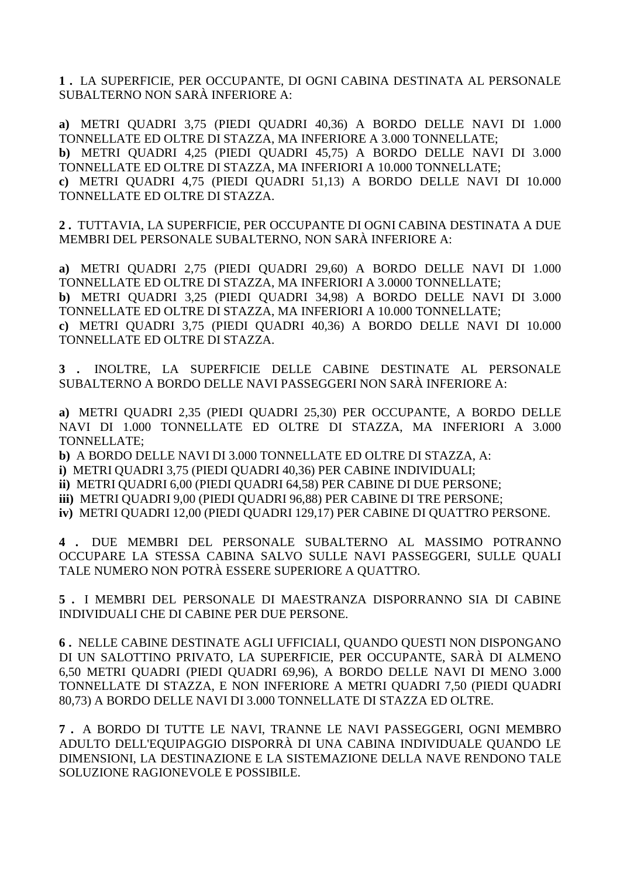**1 .** LA SUPERFICIE, PER OCCUPANTE, DI OGNI CABINA DESTINATA AL PERSONALE SUBALTERNO NON SARÀ INFERIORE A:

**a)** METRI QUADRI 3,75 (PIEDI QUADRI 40,36) A BORDO DELLE NAVI DI 1.000 TONNELLATE ED OLTRE DI STAZZA, MA INFERIORE A 3.000 TONNELLATE; **b)** METRI QUADRI 4,25 (PIEDI QUADRI 45,75) A BORDO DELLE NAVI DI 3.000 TONNELLATE ED OLTRE DI STAZZA, MA INFERIORI A 10.000 TONNELLATE; **c)** METRI QUADRI 4,75 (PIEDI QUADRI 51,13) A BORDO DELLE NAVI DI 10.000 TONNELLATE ED OLTRE DI STAZZA.

**2 .** TUTTAVIA, LA SUPERFICIE, PER OCCUPANTE DI OGNI CABINA DESTINATA A DUE MEMBRI DEL PERSONALE SUBALTERNO, NON SARÀ INFERIORE A:

**a)** METRI QUADRI 2,75 (PIEDI QUADRI 29,60) A BORDO DELLE NAVI DI 1.000 TONNELLATE ED OLTRE DI STAZZA, MA INFERIORI A 3.0000 TONNELLATE; **b)** METRI QUADRI 3,25 (PIEDI QUADRI 34,98) A BORDO DELLE NAVI DI 3.000 TONNELLATE ED OLTRE DI STAZZA, MA INFERIORI A 10.000 TONNELLATE; **c)** METRI QUADRI 3,75 (PIEDI QUADRI 40,36) A BORDO DELLE NAVI DI 10.000

TONNELLATE ED OLTRE DI STAZZA.

**3 .** INOLTRE, LA SUPERFICIE DELLE CABINE DESTINATE AL PERSONALE SUBALTERNO A BORDO DELLE NAVI PASSEGGERI NON SARÀ INFERIORE A:

**a)** METRI QUADRI 2,35 (PIEDI QUADRI 25,30) PER OCCUPANTE, A BORDO DELLE NAVI DI 1.000 TONNELLATE ED OLTRE DI STAZZA, MA INFERIORI A 3.000 TONNELLATE;

**b)** A BORDO DELLE NAVI DI 3.000 TONNELLATE ED OLTRE DI STAZZA, A:

**i)** METRI QUADRI 3,75 (PIEDI QUADRI 40,36) PER CABINE INDIVIDUALI;

**ii)** METRI QUADRI 6,00 (PIEDI QUADRI 64,58) PER CABINE DI DUE PERSONE;

**iii)** METRI QUADRI 9,00 (PIEDI QUADRI 96,88) PER CABINE DI TRE PERSONE;

**iv)** METRI QUADRI 12,00 (PIEDI QUADRI 129,17) PER CABINE DI QUATTRO PERSONE.

**4 .** DUE MEMBRI DEL PERSONALE SUBALTERNO AL MASSIMO POTRANNO OCCUPARE LA STESSA CABINA SALVO SULLE NAVI PASSEGGERI, SULLE QUALI TALE NUMERO NON POTRÀ ESSERE SUPERIORE A QUATTRO.

**5 .** I MEMBRI DEL PERSONALE DI MAESTRANZA DISPORRANNO SIA DI CABINE INDIVIDUALI CHE DI CABINE PER DUE PERSONE.

**6 .** NELLE CABINE DESTINATE AGLI UFFICIALI, QUANDO QUESTI NON DISPONGANO DI UN SALOTTINO PRIVATO, LA SUPERFICIE, PER OCCUPANTE, SARÀ DI ALMENO 6,50 METRI QUADRI (PIEDI QUADRI 69,96), A BORDO DELLE NAVI DI MENO 3.000 TONNELLATE DI STAZZA, E NON INFERIORE A METRI QUADRI 7,50 (PIEDI QUADRI 80,73) A BORDO DELLE NAVI DI 3.000 TONNELLATE DI STAZZA ED OLTRE.

**7 .** A BORDO DI TUTTE LE NAVI, TRANNE LE NAVI PASSEGGERI, OGNI MEMBRO ADULTO DELL'EQUIPAGGIO DISPORRÀ DI UNA CABINA INDIVIDUALE QUANDO LE DIMENSIONI, LA DESTINAZIONE E LA SISTEMAZIONE DELLA NAVE RENDONO TALE SOLUZIONE RAGIONEVOLE E POSSIBILE.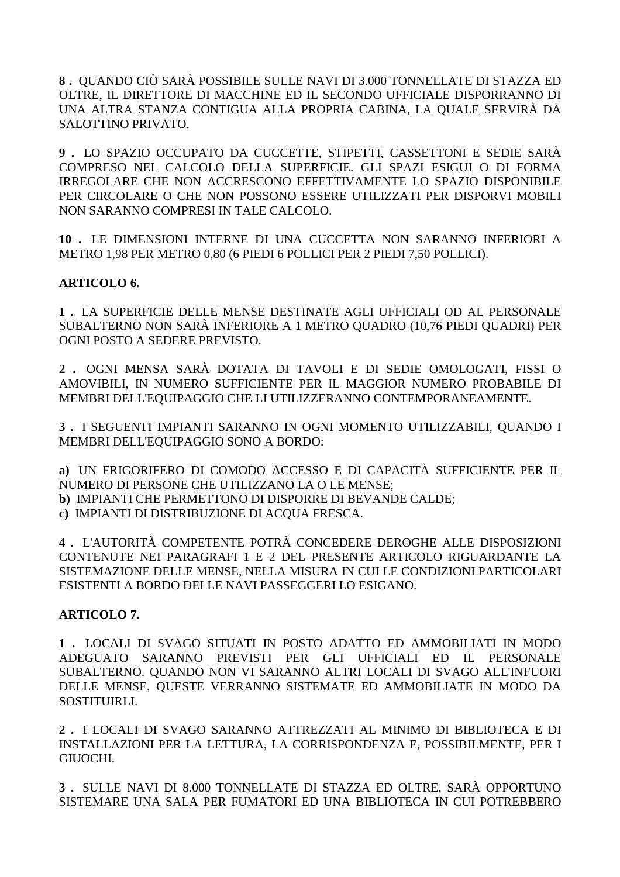**8 .** QUANDO CIÒ SARÀ POSSIBILE SULLE NAVI DI 3.000 TONNELLATE DI STAZZA ED OLTRE, IL DIRETTORE DI MACCHINE ED IL SECONDO UFFICIALE DISPORRANNO DI UNA ALTRA STANZA CONTIGUA ALLA PROPRIA CABINA, LA QUALE SERVIRÀ DA SALOTTINO PRIVATO.

**9 .** LO SPAZIO OCCUPATO DA CUCCETTE, STIPETTI, CASSETTONI E SEDIE SARÀ COMPRESO NEL CALCOLO DELLA SUPERFICIE. GLI SPAZI ESIGUI O DI FORMA IRREGOLARE CHE NON ACCRESCONO EFFETTIVAMENTE LO SPAZIO DISPONIBILE PER CIRCOLARE O CHE NON POSSONO ESSERE UTILIZZATI PER DISPORVI MOBILI NON SARANNO COMPRESI IN TALE CALCOLO.

**10 .** LE DIMENSIONI INTERNE DI UNA CUCCETTA NON SARANNO INFERIORI A METRO 1,98 PER METRO 0,80 (6 PIEDI 6 POLLICI PER 2 PIEDI 7,50 POLLICI).

# **ARTICOLO 6.**

**1 .** LA SUPERFICIE DELLE MENSE DESTINATE AGLI UFFICIALI OD AL PERSONALE SUBALTERNO NON SARÀ INFERIORE A 1 METRO QUADRO (10,76 PIEDI QUADRI) PER OGNI POSTO A SEDERE PREVISTO.

**2 .** OGNI MENSA SARÀ DOTATA DI TAVOLI E DI SEDIE OMOLOGATI, FISSI O AMOVIBILI, IN NUMERO SUFFICIENTE PER IL MAGGIOR NUMERO PROBABILE DI MEMBRI DELL'EQUIPAGGIO CHE LI UTILIZZERANNO CONTEMPORANEAMENTE.

**3 .** I SEGUENTI IMPIANTI SARANNO IN OGNI MOMENTO UTILIZZABILI, QUANDO I MEMBRI DELL'EQUIPAGGIO SONO A BORDO:

**a)** UN FRIGORIFERO DI COMODO ACCESSO E DI CAPACITÀ SUFFICIENTE PER IL NUMERO DI PERSONE CHE UTILIZZANO LA O LE MENSE; **b)** IMPIANTI CHE PERMETTONO DI DISPORRE DI BEVANDE CALDE; **c)** IMPIANTI DI DISTRIBUZIONE DI ACQUA FRESCA.

**4 .** L'AUTORITÀ COMPETENTE POTRÀ CONCEDERE DEROGHE ALLE DISPOSIZIONI CONTENUTE NEI PARAGRAFI 1 E 2 DEL PRESENTE ARTICOLO RIGUARDANTE LA SISTEMAZIONE DELLE MENSE, NELLA MISURA IN CUI LE CONDIZIONI PARTICOLARI ESISTENTI A BORDO DELLE NAVI PASSEGGERI LO ESIGANO.

# **ARTICOLO 7.**

**1 .** LOCALI DI SVAGO SITUATI IN POSTO ADATTO ED AMMOBILIATI IN MODO ADEGUATO SARANNO PREVISTI PER GLI UFFICIALI ED IL PERSONALE SUBALTERNO. QUANDO NON VI SARANNO ALTRI LOCALI DI SVAGO ALL'INFUORI DELLE MENSE, QUESTE VERRANNO SISTEMATE ED AMMOBILIATE IN MODO DA SOSTITUIRLI.

**2 .** I LOCALI DI SVAGO SARANNO ATTREZZATI AL MINIMO DI BIBLIOTECA E DI INSTALLAZIONI PER LA LETTURA, LA CORRISPONDENZA E, POSSIBILMENTE, PER I GIUOCHI.

**3 .** SULLE NAVI DI 8.000 TONNELLATE DI STAZZA ED OLTRE, SARÀ OPPORTUNO SISTEMARE UNA SALA PER FUMATORI ED UNA BIBLIOTECA IN CUI POTREBBERO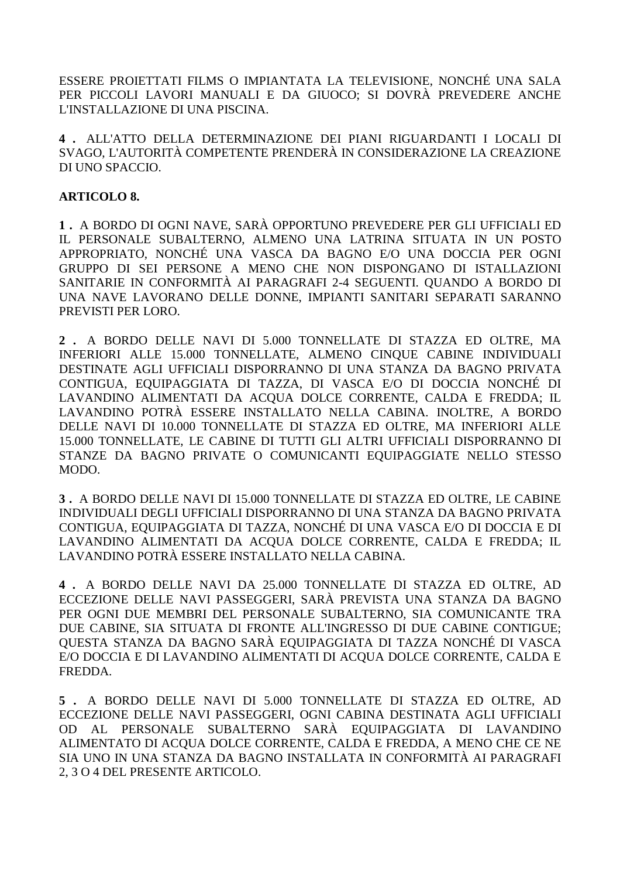ESSERE PROIETTATI FILMS O IMPIANTATA LA TELEVISIONE, NONCHÉ UNA SALA PER PICCOLI LAVORI MANUALI E DA GIUOCO; SI DOVRÀ PREVEDERE ANCHE L'INSTALLAZIONE DI UNA PISCINA.

**4 .** ALL'ATTO DELLA DETERMINAZIONE DEI PIANI RIGUARDANTI I LOCALI DI SVAGO, L'AUTORITÀ COMPETENTE PRENDERÀ IN CONSIDERAZIONE LA CREAZIONE DI UNO SPACCIO.

### **ARTICOLO 8.**

**1 .** A BORDO DI OGNI NAVE, SARÀ OPPORTUNO PREVEDERE PER GLI UFFICIALI ED IL PERSONALE SUBALTERNO, ALMENO UNA LATRINA SITUATA IN UN POSTO APPROPRIATO, NONCHÉ UNA VASCA DA BAGNO E/O UNA DOCCIA PER OGNI GRUPPO DI SEI PERSONE A MENO CHE NON DISPONGANO DI ISTALLAZIONI SANITARIE IN CONFORMITÀ AI PARAGRAFI 2-4 SEGUENTI. QUANDO A BORDO DI UNA NAVE LAVORANO DELLE DONNE, IMPIANTI SANITARI SEPARATI SARANNO PREVISTI PER LORO.

**2 .** A BORDO DELLE NAVI DI 5.000 TONNELLATE DI STAZZA ED OLTRE, MA INFERIORI ALLE 15.000 TONNELLATE, ALMENO CINQUE CABINE INDIVIDUALI DESTINATE AGLI UFFICIALI DISPORRANNO DI UNA STANZA DA BAGNO PRIVATA CONTIGUA, EQUIPAGGIATA DI TAZZA, DI VASCA E/O DI DOCCIA NONCHÉ DI LAVANDINO ALIMENTATI DA ACQUA DOLCE CORRENTE, CALDA E FREDDA; IL LAVANDINO POTRÀ ESSERE INSTALLATO NELLA CABINA. INOLTRE, A BORDO DELLE NAVI DI 10.000 TONNELLATE DI STAZZA ED OLTRE, MA INFERIORI ALLE 15.000 TONNELLATE, LE CABINE DI TUTTI GLI ALTRI UFFICIALI DISPORRANNO DI STANZE DA BAGNO PRIVATE O COMUNICANTI EQUIPAGGIATE NELLO STESSO MODO.

**3 .** A BORDO DELLE NAVI DI 15.000 TONNELLATE DI STAZZA ED OLTRE, LE CABINE INDIVIDUALI DEGLI UFFICIALI DISPORRANNO DI UNA STANZA DA BAGNO PRIVATA CONTIGUA, EQUIPAGGIATA DI TAZZA, NONCHÉ DI UNA VASCA E/O DI DOCCIA E DI LAVANDINO ALIMENTATI DA ACQUA DOLCE CORRENTE, CALDA E FREDDA; IL LAVANDINO POTRÀ ESSERE INSTALLATO NELLA CABINA.

**4 .** A BORDO DELLE NAVI DA 25.000 TONNELLATE DI STAZZA ED OLTRE, AD ECCEZIONE DELLE NAVI PASSEGGERI, SARÀ PREVISTA UNA STANZA DA BAGNO PER OGNI DUE MEMBRI DEL PERSONALE SUBALTERNO, SIA COMUNICANTE TRA DUE CABINE, SIA SITUATA DI FRONTE ALL'INGRESSO DI DUE CABINE CONTIGUE; QUESTA STANZA DA BAGNO SARÀ EQUIPAGGIATA DI TAZZA NONCHÉ DI VASCA E/O DOCCIA E DI LAVANDINO ALIMENTATI DI ACQUA DOLCE CORRENTE, CALDA E FREDDA.

**5 .** A BORDO DELLE NAVI DI 5.000 TONNELLATE DI STAZZA ED OLTRE, AD ECCEZIONE DELLE NAVI PASSEGGERI, OGNI CABINA DESTINATA AGLI UFFICIALI OD AL PERSONALE SUBALTERNO SARÀ EQUIPAGGIATA DI LAVANDINO ALIMENTATO DI ACQUA DOLCE CORRENTE, CALDA E FREDDA, A MENO CHE CE NE SIA UNO IN UNA STANZA DA BAGNO INSTALLATA IN CONFORMITÀ AI PARAGRAFI 2, 3 O 4 DEL PRESENTE ARTICOLO.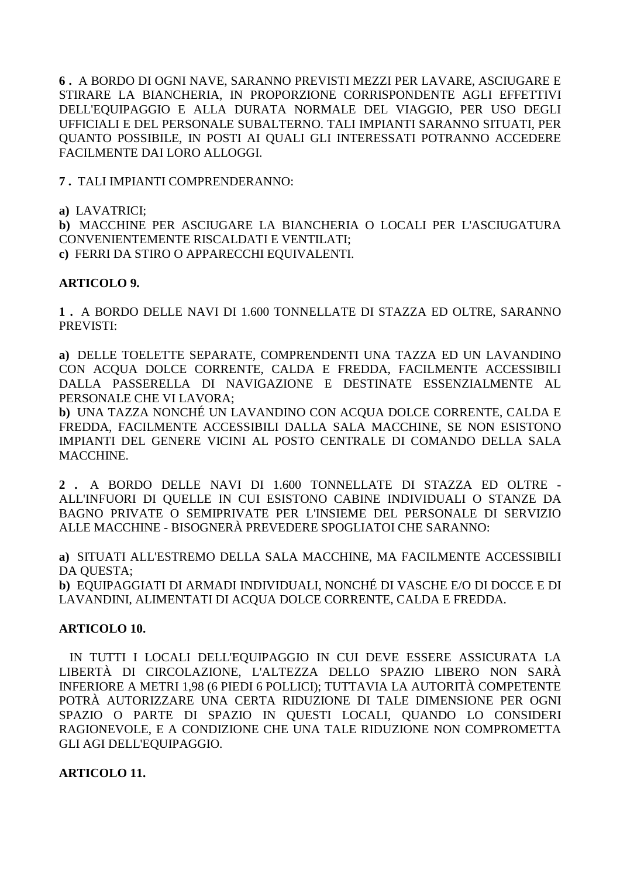**6 .** A BORDO DI OGNI NAVE, SARANNO PREVISTI MEZZI PER LAVARE, ASCIUGARE E STIRARE LA BIANCHERIA, IN PROPORZIONE CORRISPONDENTE AGLI EFFETTIVI DELL'EQUIPAGGIO E ALLA DURATA NORMALE DEL VIAGGIO, PER USO DEGLI UFFICIALI E DEL PERSONALE SUBALTERNO. TALI IMPIANTI SARANNO SITUATI, PER QUANTO POSSIBILE, IN POSTI AI QUALI GLI INTERESSATI POTRANNO ACCEDERE FACILMENTE DAI LORO ALLOGGI.

**7 .** TALI IMPIANTI COMPRENDERANNO:

**a)** LAVATRICI;

**b)** MACCHINE PER ASCIUGARE LA BIANCHERIA O LOCALI PER L'ASCIUGATURA CONVENIENTEMENTE RISCALDATI E VENTILATI; **c)** FERRI DA STIRO O APPARECCHI EQUIVALENTI.

#### **ARTICOLO 9.**

**1 .** A BORDO DELLE NAVI DI 1.600 TONNELLATE DI STAZZA ED OLTRE, SARANNO PREVISTI:

**a)** DELLE TOELETTE SEPARATE, COMPRENDENTI UNA TAZZA ED UN LAVANDINO CON ACQUA DOLCE CORRENTE, CALDA E FREDDA, FACILMENTE ACCESSIBILI DALLA PASSERELLA DI NAVIGAZIONE E DESTINATE ESSENZIALMENTE AL PERSONALE CHE VI LAVORA;

**b)** UNA TAZZA NONCHÉ UN LAVANDINO CON ACQUA DOLCE CORRENTE, CALDA E FREDDA, FACILMENTE ACCESSIBILI DALLA SALA MACCHINE, SE NON ESISTONO IMPIANTI DEL GENERE VICINI AL POSTO CENTRALE DI COMANDO DELLA SALA MACCHINE.

**2 .** A BORDO DELLE NAVI DI 1.600 TONNELLATE DI STAZZA ED OLTRE - ALL'INFUORI DI QUELLE IN CUI ESISTONO CABINE INDIVIDUALI O STANZE DA BAGNO PRIVATE O SEMIPRIVATE PER L'INSIEME DEL PERSONALE DI SERVIZIO ALLE MACCHINE - BISOGNERÀ PREVEDERE SPOGLIATOI CHE SARANNO:

**a)** SITUATI ALL'ESTREMO DELLA SALA MACCHINE, MA FACILMENTE ACCESSIBILI DA QUESTA;

**b)** EQUIPAGGIATI DI ARMADI INDIVIDUALI, NONCHÉ DI VASCHE E/O DI DOCCE E DI LAVANDINI, ALIMENTATI DI ACQUA DOLCE CORRENTE, CALDA E FREDDA.

#### **ARTICOLO 10.**

 IN TUTTI I LOCALI DELL'EQUIPAGGIO IN CUI DEVE ESSERE ASSICURATA LA LIBERTÀ DI CIRCOLAZIONE, L'ALTEZZA DELLO SPAZIO LIBERO NON SARÀ INFERIORE A METRI 1,98 (6 PIEDI 6 POLLICI); TUTTAVIA LA AUTORITÀ COMPETENTE POTRÀ AUTORIZZARE UNA CERTA RIDUZIONE DI TALE DIMENSIONE PER OGNI SPAZIO O PARTE DI SPAZIO IN QUESTI LOCALI, QUANDO LO CONSIDERI RAGIONEVOLE, E A CONDIZIONE CHE UNA TALE RIDUZIONE NON COMPROMETTA GLI AGI DELL'EQUIPAGGIO.

# **ARTICOLO 11.**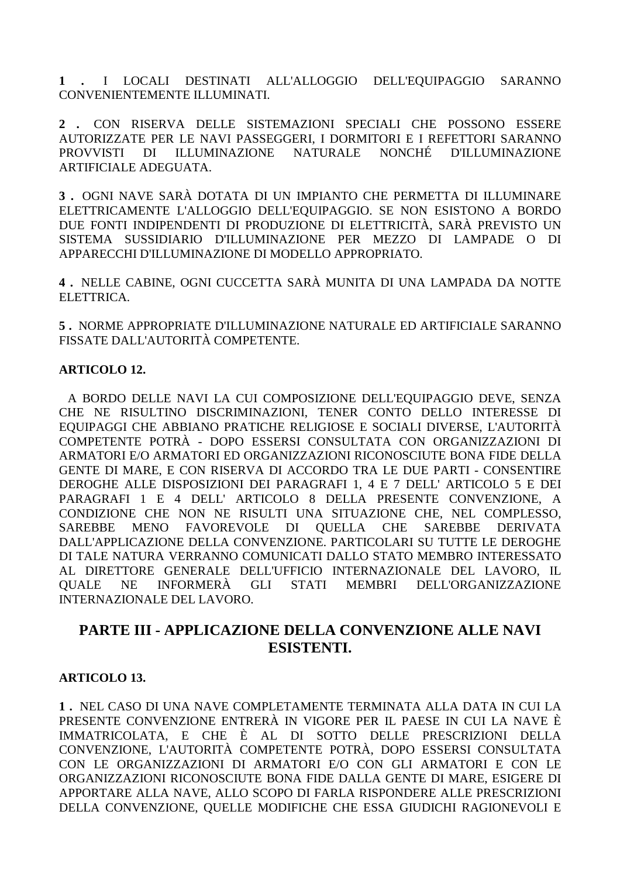**1 .** I LOCALI DESTINATI ALL'ALLOGGIO DELL'EQUIPAGGIO SARANNO CONVENIENTEMENTE ILLUMINATI.

**2 .** CON RISERVA DELLE SISTEMAZIONI SPECIALI CHE POSSONO ESSERE AUTORIZZATE PER LE NAVI PASSEGGERI, I DORMITORI E I REFETTORI SARANNO PROVVISTI DI ILLUMINAZIONE NATURALE NONCHÉ D'ILLUMINAZIONE ARTIFICIALE ADEGUATA.

**3 .** OGNI NAVE SARÀ DOTATA DI UN IMPIANTO CHE PERMETTA DI ILLUMINARE ELETTRICAMENTE L'ALLOGGIO DELL'EQUIPAGGIO. SE NON ESISTONO A BORDO DUE FONTI INDIPENDENTI DI PRODUZIONE DI ELETTRICITÀ, SARÀ PREVISTO UN SISTEMA SUSSIDIARIO D'ILLUMINAZIONE PER MEZZO DI LAMPADE O DI APPARECCHI D'ILLUMINAZIONE DI MODELLO APPROPRIATO.

**4 .** NELLE CABINE, OGNI CUCCETTA SARÀ MUNITA DI UNA LAMPADA DA NOTTE ELETTRICA.

**5 .** NORME APPROPRIATE D'ILLUMINAZIONE NATURALE ED ARTIFICIALE SARANNO FISSATE DALL'AUTORITÀ COMPETENTE.

# **ARTICOLO 12.**

 A BORDO DELLE NAVI LA CUI COMPOSIZIONE DELL'EQUIPAGGIO DEVE, SENZA CHE NE RISULTINO DISCRIMINAZIONI, TENER CONTO DELLO INTERESSE DI EQUIPAGGI CHE ABBIANO PRATICHE RELIGIOSE E SOCIALI DIVERSE, L'AUTORITÀ COMPETENTE POTRÀ - DOPO ESSERSI CONSULTATA CON ORGANIZZAZIONI DI ARMATORI E/O ARMATORI ED ORGANIZZAZIONI RICONOSCIUTE BONA FIDE DELLA GENTE DI MARE, E CON RISERVA DI ACCORDO TRA LE DUE PARTI - CONSENTIRE DEROGHE ALLE DISPOSIZIONI DEI PARAGRAFI 1, 4 E 7 DELL' ARTICOLO 5 E DEI PARAGRAFI 1 E 4 DELL' ARTICOLO 8 DELLA PRESENTE CONVENZIONE, A CONDIZIONE CHE NON NE RISULTI UNA SITUAZIONE CHE, NEL COMPLESSO, SAREBBE MENO FAVOREVOLE DI QUELLA CHE SAREBBE DERIVATA DALL'APPLICAZIONE DELLA CONVENZIONE. PARTICOLARI SU TUTTE LE DEROGHE DI TALE NATURA VERRANNO COMUNICATI DALLO STATO MEMBRO INTERESSATO AL DIRETTORE GENERALE DELL'UFFICIO INTERNAZIONALE DEL LAVORO, IL QUALE NE INFORMERÀ GLI STATI MEMBRI DELL'ORGANIZZAZIONE INTERNAZIONALE DEL LAVORO.

# **PARTE III - APPLICAZIONE DELLA CONVENZIONE ALLE NAVI ESISTENTI.**

# **ARTICOLO 13.**

**1 .** NEL CASO DI UNA NAVE COMPLETAMENTE TERMINATA ALLA DATA IN CUI LA PRESENTE CONVENZIONE ENTRERÀ IN VIGORE PER IL PAESE IN CUI LA NAVE È IMMATRICOLATA, E CHE È AL DI SOTTO DELLE PRESCRIZIONI DELLA CONVENZIONE, L'AUTORITÀ COMPETENTE POTRÀ, DOPO ESSERSI CONSULTATA CON LE ORGANIZZAZIONI DI ARMATORI E/O CON GLI ARMATORI E CON LE ORGANIZZAZIONI RICONOSCIUTE BONA FIDE DALLA GENTE DI MARE, ESIGERE DI APPORTARE ALLA NAVE, ALLO SCOPO DI FARLA RISPONDERE ALLE PRESCRIZIONI DELLA CONVENZIONE, QUELLE MODIFICHE CHE ESSA GIUDICHI RAGIONEVOLI E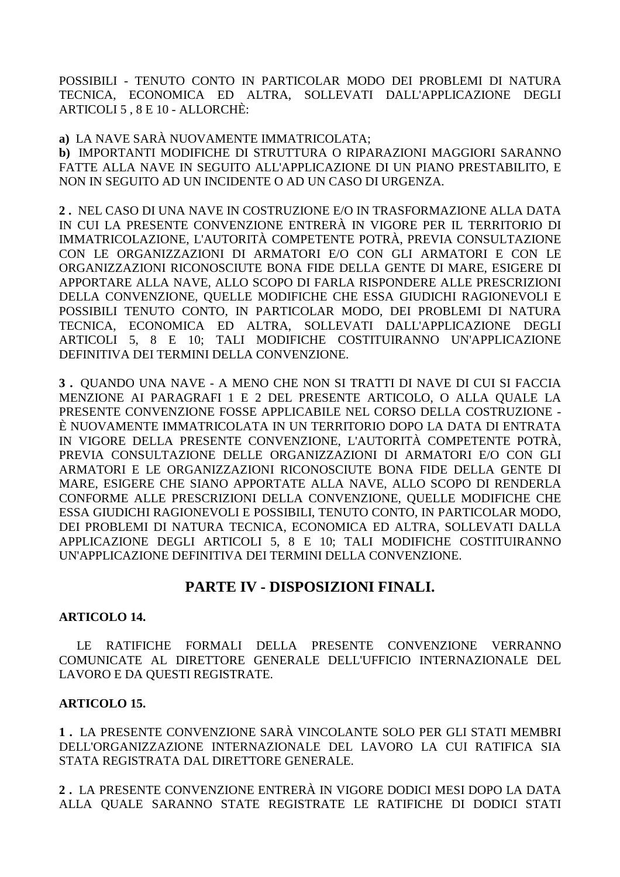POSSIBILI - TENUTO CONTO IN PARTICOLAR MODO DEI PROBLEMI DI NATURA TECNICA, ECONOMICA ED ALTRA, SOLLEVATI DALL'APPLICAZIONE DEGLI ARTICOLI 5 , 8 E 10 - ALLORCHÈ:

**a)** LA NAVE SARÀ NUOVAMENTE IMMATRICOLATA;

**b)** IMPORTANTI MODIFICHE DI STRUTTURA O RIPARAZIONI MAGGIORI SARANNO FATTE ALLA NAVE IN SEGUITO ALL'APPLICAZIONE DI UN PIANO PRESTABILITO, E NON IN SEGUITO AD UN INCIDENTE O AD UN CASO DI URGENZA.

**2 .** NEL CASO DI UNA NAVE IN COSTRUZIONE E/O IN TRASFORMAZIONE ALLA DATA IN CUI LA PRESENTE CONVENZIONE ENTRERÀ IN VIGORE PER IL TERRITORIO DI IMMATRICOLAZIONE, L'AUTORITÀ COMPETENTE POTRÀ, PREVIA CONSULTAZIONE CON LE ORGANIZZAZIONI DI ARMATORI E/O CON GLI ARMATORI E CON LE ORGANIZZAZIONI RICONOSCIUTE BONA FIDE DELLA GENTE DI MARE, ESIGERE DI APPORTARE ALLA NAVE, ALLO SCOPO DI FARLA RISPONDERE ALLE PRESCRIZIONI DELLA CONVENZIONE, QUELLE MODIFICHE CHE ESSA GIUDICHI RAGIONEVOLI E POSSIBILI TENUTO CONTO, IN PARTICOLAR MODO, DEI PROBLEMI DI NATURA TECNICA, ECONOMICA ED ALTRA, SOLLEVATI DALL'APPLICAZIONE DEGLI ARTICOLI 5, 8 E 10; TALI MODIFICHE COSTITUIRANNO UN'APPLICAZIONE DEFINITIVA DEI TERMINI DELLA CONVENZIONE.

**3 .** QUANDO UNA NAVE - A MENO CHE NON SI TRATTI DI NAVE DI CUI SI FACCIA MENZIONE AI PARAGRAFI 1 E 2 DEL PRESENTE ARTICOLO, O ALLA QUALE LA PRESENTE CONVENZIONE FOSSE APPLICABILE NEL CORSO DELLA COSTRUZIONE - È NUOVAMENTE IMMATRICOLATA IN UN TERRITORIO DOPO LA DATA DI ENTRATA IN VIGORE DELLA PRESENTE CONVENZIONE, L'AUTORITÀ COMPETENTE POTRÀ, PREVIA CONSULTAZIONE DELLE ORGANIZZAZIONI DI ARMATORI E/O CON GLI ARMATORI E LE ORGANIZZAZIONI RICONOSCIUTE BONA FIDE DELLA GENTE DI MARE, ESIGERE CHE SIANO APPORTATE ALLA NAVE, ALLO SCOPO DI RENDERLA CONFORME ALLE PRESCRIZIONI DELLA CONVENZIONE, QUELLE MODIFICHE CHE ESSA GIUDICHI RAGIONEVOLI E POSSIBILI, TENUTO CONTO, IN PARTICOLAR MODO, DEI PROBLEMI DI NATURA TECNICA, ECONOMICA ED ALTRA, SOLLEVATI DALLA APPLICAZIONE DEGLI ARTICOLI 5, 8 E 10; TALI MODIFICHE COSTITUIRANNO UN'APPLICAZIONE DEFINITIVA DEI TERMINI DELLA CONVENZIONE.

# **PARTE IV - DISPOSIZIONI FINALI.**

# **ARTICOLO 14.**

 LE RATIFICHE FORMALI DELLA PRESENTE CONVENZIONE VERRANNO COMUNICATE AL DIRETTORE GENERALE DELL'UFFICIO INTERNAZIONALE DEL LAVORO E DA QUESTI REGISTRATE.

# **ARTICOLO 15.**

**1 .** LA PRESENTE CONVENZIONE SARÀ VINCOLANTE SOLO PER GLI STATI MEMBRI DELL'ORGANIZZAZIONE INTERNAZIONALE DEL LAVORO LA CUI RATIFICA SIA STATA REGISTRATA DAL DIRETTORE GENERALE.

**2 .** LA PRESENTE CONVENZIONE ENTRERÀ IN VIGORE DODICI MESI DOPO LA DATA ALLA QUALE SARANNO STATE REGISTRATE LE RATIFICHE DI DODICI STATI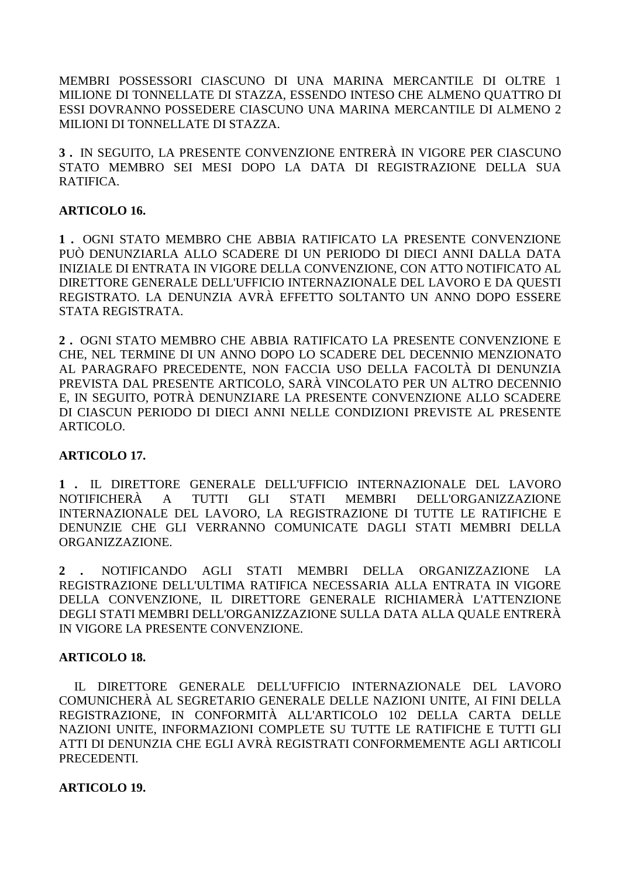MEMBRI POSSESSORI CIASCUNO DI UNA MARINA MERCANTILE DI OLTRE 1 MILIONE DI TONNELLATE DI STAZZA, ESSENDO INTESO CHE ALMENO QUATTRO DI ESSI DOVRANNO POSSEDERE CIASCUNO UNA MARINA MERCANTILE DI ALMENO 2 MILIONI DI TONNELLATE DI STAZZA.

**3 .** IN SEGUITO, LA PRESENTE CONVENZIONE ENTRERÀ IN VIGORE PER CIASCUNO STATO MEMBRO SEI MESI DOPO LA DATA DI REGISTRAZIONE DELLA SUA RATIFICA.

### **ARTICOLO 16.**

**1 .** OGNI STATO MEMBRO CHE ABBIA RATIFICATO LA PRESENTE CONVENZIONE PUÒ DENUNZIARLA ALLO SCADERE DI UN PERIODO DI DIECI ANNI DALLA DATA INIZIALE DI ENTRATA IN VIGORE DELLA CONVENZIONE, CON ATTO NOTIFICATO AL DIRETTORE GENERALE DELL'UFFICIO INTERNAZIONALE DEL LAVORO E DA QUESTI REGISTRATO. LA DENUNZIA AVRÀ EFFETTO SOLTANTO UN ANNO DOPO ESSERE STATA REGISTRATA.

**2 .** OGNI STATO MEMBRO CHE ABBIA RATIFICATO LA PRESENTE CONVENZIONE E CHE, NEL TERMINE DI UN ANNO DOPO LO SCADERE DEL DECENNIO MENZIONATO AL PARAGRAFO PRECEDENTE, NON FACCIA USO DELLA FACOLTÀ DI DENUNZIA PREVISTA DAL PRESENTE ARTICOLO, SARÀ VINCOLATO PER UN ALTRO DECENNIO E, IN SEGUITO, POTRÀ DENUNZIARE LA PRESENTE CONVENZIONE ALLO SCADERE DI CIASCUN PERIODO DI DIECI ANNI NELLE CONDIZIONI PREVISTE AL PRESENTE ARTICOLO.

# **ARTICOLO 17.**

**1 .** IL DIRETTORE GENERALE DELL'UFFICIO INTERNAZIONALE DEL LAVORO NOTIFICHERÀ A TUTTI GLI STATI MEMBRI DELL'ORGANIZZAZIONE INTERNAZIONALE DEL LAVORO, LA REGISTRAZIONE DI TUTTE LE RATIFICHE E DENUNZIE CHE GLI VERRANNO COMUNICATE DAGLI STATI MEMBRI DELLA ORGANIZZAZIONE.

**2 .** NOTIFICANDO AGLI STATI MEMBRI DELLA ORGANIZZAZIONE LA REGISTRAZIONE DELL'ULTIMA RATIFICA NECESSARIA ALLA ENTRATA IN VIGORE DELLA CONVENZIONE, IL DIRETTORE GENERALE RICHIAMERÀ L'ATTENZIONE DEGLI STATI MEMBRI DELL'ORGANIZZAZIONE SULLA DATA ALLA QUALE ENTRERÀ IN VIGORE LA PRESENTE CONVENZIONE.

#### **ARTICOLO 18.**

 IL DIRETTORE GENERALE DELL'UFFICIO INTERNAZIONALE DEL LAVORO COMUNICHERÀ AL SEGRETARIO GENERALE DELLE NAZIONI UNITE, AI FINI DELLA REGISTRAZIONE, IN CONFORMITÀ ALL'ARTICOLO 102 DELLA CARTA DELLE NAZIONI UNITE, INFORMAZIONI COMPLETE SU TUTTE LE RATIFICHE E TUTTI GLI ATTI DI DENUNZIA CHE EGLI AVRÀ REGISTRATI CONFORMEMENTE AGLI ARTICOLI PRECEDENTI.

#### **ARTICOLO 19.**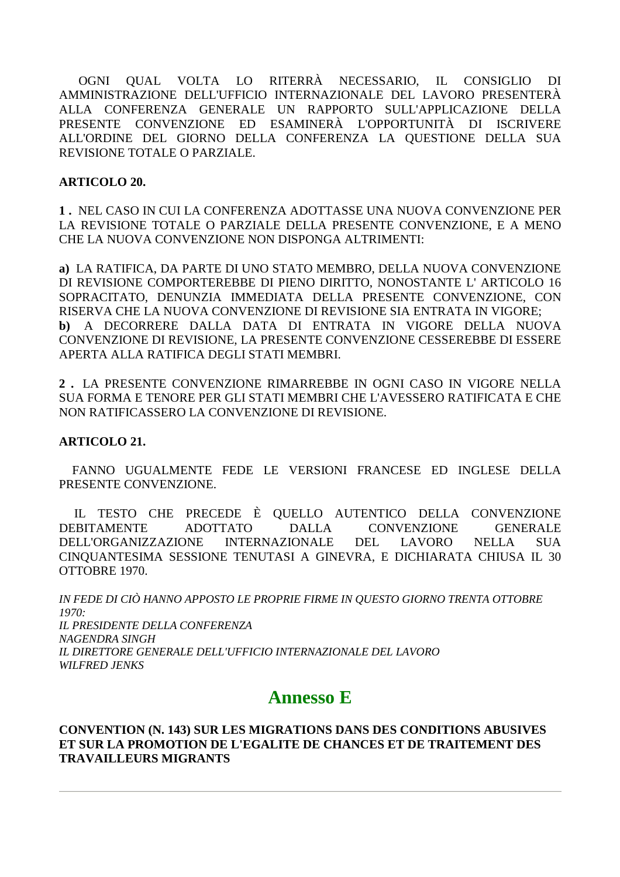OGNI QUAL VOLTA LO RITERRÀ NECESSARIO, IL CONSIGLIO DI AMMINISTRAZIONE DELL'UFFICIO INTERNAZIONALE DEL LAVORO PRESENTERÀ ALLA CONFERENZA GENERALE UN RAPPORTO SULL'APPLICAZIONE DELLA PRESENTE CONVENZIONE ED ESAMINERÀ L'OPPORTUNITÀ DI ISCRIVERE ALL'ORDINE DEL GIORNO DELLA CONFERENZA LA QUESTIONE DELLA SUA REVISIONE TOTALE O PARZIALE.

#### **ARTICOLO 20.**

**1 .** NEL CASO IN CUI LA CONFERENZA ADOTTASSE UNA NUOVA CONVENZIONE PER LA REVISIONE TOTALE O PARZIALE DELLA PRESENTE CONVENZIONE, E A MENO CHE LA NUOVA CONVENZIONE NON DISPONGA ALTRIMENTI:

**a)** LA RATIFICA, DA PARTE DI UNO STATO MEMBRO, DELLA NUOVA CONVENZIONE DI REVISIONE COMPORTEREBBE DI PIENO DIRITTO, NONOSTANTE L' ARTICOLO 16 SOPRACITATO, DENUNZIA IMMEDIATA DELLA PRESENTE CONVENZIONE, CON RISERVA CHE LA NUOVA CONVENZIONE DI REVISIONE SIA ENTRATA IN VIGORE; **b)** A DECORRERE DALLA DATA DI ENTRATA IN VIGORE DELLA NUOVA CONVENZIONE DI REVISIONE, LA PRESENTE CONVENZIONE CESSEREBBE DI ESSERE APERTA ALLA RATIFICA DEGLI STATI MEMBRI.

**2 .** LA PRESENTE CONVENZIONE RIMARREBBE IN OGNI CASO IN VIGORE NELLA SUA FORMA E TENORE PER GLI STATI MEMBRI CHE L'AVESSERO RATIFICATA E CHE NON RATIFICASSERO LA CONVENZIONE DI REVISIONE.

#### **ARTICOLO 21.**

 FANNO UGUALMENTE FEDE LE VERSIONI FRANCESE ED INGLESE DELLA PRESENTE CONVENZIONE.

 IL TESTO CHE PRECEDE È QUELLO AUTENTICO DELLA CONVENZIONE DEBITAMENTE ADOTTATO DALLA CONVENZIONE GENERALE DELL'ORGANIZZAZIONE INTERNAZIONALE DEL LAVORO NELLA SUA CINQUANTESIMA SESSIONE TENUTASI A GINEVRA, E DICHIARATA CHIUSA IL 30 OTTOBRE 1970.

*IN FEDE DI CIÒ HANNO APPOSTO LE PROPRIE FIRME IN QUESTO GIORNO TRENTA OTTOBRE 1970: IL PRESIDENTE DELLA CONFERENZA NAGENDRA SINGH IL DIRETTORE GENERALE DELL'UFFICIO INTERNAZIONALE DEL LAVORO WILFRED JENKS* 

# **Annesso E**

#### **CONVENTION (N. 143) SUR LES MIGRATIONS DANS DES CONDITIONS ABUSIVES ET SUR LA PROMOTION DE L'EGALITE DE CHANCES ET DE TRAITEMENT DES TRAVAILLEURS MIGRANTS**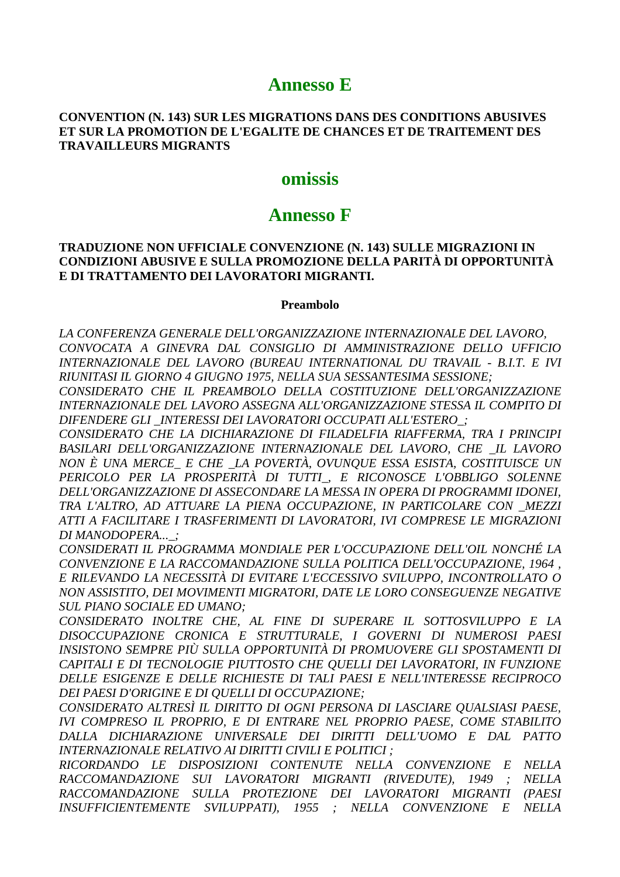# **Annesso E**

#### **CONVENTION (N. 143) SUR LES MIGRATIONS DANS DES CONDITIONS ABUSIVES** ET SUR LA PROMOTION DE L'EGALITE DE CHANCES ET DE TRAITEMENT DES **TRAVAILLEURS MIGRANTS**

# omissis

# **Annesso F**

#### **TRADUZIONE NON UFFICIALE CONVENZIONE (N. 143) SULLE MIGRAZIONI IN** CONDIZIONI ABUSIVE E SULLA PROMOZIONE DELLA PARITÀ DI OPPORTUNITÀ E DI TRATTAMENTO DEI LAVORATORI MIGRANTI.

#### Preambolo

LA CONFERENZA GENERALE DELL'ORGANIZZAZIONE INTERNAZIONALE DEL LAVORO, CONVOCATA A GINEVRA DAL CONSIGLIO DI AMMINISTRAZIONE DELLO UFFICIO INTERNAZIONALE DEL LAVORO (BUREAU INTERNATIONAL DU TRAVAIL - B.I.T. E IVI RIUNITASI IL GIORNO 4 GIUGNO 1975. NELLA SUA SESSANTESIMA SESSIONE:

CONSIDERATO CHE IL PREAMBOLO DELLA COSTITUZIONE DELL'ORGANIZZAZIONE INTERNAZIONALE DEL LAVORO ASSEGNA ALL'ORGANIZZAZIONE STESSA IL COMPITO DI DIFENDERE GLI INTERESSI DEI LAVORATORI OCCUPATI ALL'ESTERO :

CONSIDERATO CHE LA DICHIARAZIONE DI FILADELFIA RIAFFERMA, TRA I PRINCIPI BASILARI DELL'ORGANIZZAZIONE INTERNAZIONALE DEL LAVORO, CHE IL LAVORO NON È UNA MERCE E CHE LA POVERTÀ, OVUNOUE ESSA ESISTA, COSTITUISCE UN PERICOLO PER LA PROSPERITÀ DI TUTTI\_, E RICONOSCE L'OBBLIGO SOLENNE DELL'ORGANIZZAZIONE DI ASSECONDARE LA MESSA IN OPERA DI PROGRAMMI IDONEI, TRA L'ALTRO, AD ATTUARE LA PIENA OCCUPAZIONE, IN PARTICOLARE CON MEZZI ATTI A FACILITARE I TRASFERIMENTI DI LAVORATORI, IVI COMPRESE LE MIGRAZIONI DI MANODOPERA... :

CONSIDERATI IL PROGRAMMA MONDIALE PER L'OCCUPAZIONE DELL'OIL NONCHÉ LA CONVENZIONE E LA RACCOMANDAZIONE SULLA POLITICA DELL'OCCUPAZIONE, 1964, E RILEVANDO LA NECESSITÀ DI EVITARE L'ECCESSIVO SVILUPPO. INCONTROLLATO O NON ASSISTITO, DEI MOVIMENTI MIGRATORI, DATE LE LORO CONSEGUENZE NEGATIVE **SUL PIANO SOCIALE ED UMANO:** 

CONSIDERATO INOLTRE CHE, AL FINE DI SUPERARE IL SOTTOSVILUPPO E LA DISOCCUPAZIONE CRONICA E STRUTTURALE, I GOVERNI DI NUMEROSI PAESI INSISTONO SEMPRE PIÙ SULLA OPPORTUNITÀ DI PROMUOVERE GLI SPOSTAMENTI DI CAPITALI E DI TECNOLOGIE PIUTTOSTO CHE OUELLI DEI LAVORATORI, IN FUNZIONE DELLE ESIGENZE E DELLE RICHIESTE DI TALI PAESI E NELL'INTERESSE RECIPROCO DEI PAESI D'ORIGINE E DI OUELLI DI OCCUPAZIONE:

CONSIDERATO ALTRESÌ IL DIRITTO DI OGNI PERSONA DI LASCIARE OUALSIASI PAESE, IVI COMPRESO IL PROPRIO, E DI ENTRARE NEL PROPRIO PAESE, COME STABILITO DALLA DICHIARAZIONE UNIVERSALE DEI DIRITTI DELL'UOMO E DAL PATTO INTERNAZIONALE RELATIVO AI DIRITTI CIVILI E POLITICI :

RICORDANDO LE DISPOSIZIONI CONTENUTE NELLA CONVENZIONE E NELLA RACCOMANDAZIONE SUI LAVORATORI MIGRANTI (RIVEDUTE), 1949 ; **NELLA** RACCOMANDAZIONE SULLA PROTEZIONE DEI LAVORATORI MIGRANTI (PAESI INSUFFICIENTEMENTE SVILUPPATI), 1955 ; NELLA CONVENZIONE E NELLA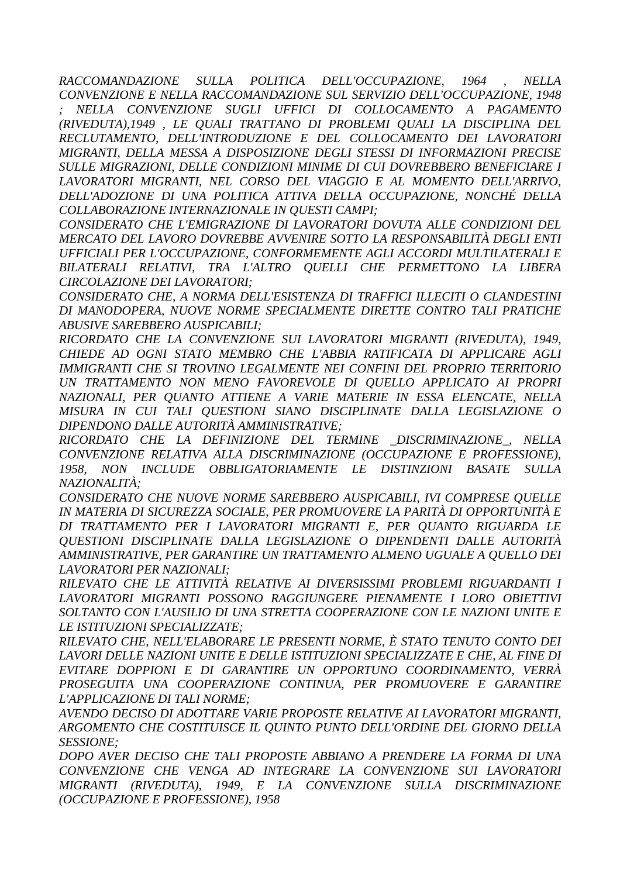*RACCOMANDAZIONE SULLA POLITICA DELL'OCCUPAZIONE, 1964 , NELLA CONVENZIONE E NELLA RACCOMANDAZIONE SUL SERVIZIO DELL'OCCUPAZIONE, 1948* 

*; NELLA CONVENZIONE SUGLI UFFICI DI COLLOCAMENTO A PAGAMENTO (RIVEDUTA),1949 , LE QUALI TRATTANO DI PROBLEMI QUALI LA DISCIPLINA DEL RECLUTAMENTO, DELL'INTRODUZIONE E DEL COLLOCAMENTO DEI LAVORATORI MIGRANTI, DELLA MESSA A DISPOSIZIONE DEGLI STESSI DI INFORMAZIONI PRECISE SULLE MIGRAZIONI, DELLE CONDIZIONI MINIME DI CUI DOVREBBERO BENEFICIARE I LAVORATORI MIGRANTI, NEL CORSO DEL VIAGGIO E AL MOMENTO DELL'ARRIVO, DELL'ADOZIONE DI UNA POLITICA ATTIVA DELLA OCCUPAZIONE, NONCHÉ DELLA COLLABORAZIONE INTERNAZIONALE IN QUESTI CAMPI;* 

*CONSIDERATO CHE L'EMIGRAZIONE DI LAVORATORI DOVUTA ALLE CONDIZIONI DEL MERCATO DEL LAVORO DOVREBBE AVVENIRE SOTTO LA RESPONSABILITÀ DEGLI ENTI UFFICIALI PER L'OCCUPAZIONE, CONFORMEMENTE AGLI ACCORDI MULTILATERALI E BILATERALI RELATIVI, TRA L'ALTRO QUELLI CHE PERMETTONO LA LIBERA CIRCOLAZIONE DEI LAVORATORI;* 

*CONSIDERATO CHE, A NORMA DELL'ESISTENZA DI TRAFFICI ILLECITI O CLANDESTINI DI MANODOPERA, NUOVE NORME SPECIALMENTE DIRETTE CONTRO TALI PRATICHE ABUSIVE SAREBBERO AUSPICABILI;* 

*RICORDATO CHE LA CONVENZIONE SUI LAVORATORI MIGRANTI (RIVEDUTA), 1949, CHIEDE AD OGNI STATO MEMBRO CHE L'ABBIA RATIFICATA DI APPLICARE AGLI IMMIGRANTI CHE SI TROVINO LEGALMENTE NEI CONFINI DEL PROPRIO TERRITORIO UN TRATTAMENTO NON MENO FAVOREVOLE DI QUELLO APPLICATO AI PROPRI NAZIONALI, PER QUANTO ATTIENE A VARIE MATERIE IN ESSA ELENCATE, NELLA MISURA IN CUI TALI QUESTIONI SIANO DISCIPLINATE DALLA LEGISLAZIONE O DIPENDONO DALLE AUTORITÀ AMMINISTRATIVE;* 

*RICORDATO CHE LA DEFINIZIONE DEL TERMINE \_DISCRIMINAZIONE\_, NELLA CONVENZIONE RELATIVA ALLA DISCRIMINAZIONE (OCCUPAZIONE E PROFESSIONE), 1958, NON INCLUDE OBBLIGATORIAMENTE LE DISTINZIONI BASATE SULLA NAZIONALITÀ;* 

*CONSIDERATO CHE NUOVE NORME SAREBBERO AUSPICABILI, IVI COMPRESE QUELLE IN MATERIA DI SICUREZZA SOCIALE, PER PROMUOVERE LA PARITÀ DI OPPORTUNITÀ E DI TRATTAMENTO PER I LAVORATORI MIGRANTI E, PER QUANTO RIGUARDA LE QUESTIONI DISCIPLINATE DALLA LEGISLAZIONE O DIPENDENTI DALLE AUTORITÀ AMMINISTRATIVE, PER GARANTIRE UN TRATTAMENTO ALMENO UGUALE A QUELLO DEI LAVORATORI PER NAZIONALI;* 

*RILEVATO CHE LE ATTIVITÀ RELATIVE AI DIVERSISSIMI PROBLEMI RIGUARDANTI I LAVORATORI MIGRANTI POSSONO RAGGIUNGERE PIENAMENTE I LORO OBIETTIVI SOLTANTO CON L'AUSILIO DI UNA STRETTA COOPERAZIONE CON LE NAZIONI UNITE E LE ISTITUZIONI SPECIALIZZATE;* 

*RILEVATO CHE, NELL'ELABORARE LE PRESENTI NORME, È STATO TENUTO CONTO DEI LAVORI DELLE NAZIONI UNITE E DELLE ISTITUZIONI SPECIALIZZATE E CHE, AL FINE DI EVITARE DOPPIONI E DI GARANTIRE UN OPPORTUNO COORDINAMENTO, VERRÀ PROSEGUITA UNA COOPERAZIONE CONTINUA, PER PROMUOVERE E GARANTIRE L'APPLICAZIONE DI TALI NORME;* 

*AVENDO DECISO DI ADOTTARE VARIE PROPOSTE RELATIVE AI LAVORATORI MIGRANTI, ARGOMENTO CHE COSTITUISCE IL QUINTO PUNTO DELL'ORDINE DEL GIORNO DELLA SESSIONE;* 

*DOPO AVER DECISO CHE TALI PROPOSTE ABBIANO A PRENDERE LA FORMA DI UNA CONVENZIONE CHE VENGA AD INTEGRARE LA CONVENZIONE SUI LAVORATORI MIGRANTI (RIVEDUTA), 1949, E LA CONVENZIONE SULLA DISCRIMINAZIONE (OCCUPAZIONE E PROFESSIONE), 1958*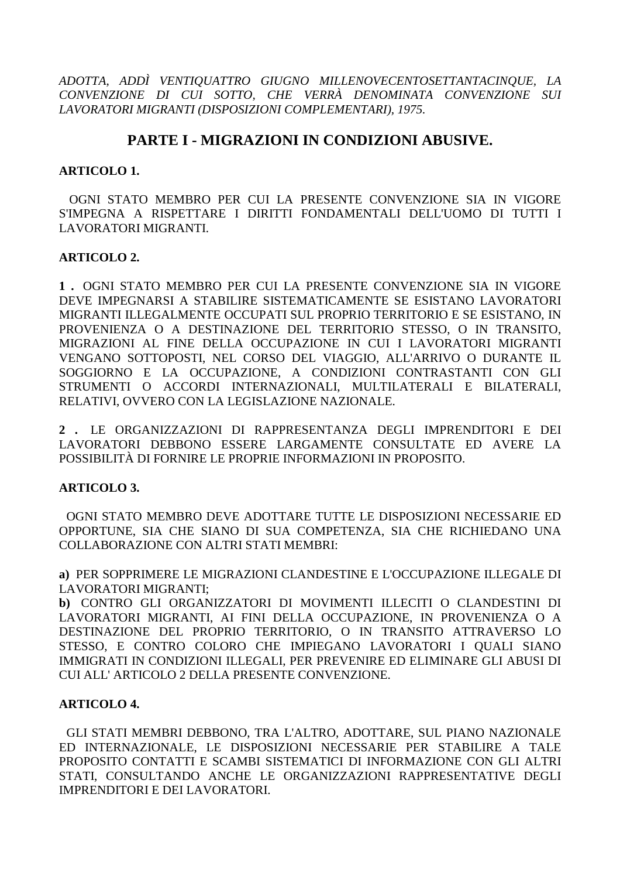*ADOTTA, ADDÌ VENTIQUATTRO GIUGNO MILLENOVECENTOSETTANTACINQUE, LA CONVENZIONE DI CUI SOTTO, CHE VERRÀ DENOMINATA CONVENZIONE SUI LAVORATORI MIGRANTI (DISPOSIZIONI COMPLEMENTARI), 1975.* 

# **PARTE I - MIGRAZIONI IN CONDIZIONI ABUSIVE.**

#### **ARTICOLO 1.**

 OGNI STATO MEMBRO PER CUI LA PRESENTE CONVENZIONE SIA IN VIGORE S'IMPEGNA A RISPETTARE I DIRITTI FONDAMENTALI DELL'UOMO DI TUTTI I LAVORATORI MIGRANTI.

#### **ARTICOLO 2.**

**1 .** OGNI STATO MEMBRO PER CUI LA PRESENTE CONVENZIONE SIA IN VIGORE DEVE IMPEGNARSI A STABILIRE SISTEMATICAMENTE SE ESISTANO LAVORATORI MIGRANTI ILLEGALMENTE OCCUPATI SUL PROPRIO TERRITORIO E SE ESISTANO, IN PROVENIENZA O A DESTINAZIONE DEL TERRITORIO STESSO, O IN TRANSITO, MIGRAZIONI AL FINE DELLA OCCUPAZIONE IN CUI I LAVORATORI MIGRANTI VENGANO SOTTOPOSTI, NEL CORSO DEL VIAGGIO, ALL'ARRIVO O DURANTE IL SOGGIORNO E LA OCCUPAZIONE, A CONDIZIONI CONTRASTANTI CON GLI STRUMENTI O ACCORDI INTERNAZIONALI, MULTILATERALI E BILATERALI, RELATIVI, OVVERO CON LA LEGISLAZIONE NAZIONALE.

**2 .** LE ORGANIZZAZIONI DI RAPPRESENTANZA DEGLI IMPRENDITORI E DEI LAVORATORI DEBBONO ESSERE LARGAMENTE CONSULTATE ED AVERE LA POSSIBILITÀ DI FORNIRE LE PROPRIE INFORMAZIONI IN PROPOSITO.

# **ARTICOLO 3.**

 OGNI STATO MEMBRO DEVE ADOTTARE TUTTE LE DISPOSIZIONI NECESSARIE ED OPPORTUNE, SIA CHE SIANO DI SUA COMPETENZA, SIA CHE RICHIEDANO UNA COLLABORAZIONE CON ALTRI STATI MEMBRI:

**a)** PER SOPPRIMERE LE MIGRAZIONI CLANDESTINE E L'OCCUPAZIONE ILLEGALE DI LAVORATORI MIGRANTI;

**b)** CONTRO GLI ORGANIZZATORI DI MOVIMENTI ILLECITI O CLANDESTINI DI LAVORATORI MIGRANTI, AI FINI DELLA OCCUPAZIONE, IN PROVENIENZA O A DESTINAZIONE DEL PROPRIO TERRITORIO, O IN TRANSITO ATTRAVERSO LO STESSO, E CONTRO COLORO CHE IMPIEGANO LAVORATORI I QUALI SIANO IMMIGRATI IN CONDIZIONI ILLEGALI, PER PREVENIRE ED ELIMINARE GLI ABUSI DI CUI ALL' ARTICOLO 2 DELLA PRESENTE CONVENZIONE.

#### **ARTICOLO 4.**

 GLI STATI MEMBRI DEBBONO, TRA L'ALTRO, ADOTTARE, SUL PIANO NAZIONALE ED INTERNAZIONALE, LE DISPOSIZIONI NECESSARIE PER STABILIRE A TALE PROPOSITO CONTATTI E SCAMBI SISTEMATICI DI INFORMAZIONE CON GLI ALTRI STATI, CONSULTANDO ANCHE LE ORGANIZZAZIONI RAPPRESENTATIVE DEGLI IMPRENDITORI E DEI LAVORATORI.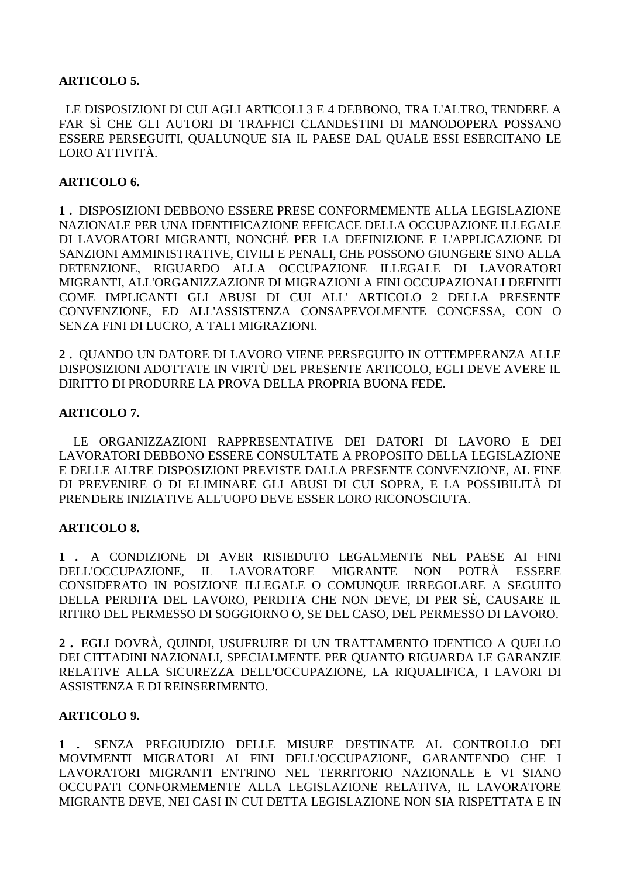# **ARTICOLO 5.**

 LE DISPOSIZIONI DI CUI AGLI ARTICOLI 3 E 4 DEBBONO, TRA L'ALTRO, TENDERE A FAR SÌ CHE GLI AUTORI DI TRAFFICI CLANDESTINI DI MANODOPERA POSSANO ESSERE PERSEGUITI, QUALUNQUE SIA IL PAESE DAL QUALE ESSI ESERCITANO LE LORO ATTIVITÀ.

#### **ARTICOLO 6.**

**1 .** DISPOSIZIONI DEBBONO ESSERE PRESE CONFORMEMENTE ALLA LEGISLAZIONE NAZIONALE PER UNA IDENTIFICAZIONE EFFICACE DELLA OCCUPAZIONE ILLEGALE DI LAVORATORI MIGRANTI, NONCHÉ PER LA DEFINIZIONE E L'APPLICAZIONE DI SANZIONI AMMINISTRATIVE, CIVILI E PENALI, CHE POSSONO GIUNGERE SINO ALLA DETENZIONE, RIGUARDO ALLA OCCUPAZIONE ILLEGALE DI LAVORATORI MIGRANTI, ALL'ORGANIZZAZIONE DI MIGRAZIONI A FINI OCCUPAZIONALI DEFINITI COME IMPLICANTI GLI ABUSI DI CUI ALL' ARTICOLO 2 DELLA PRESENTE CONVENZIONE, ED ALL'ASSISTENZA CONSAPEVOLMENTE CONCESSA, CON O SENZA FINI DI LUCRO, A TALI MIGRAZIONI.

**2 .** QUANDO UN DATORE DI LAVORO VIENE PERSEGUITO IN OTTEMPERANZA ALLE DISPOSIZIONI ADOTTATE IN VIRTÙ DEL PRESENTE ARTICOLO, EGLI DEVE AVERE IL DIRITTO DI PRODURRE LA PROVA DELLA PROPRIA BUONA FEDE.

#### **ARTICOLO 7.**

 LE ORGANIZZAZIONI RAPPRESENTATIVE DEI DATORI DI LAVORO E DEI LAVORATORI DEBBONO ESSERE CONSULTATE A PROPOSITO DELLA LEGISLAZIONE E DELLE ALTRE DISPOSIZIONI PREVISTE DALLA PRESENTE CONVENZIONE, AL FINE DI PREVENIRE O DI ELIMINARE GLI ABUSI DI CUI SOPRA, E LA POSSIBILITÀ DI PRENDERE INIZIATIVE ALL'UOPO DEVE ESSER LORO RICONOSCIUTA.

#### **ARTICOLO 8.**

**1 .** A CONDIZIONE DI AVER RISIEDUTO LEGALMENTE NEL PAESE AI FINI DELL'OCCUPAZIONE, IL LAVORATORE MIGRANTE NON POTRÀ ESSERE CONSIDERATO IN POSIZIONE ILLEGALE O COMUNQUE IRREGOLARE A SEGUITO DELLA PERDITA DEL LAVORO, PERDITA CHE NON DEVE, DI PER SÈ, CAUSARE IL RITIRO DEL PERMESSO DI SOGGIORNO O, SE DEL CASO, DEL PERMESSO DI LAVORO.

**2 .** EGLI DOVRÀ, QUINDI, USUFRUIRE DI UN TRATTAMENTO IDENTICO A QUELLO DEI CITTADINI NAZIONALI, SPECIALMENTE PER QUANTO RIGUARDA LE GARANZIE RELATIVE ALLA SICUREZZA DELL'OCCUPAZIONE, LA RIQUALIFICA, I LAVORI DI ASSISTENZA E DI REINSERIMENTO.

#### **ARTICOLO 9.**

**1 .** SENZA PREGIUDIZIO DELLE MISURE DESTINATE AL CONTROLLO DEI MOVIMENTI MIGRATORI AI FINI DELL'OCCUPAZIONE, GARANTENDO CHE I LAVORATORI MIGRANTI ENTRINO NEL TERRITORIO NAZIONALE E VI SIANO OCCUPATI CONFORMEMENTE ALLA LEGISLAZIONE RELATIVA, IL LAVORATORE MIGRANTE DEVE, NEI CASI IN CUI DETTA LEGISLAZIONE NON SIA RISPETTATA E IN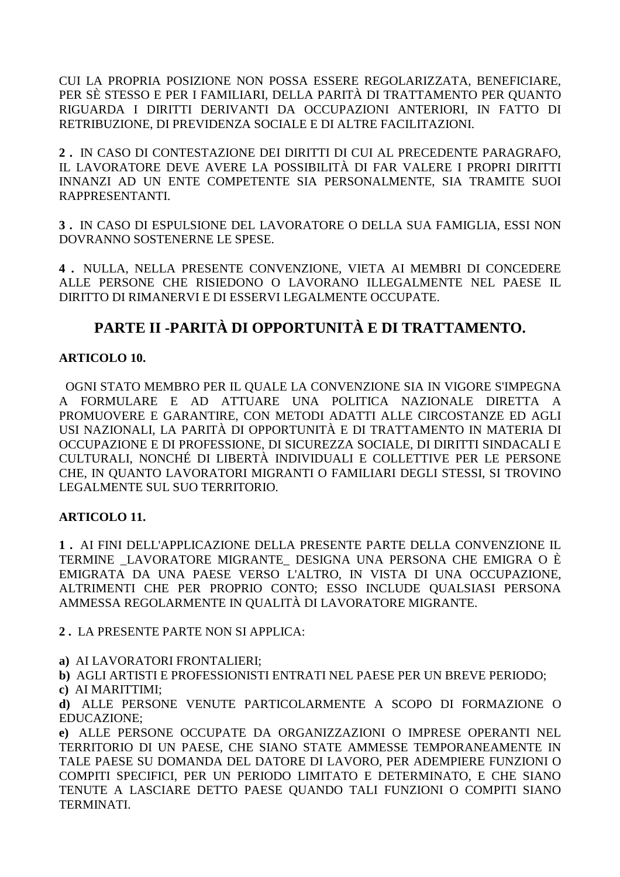CUI LA PROPRIA POSIZIONE NON POSSA ESSERE REGOLARIZZATA, BENEFICIARE, PER SÈ STESSO E PER I FAMILIARI, DELLA PARITÀ DI TRATTAMENTO PER QUANTO RIGUARDA I DIRITTI DERIVANTI DA OCCUPAZIONI ANTERIORI, IN FATTO DI RETRIBUZIONE, DI PREVIDENZA SOCIALE E DI ALTRE FACILITAZIONI.

**2 .** IN CASO DI CONTESTAZIONE DEI DIRITTI DI CUI AL PRECEDENTE PARAGRAFO, IL LAVORATORE DEVE AVERE LA POSSIBILITÀ DI FAR VALERE I PROPRI DIRITTI INNANZI AD UN ENTE COMPETENTE SIA PERSONALMENTE, SIA TRAMITE SUOI RAPPRESENTANTI.

**3 .** IN CASO DI ESPULSIONE DEL LAVORATORE O DELLA SUA FAMIGLIA, ESSI NON DOVRANNO SOSTENERNE LE SPESE.

**4 .** NULLA, NELLA PRESENTE CONVENZIONE, VIETA AI MEMBRI DI CONCEDERE ALLE PERSONE CHE RISIEDONO O LAVORANO ILLEGALMENTE NEL PAESE IL DIRITTO DI RIMANERVI E DI ESSERVI LEGALMENTE OCCUPATE.

# **PARTE II -PARITÀ DI OPPORTUNITÀ E DI TRATTAMENTO.**

# **ARTICOLO 10.**

 OGNI STATO MEMBRO PER IL QUALE LA CONVENZIONE SIA IN VIGORE S'IMPEGNA A FORMULARE E AD ATTUARE UNA POLITICA NAZIONALE DIRETTA A PROMUOVERE E GARANTIRE, CON METODI ADATTI ALLE CIRCOSTANZE ED AGLI USI NAZIONALI, LA PARITÀ DI OPPORTUNITÀ E DI TRATTAMENTO IN MATERIA DI OCCUPAZIONE E DI PROFESSIONE, DI SICUREZZA SOCIALE, DI DIRITTI SINDACALI E CULTURALI, NONCHÉ DI LIBERTÀ INDIVIDUALI E COLLETTIVE PER LE PERSONE CHE, IN QUANTO LAVORATORI MIGRANTI O FAMILIARI DEGLI STESSI, SI TROVINO LEGALMENTE SUL SUO TERRITORIO.

# **ARTICOLO 11.**

**1 .** AI FINI DELL'APPLICAZIONE DELLA PRESENTE PARTE DELLA CONVENZIONE IL TERMINE \_LAVORATORE MIGRANTE\_ DESIGNA UNA PERSONA CHE EMIGRA O È EMIGRATA DA UNA PAESE VERSO L'ALTRO, IN VISTA DI UNA OCCUPAZIONE, ALTRIMENTI CHE PER PROPRIO CONTO; ESSO INCLUDE QUALSIASI PERSONA AMMESSA REGOLARMENTE IN QUALITÀ DI LAVORATORE MIGRANTE.

**2 .** LA PRESENTE PARTE NON SI APPLICA:

**a)** AI LAVORATORI FRONTALIERI;

**b)** AGLI ARTISTI E PROFESSIONISTI ENTRATI NEL PAESE PER UN BREVE PERIODO;

**c)** AI MARITTIMI;

**d)** ALLE PERSONE VENUTE PARTICOLARMENTE A SCOPO DI FORMAZIONE O EDUCAZIONE;

**e)** ALLE PERSONE OCCUPATE DA ORGANIZZAZIONI O IMPRESE OPERANTI NEL TERRITORIO DI UN PAESE, CHE SIANO STATE AMMESSE TEMPORANEAMENTE IN TALE PAESE SU DOMANDA DEL DATORE DI LAVORO, PER ADEMPIERE FUNZIONI O COMPITI SPECIFICI, PER UN PERIODO LIMITATO E DETERMINATO, E CHE SIANO TENUTE A LASCIARE DETTO PAESE QUANDO TALI FUNZIONI O COMPITI SIANO TERMINATI.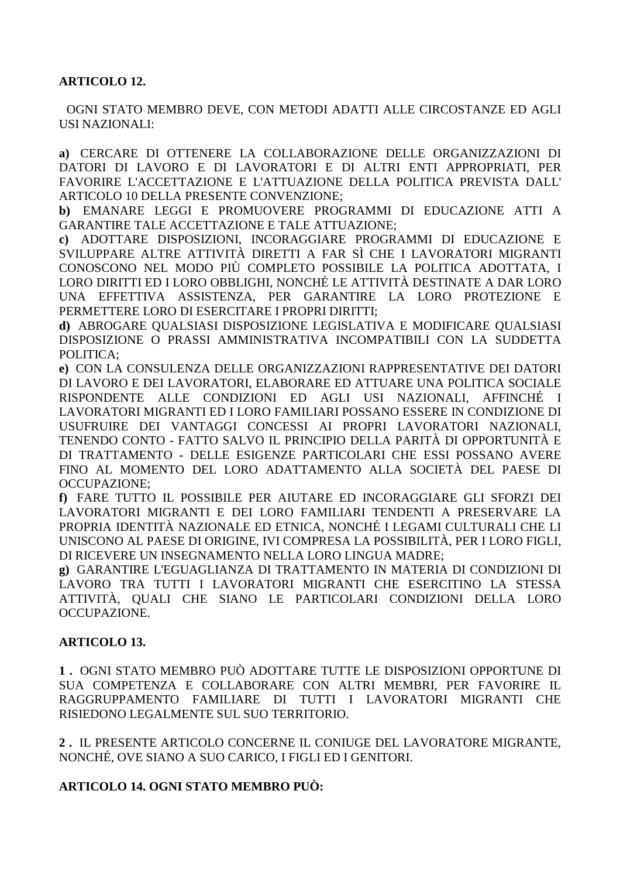# **ARTICOLO 12.**

 OGNI STATO MEMBRO DEVE, CON METODI ADATTI ALLE CIRCOSTANZE ED AGLI USI NAZIONALI:

**a)** CERCARE DI OTTENERE LA COLLABORAZIONE DELLE ORGANIZZAZIONI DI DATORI DI LAVORO E DI LAVORATORI E DI ALTRI ENTI APPROPRIATI, PER FAVORIRE L'ACCETTAZIONE E L'ATTUAZIONE DELLA POLITICA PREVISTA DALL' ARTICOLO 10 DELLA PRESENTE CONVENZIONE;

**b)** EMANARE LEGGI E PROMUOVERE PROGRAMMI DI EDUCAZIONE ATTI A GARANTIRE TALE ACCETTAZIONE E TALE ATTUAZIONE;

**c)** ADOTTARE DISPOSIZIONI, INCORAGGIARE PROGRAMMI DI EDUCAZIONE E SVILUPPARE ALTRE ATTIVITÀ DIRETTI A FAR SÌ CHE I LAVORATORI MIGRANTI CONOSCONO NEL MODO PIÙ COMPLETO POSSIBILE LA POLITICA ADOTTATA, I LORO DIRITTI ED I LORO OBBLIGHI, NONCHÉ LE ATTIVITÀ DESTINATE A DAR LORO UNA EFFETTIVA ASSISTENZA, PER GARANTIRE LA LORO PROTEZIONE E PERMETTERE LORO DI ESERCITARE I PROPRI DIRITTI;

**d)** ABROGARE QUALSIASI DISPOSIZIONE LEGISLATIVA E MODIFICARE QUALSIASI DISPOSIZIONE O PRASSI AMMINISTRATIVA INCOMPATIBILI CON LA SUDDETTA POLITICA;

**e)** CON LA CONSULENZA DELLE ORGANIZZAZIONI RAPPRESENTATIVE DEI DATORI DI LAVORO E DEI LAVORATORI, ELABORARE ED ATTUARE UNA POLITICA SOCIALE RISPONDENTE ALLE CONDIZIONI ED AGLI USI NAZIONALI, AFFINCHÉ I LAVORATORI MIGRANTI ED I LORO FAMILIARI POSSANO ESSERE IN CONDIZIONE DI USUFRUIRE DEI VANTAGGI CONCESSI AI PROPRI LAVORATORI NAZIONALI, TENENDO CONTO - FATTO SALVO IL PRINCIPIO DELLA PARITÀ DI OPPORTUNITÀ E DI TRATTAMENTO - DELLE ESIGENZE PARTICOLARI CHE ESSI POSSANO AVERE FINO AL MOMENTO DEL LORO ADATTAMENTO ALLA SOCIETÀ DEL PAESE DI OCCUPAZIONE;

**f)** FARE TUTTO IL POSSIBILE PER AIUTARE ED INCORAGGIARE GLI SFORZI DEI LAVORATORI MIGRANTI E DEI LORO FAMILIARI TENDENTI A PRESERVARE LA PROPRIA IDENTITÀ NAZIONALE ED ETNICA, NONCHÉ I LEGAMI CULTURALI CHE LI UNISCONO AL PAESE DI ORIGINE, IVI COMPRESA LA POSSIBILITÀ, PER I LORO FIGLI, DI RICEVERE UN INSEGNAMENTO NELLA LORO LINGUA MADRE;

**g)** GARANTIRE L'EGUAGLIANZA DI TRATTAMENTO IN MATERIA DI CONDIZIONI DI LAVORO TRA TUTTI I LAVORATORI MIGRANTI CHE ESERCITINO LA STESSA ATTIVITÀ, QUALI CHE SIANO LE PARTICOLARI CONDIZIONI DELLA LORO OCCUPAZIONE.

# **ARTICOLO 13.**

**1 .** OGNI STATO MEMBRO PUÒ ADOTTARE TUTTE LE DISPOSIZIONI OPPORTUNE DI SUA COMPETENZA E COLLABORARE CON ALTRI MEMBRI, PER FAVORIRE IL RAGGRUPPAMENTO FAMILIARE DI TUTTI I LAVORATORI MIGRANTI CHE RISIEDONO LEGALMENTE SUL SUO TERRITORIO.

**2 .** IL PRESENTE ARTICOLO CONCERNE IL CONIUGE DEL LAVORATORE MIGRANTE, NONCHÉ, OVE SIANO A SUO CARICO, I FIGLI ED I GENITORI.

# **ARTICOLO 14. OGNI STATO MEMBRO PUÒ:**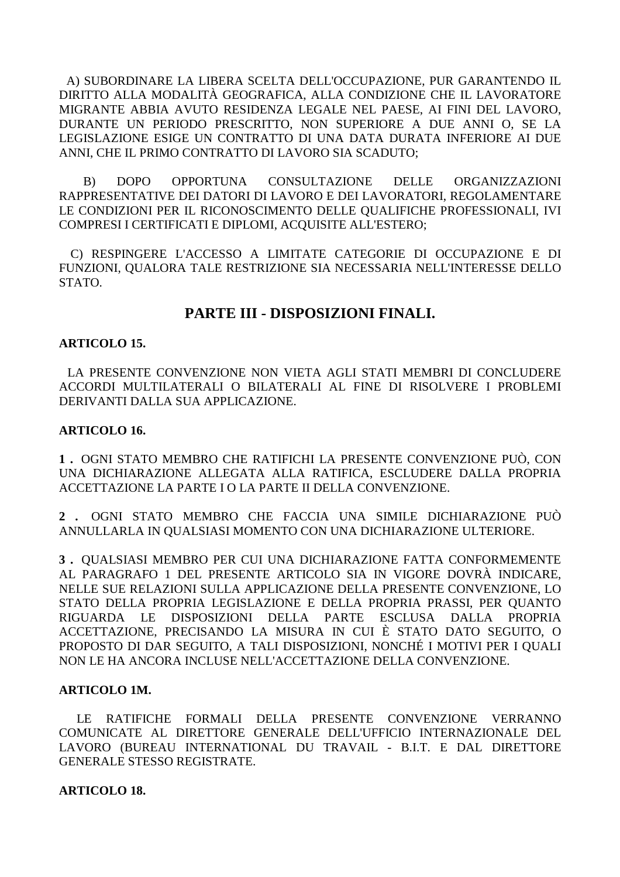A) SUBORDINARE LA LIBERA SCELTA DELL'OCCUPAZIONE, PUR GARANTENDO IL DIRITTO ALLA MODALITÀ GEOGRAFICA, ALLA CONDIZIONE CHE IL LAVORATORE MIGRANTE ABBIA AVUTO RESIDENZA LEGALE NEL PAESE, AI FINI DEL LAVORO, DURANTE UN PERIODO PRESCRITTO, NON SUPERIORE A DUE ANNI O, SE LA LEGISLAZIONE ESIGE UN CONTRATTO DI UNA DATA DURATA INFERIORE AI DUE ANNI, CHE IL PRIMO CONTRATTO DI LAVORO SIA SCADUTO;

 B) DOPO OPPORTUNA CONSULTAZIONE DELLE ORGANIZZAZIONI RAPPRESENTATIVE DEI DATORI DI LAVORO E DEI LAVORATORI, REGOLAMENTARE LE CONDIZIONI PER IL RICONOSCIMENTO DELLE QUALIFICHE PROFESSIONALI, IVI COMPRESI I CERTIFICATI E DIPLOMI, ACQUISITE ALL'ESTERO;

 C) RESPINGERE L'ACCESSO A LIMITATE CATEGORIE DI OCCUPAZIONE E DI FUNZIONI, QUALORA TALE RESTRIZIONE SIA NECESSARIA NELL'INTERESSE DELLO STATO.

# **PARTE III - DISPOSIZIONI FINALI.**

#### **ARTICOLO 15.**

 LA PRESENTE CONVENZIONE NON VIETA AGLI STATI MEMBRI DI CONCLUDERE ACCORDI MULTILATERALI O BILATERALI AL FINE DI RISOLVERE I PROBLEMI DERIVANTI DALLA SUA APPLICAZIONE.

#### **ARTICOLO 16.**

**1 .** OGNI STATO MEMBRO CHE RATIFICHI LA PRESENTE CONVENZIONE PUÒ, CON UNA DICHIARAZIONE ALLEGATA ALLA RATIFICA, ESCLUDERE DALLA PROPRIA ACCETTAZIONE LA PARTE I O LA PARTE II DELLA CONVENZIONE.

**2 .** OGNI STATO MEMBRO CHE FACCIA UNA SIMILE DICHIARAZIONE PUÒ ANNULLARLA IN QUALSIASI MOMENTO CON UNA DICHIARAZIONE ULTERIORE.

**3 .** QUALSIASI MEMBRO PER CUI UNA DICHIARAZIONE FATTA CONFORMEMENTE AL PARAGRAFO 1 DEL PRESENTE ARTICOLO SIA IN VIGORE DOVRÀ INDICARE, NELLE SUE RELAZIONI SULLA APPLICAZIONE DELLA PRESENTE CONVENZIONE, LO STATO DELLA PROPRIA LEGISLAZIONE E DELLA PROPRIA PRASSI, PER QUANTO RIGUARDA LE DISPOSIZIONI DELLA PARTE ESCLUSA DALLA PROPRIA ACCETTAZIONE, PRECISANDO LA MISURA IN CUI È STATO DATO SEGUITO, O PROPOSTO DI DAR SEGUITO, A TALI DISPOSIZIONI, NONCHÉ I MOTIVI PER I QUALI NON LE HA ANCORA INCLUSE NELL'ACCETTAZIONE DELLA CONVENZIONE.

#### **ARTICOLO 1M.**

 LE RATIFICHE FORMALI DELLA PRESENTE CONVENZIONE VERRANNO COMUNICATE AL DIRETTORE GENERALE DELL'UFFICIO INTERNAZIONALE DEL LAVORO (BUREAU INTERNATIONAL DU TRAVAIL - B.I.T. E DAL DIRETTORE GENERALE STESSO REGISTRATE.

#### **ARTICOLO 18.**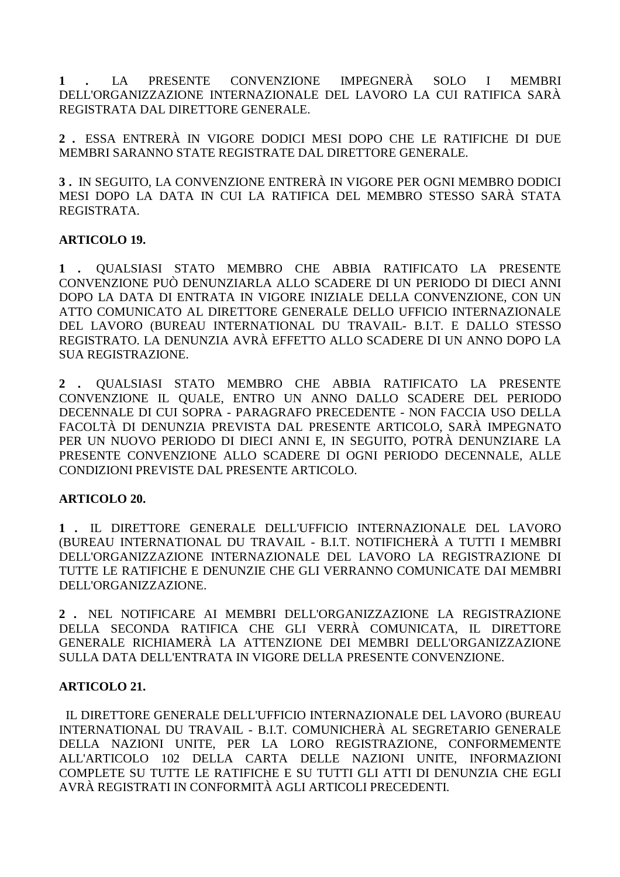**1 .** LA PRESENTE CONVENZIONE IMPEGNERÀ SOLO I MEMBRI DELL'ORGANIZZAZIONE INTERNAZIONALE DEL LAVORO LA CUI RATIFICA SARÀ REGISTRATA DAL DIRETTORE GENERALE.

**2 .** ESSA ENTRERÀ IN VIGORE DODICI MESI DOPO CHE LE RATIFICHE DI DUE MEMBRI SARANNO STATE REGISTRATE DAL DIRETTORE GENERALE.

**3 .** IN SEGUITO, LA CONVENZIONE ENTRERÀ IN VIGORE PER OGNI MEMBRO DODICI MESI DOPO LA DATA IN CUI LA RATIFICA DEL MEMBRO STESSO SARÀ STATA REGISTRATA.

# **ARTICOLO 19.**

**1 .** QUALSIASI STATO MEMBRO CHE ABBIA RATIFICATO LA PRESENTE CONVENZIONE PUÒ DENUNZIARLA ALLO SCADERE DI UN PERIODO DI DIECI ANNI DOPO LA DATA DI ENTRATA IN VIGORE INIZIALE DELLA CONVENZIONE, CON UN ATTO COMUNICATO AL DIRETTORE GENERALE DELLO UFFICIO INTERNAZIONALE DEL LAVORO (BUREAU INTERNATIONAL DU TRAVAIL- B.I.T. E DALLO STESSO REGISTRATO. LA DENUNZIA AVRÀ EFFETTO ALLO SCADERE DI UN ANNO DOPO LA SUA REGISTRAZIONE.

**2 .** QUALSIASI STATO MEMBRO CHE ABBIA RATIFICATO LA PRESENTE CONVENZIONE IL QUALE, ENTRO UN ANNO DALLO SCADERE DEL PERIODO DECENNALE DI CUI SOPRA - PARAGRAFO PRECEDENTE - NON FACCIA USO DELLA FACOLTÀ DI DENUNZIA PREVISTA DAL PRESENTE ARTICOLO, SARÀ IMPEGNATO PER UN NUOVO PERIODO DI DIECI ANNI E, IN SEGUITO, POTRÀ DENUNZIARE LA PRESENTE CONVENZIONE ALLO SCADERE DI OGNI PERIODO DECENNALE, ALLE CONDIZIONI PREVISTE DAL PRESENTE ARTICOLO.

# **ARTICOLO 20.**

**1 .** IL DIRETTORE GENERALE DELL'UFFICIO INTERNAZIONALE DEL LAVORO (BUREAU INTERNATIONAL DU TRAVAIL - B.I.T. NOTIFICHERÀ A TUTTI I MEMBRI DELL'ORGANIZZAZIONE INTERNAZIONALE DEL LAVORO LA REGISTRAZIONE DI TUTTE LE RATIFICHE E DENUNZIE CHE GLI VERRANNO COMUNICATE DAI MEMBRI DELL'ORGANIZZAZIONE.

**2 .** NEL NOTIFICARE AI MEMBRI DELL'ORGANIZZAZIONE LA REGISTRAZIONE DELLA SECONDA RATIFICA CHE GLI VERRÀ COMUNICATA, IL DIRETTORE GENERALE RICHIAMERÀ LA ATTENZIONE DEI MEMBRI DELL'ORGANIZZAZIONE SULLA DATA DELL'ENTRATA IN VIGORE DELLA PRESENTE CONVENZIONE.

# **ARTICOLO 21.**

 IL DIRETTORE GENERALE DELL'UFFICIO INTERNAZIONALE DEL LAVORO (BUREAU INTERNATIONAL DU TRAVAIL - B.I.T. COMUNICHERÀ AL SEGRETARIO GENERALE DELLA NAZIONI UNITE, PER LA LORO REGISTRAZIONE, CONFORMEMENTE ALL'ARTICOLO 102 DELLA CARTA DELLE NAZIONI UNITE, INFORMAZIONI COMPLETE SU TUTTE LE RATIFICHE E SU TUTTI GLI ATTI DI DENUNZIA CHE EGLI AVRÀ REGISTRATI IN CONFORMITÀ AGLI ARTICOLI PRECEDENTI.